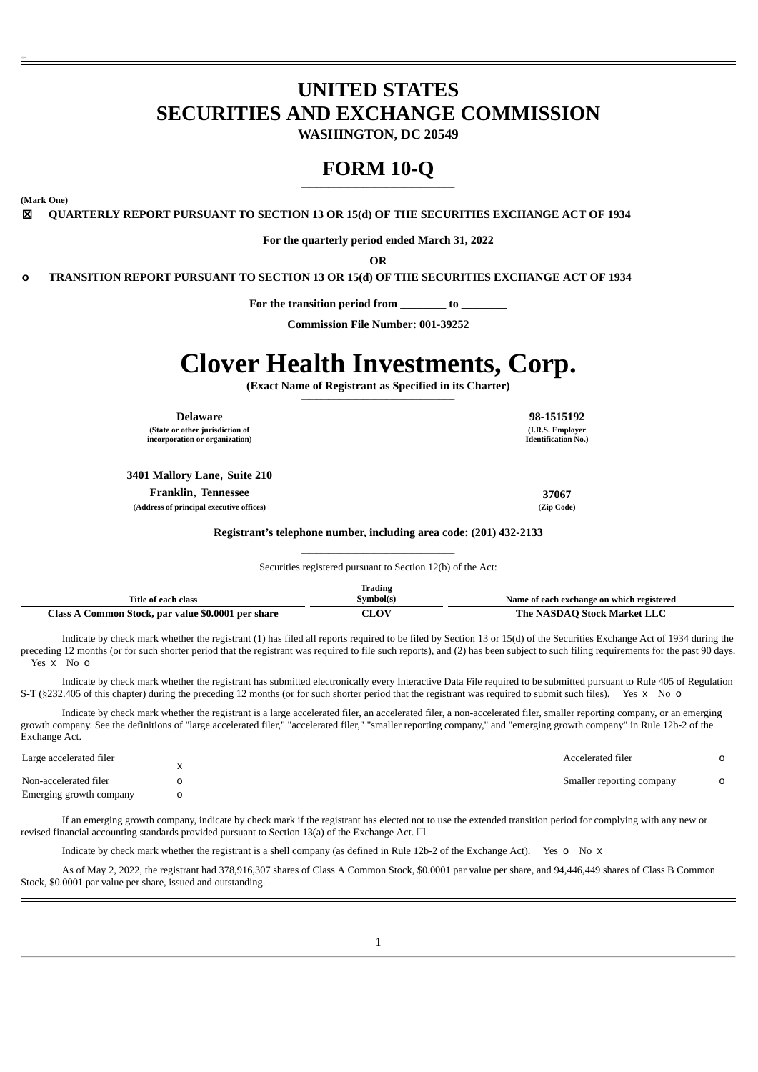# **UNITED STATES SECURITIES AND EXCHANGE COMMISSION**

**WASHINGTON, DC 20549**  $\mathcal{L}=\{1,2,3,4,5\}$  , we can also the contribution of  $\mathcal{L}=\{1,3,4,5\}$ 

# **FORM 10-Q**

**(Mark One)**

☒ **QUARTERLY REPORT PURSUANT TO SECTION 13 OR 15(d) OF THE SECURITIES EXCHANGE ACT OF 1934**

**For the quarterly period ended March 31, 2022**

**OR**

**o TRANSITION REPORT PURSUANT TO SECTION 13 OR 15(d) OF THE SECURITIES EXCHANGE ACT OF 1934**

**For the transition period from \_\_\_\_\_\_\_\_ to \_\_\_\_\_\_\_\_**

**Commission File Number: 001-39252**  $\mathcal{L}=\{1,2,3,4,5\}$  , we can also the contribution of  $\mathcal{L}=\{1,3,4,5\}$ 

# **Clover Health Investments, Corp.**

**(Exact Name of Registrant as Specified in its Charter)**  $\mathcal{L}=\{1,2,3,4,5\}$  , we can also the contribution of  $\mathcal{L}=\{1,3,4,5\}$ 

**Delaware 98-1515192 (State or other jurisdiction of**

**incorporation or organization)**

**3401 Mallory Lane**, **Suite 210**

**Franklin**, **Tennessee 37067**

**(Address of principal executive offices) (Zip Code)**

**Registrant's telephone number, including area code: (201) 432-2133**  $\mathcal{L}_\text{max}$ 

Securities registered pursuant to Section 12(b) of the Act:

|                                                                  | Trading         |                                           |
|------------------------------------------------------------------|-----------------|-------------------------------------------|
| Title of each class                                              | <b>Symbol(s</b> | Name of each exchange on which registered |
| $\text{Class}$ .<br>4 Common Stock, par value \$0.0001 per share | CLOV            | The NASDAO Stock Market LLC               |

Indicate by check mark whether the registrant (1) has filed all reports required to be filed by Section 13 or 15(d) of the Securities Exchange Act of 1934 during the preceding 12 months (or for such shorter period that the registrant was required to file such reports), and (2) has been subject to such filing requirements for the past 90 days. Yes x No o

Indicate by check mark whether the registrant has submitted electronically every Interactive Data File required to be submitted pursuant to Rule 405 of Regulation S-T (§232.405 of this chapter) during the preceding 12 months (or for such shorter period that the registrant was required to submit such files). Yes x No o

Indicate by check mark whether the registrant is a large accelerated filer, an accelerated filer, a non-accelerated filer, smaller reporting company, or an emerging growth company. See the definitions of "large accelerated filer," "accelerated filer," "smaller reporting company," and "emerging growth company" in Rule 12b-2 of the Exchange Act.

| Large accelerated filer | Accelerated filer         |  |
|-------------------------|---------------------------|--|
|                         |                           |  |
| Non-accelerated filer   | Smaller reporting company |  |
| Emerging growth company |                           |  |

If an emerging growth company, indicate by check mark if the registrant has elected not to use the extended transition period for complying with any new or revised financial accounting standards provided pursuant to Section 13(a) of the Exchange Act.  $\Box$ 

Indicate by check mark whether the registrant is a shell company (as defined in Rule 12b-2 of the Exchange Act). Yes o No x

As of May 2, 2022, the registrant had 378,916,307 shares of Class A Common Stock, \$0.0001 par value per share, and 94,446,449 shares of Class B Common Stock, \$0.0001 par value per share, issued and outstanding.

**(I.R.S. Employer Identification No.)**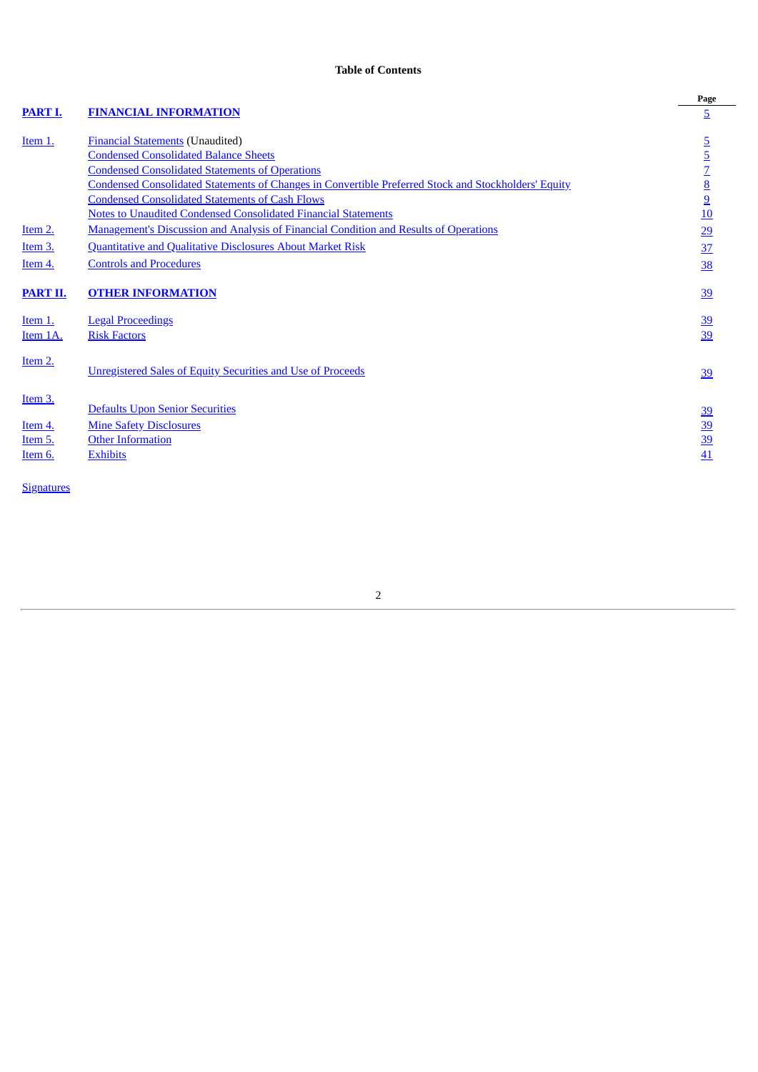|                   |                                                                                                             | Page           |
|-------------------|-------------------------------------------------------------------------------------------------------------|----------------|
| <b>PART I.</b>    | <b>FINANCIAL INFORMATION</b>                                                                                | 5              |
| Item 1.           | <b>Financial Statements (Unaudited)</b>                                                                     | $\overline{2}$ |
|                   | <b>Condensed Consolidated Balance Sheets</b>                                                                | $\overline{5}$ |
|                   | <b>Condensed Consolidated Statements of Operations</b>                                                      |                |
|                   | <b>Condensed Consolidated Statements of Changes in Convertible Preferred Stock and Stockholders' Equity</b> | $\frac{7}{8}$  |
|                   | <b>Condensed Consolidated Statements of Cash Flows</b>                                                      |                |
|                   | <b>Notes to Unaudited Condensed Consolidated Financial Statements</b>                                       | 10             |
| Item 2.           | Management's Discussion and Analysis of Financial Condition and Results of Operations                       | 29             |
| Item 3.           | <b>Quantitative and Qualitative Disclosures About Market Risk</b>                                           | 37             |
| Item 4.           | <b>Controls and Procedures</b>                                                                              | 38             |
| <b>PART II.</b>   | <b>OTHER INFORMATION</b>                                                                                    | 39             |
| <u>Item 1.</u>    | <b>Legal Proceedings</b>                                                                                    | <u>39</u>      |
| Item 1A.          | <b>Risk Factors</b>                                                                                         | 39             |
| Item 2.           | <b>Unregistered Sales of Equity Securities and Use of Proceeds</b>                                          | <u>39</u>      |
| <u>Item 3.</u>    | <b>Defaults Upon Senior Securities</b>                                                                      | 39             |
| Item 4.           | <b>Mine Safety Disclosures</b>                                                                              | <u>39</u>      |
| Item 5.           | <b>Other Information</b>                                                                                    | $\frac{39}{2}$ |
| Item 6.           | <b>Exhibits</b>                                                                                             | 41             |
| <b>Signatures</b> |                                                                                                             |                |

2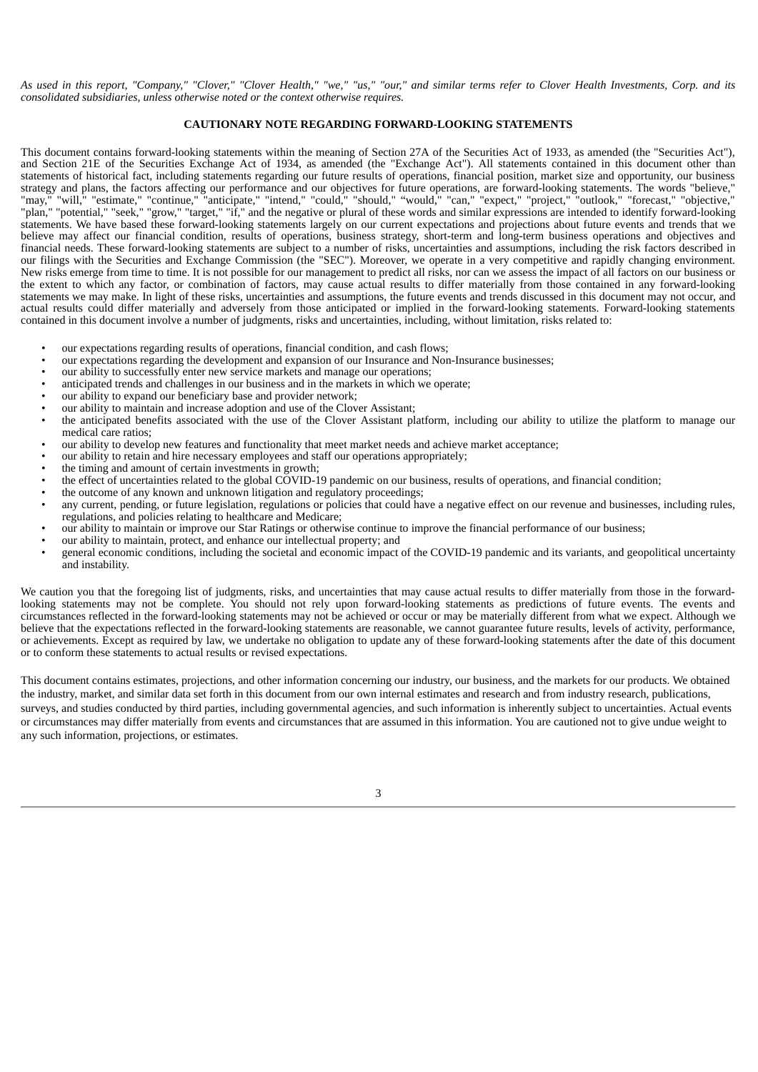As used in this report, "Company," "Clover," "Clover Health," "we," "us," "our," and similar terms refer to Clover Health Investments, Corp. and its *consolidated subsidiaries, unless otherwise noted or the context otherwise requires.*

## **CAUTIONARY NOTE REGARDING FORWARD-LOOKING STATEMENTS**

This document contains forward-looking statements within the meaning of Section 27A of the Securities Act of 1933, as amended (the "Securities Act"), and Section 21E of the Securities Exchange Act of 1934, as amended (the "Exchange Act"). All statements contained in this document other than statements of historical fact, including statements regarding our future results of operations, financial position, market size and opportunity, our business strategy and plans, the factors affecting our performance and our objectives for future operations, are forward-looking statements. The words "believe," "may," "will," "estimate," "continue," "anticipate," "intend," "could," "should," "would," "can," "expect," "project," "outlook," "forecast," "objective," "plan," "potential," "seek," "grow," "target," "if," and the negative or plural of these words and similar expressions are intended to identify forward-looking statements. We have based these forward-looking statements largely on our current expectations and projections about future events and trends that we believe may affect our financial condition, results of operations, business strategy, short-term and long-term business operations and objectives and financial needs. These forward-looking statements are subject to a number of risks, uncertainties and assumptions, including the risk factors described in our filings with the Securities and Exchange Commission (the "SEC"). Moreover, we operate in a very competitive and rapidly changing environment. New risks emerge from time to time. It is not possible for our management to predict all risks, nor can we assess the impact of all factors on our business or the extent to which any factor, or combination of factors, may cause actual results to differ materially from those contained in any forward-looking statements we may make. In light of these risks, uncertainties and assumptions, the future events and trends discussed in this document may not occur, and actual results could differ materially and adversely from those anticipated or implied in the forward-looking statements. Forward-looking statements contained in this document involve a number of judgments, risks and uncertainties, including, without limitation, risks related to:

- our expectations regarding results of operations, financial condition, and cash flows;
- our expectations regarding the development and expansion of our Insurance and Non-Insurance businesses;
- our ability to successfully enter new service markets and manage our operations;
- anticipated trends and challenges in our business and in the markets in which we operate;
- our ability to expand our beneficiary base and provider network;
- our ability to maintain and increase adoption and use of the Clover Assistant;
- the anticipated benefits associated with the use of the Clover Assistant platform, including our ability to utilize the platform to manage our medical care ratios;
- our ability to develop new features and functionality that meet market needs and achieve market acceptance;
- our ability to retain and hire necessary employees and staff our operations appropriately;
- the timing and amount of certain investments in growth;
- the effect of uncertainties related to the global COVID-19 pandemic on our business, results of operations, and financial condition;
- the outcome of any known and unknown litigation and regulatory proceedings;
- any current, pending, or future legislation, regulations or policies that could have a negative effect on our revenue and businesses, including rules, regulations, and policies relating to healthcare and Medicare;
- our ability to maintain or improve our Star Ratings or otherwise continue to improve the financial performance of our business;
- our ability to maintain, protect, and enhance our intellectual property; and
- general economic conditions, including the societal and economic impact of the COVID-19 pandemic and its variants, and geopolitical uncertainty and instability.

We caution you that the foregoing list of judgments, risks, and uncertainties that may cause actual results to differ materially from those in the forwardlooking statements may not be complete. You should not rely upon forward-looking statements as predictions of future events. The events and circumstances reflected in the forward-looking statements may not be achieved or occur or may be materially different from what we expect. Although we believe that the expectations reflected in the forward-looking statements are reasonable, we cannot guarantee future results, levels of activity, performance, or achievements. Except as required by law, we undertake no obligation to update any of these forward-looking statements after the date of this document or to conform these statements to actual results or revised expectations.

This document contains estimates, projections, and other information concerning our industry, our business, and the markets for our products. We obtained the industry, market, and similar data set forth in this document from our own internal estimates and research and from industry research, publications, surveys, and studies conducted by third parties, including governmental agencies, and such information is inherently subject to uncertainties. Actual events or circumstances may differ materially from events and circumstances that are assumed in this information. You are cautioned not to give undue weight to any such information, projections, or estimates.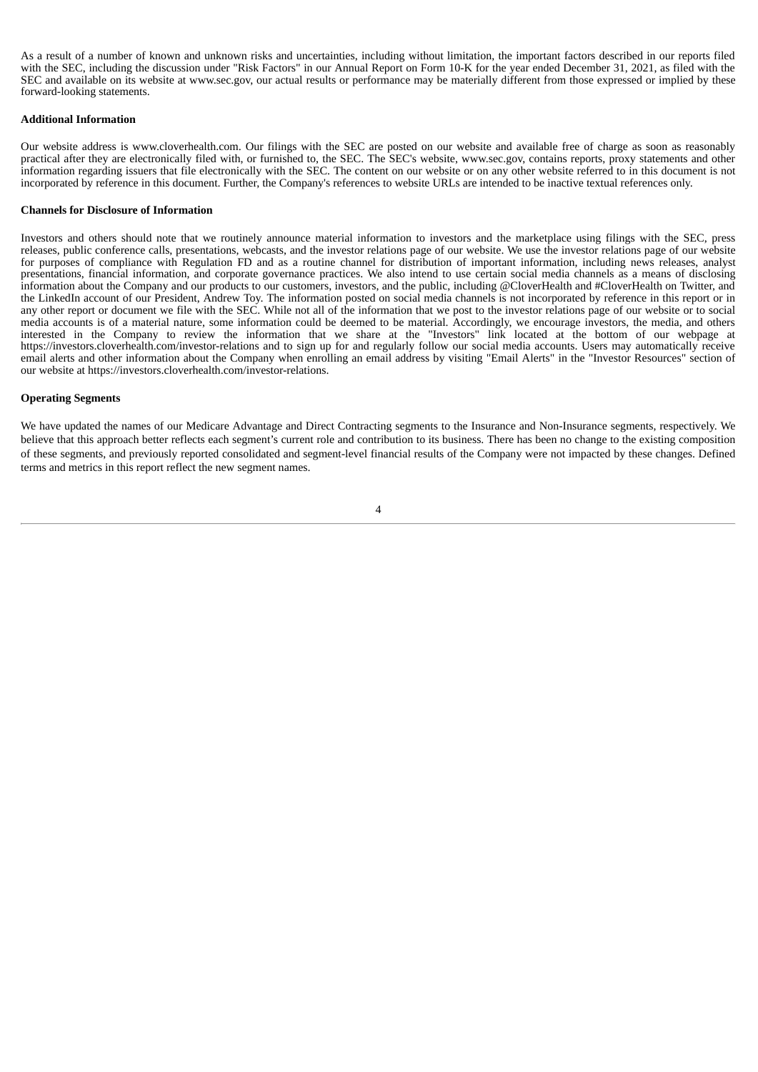As a result of a number of known and unknown risks and uncertainties, including without limitation, the important factors described in our reports filed with the SEC, including the discussion under "Risk Factors" in our Annual Report on Form 10-K for the year ended December 31, 2021, as filed with the SEC and available on its website at www.sec.gov, our actual results or performance may be materially different from those expressed or implied by these forward-looking statements.

## **Additional Information**

Our website address is www.cloverhealth.com. Our filings with the SEC are posted on our website and available free of charge as soon as reasonably practical after they are electronically filed with, or furnished to, the SEC. The SEC's website, www.sec.gov, contains reports, proxy statements and other information regarding issuers that file electronically with the SEC. The content on our website or on any other website referred to in this document is not incorporated by reference in this document. Further, the Company's references to website URLs are intended to be inactive textual references only.

## **Channels for Disclosure of Information**

Investors and others should note that we routinely announce material information to investors and the marketplace using filings with the SEC, press releases, public conference calls, presentations, webcasts, and the investor relations page of our website. We use the investor relations page of our website for purposes of compliance with Regulation FD and as a routine channel for distribution of important information, including news releases, analyst presentations, financial information, and corporate governance practices. We also intend to use certain social media channels as a means of disclosing information about the Company and our products to our customers, investors, and the public, including @CloverHealth and #CloverHealth on Twitter, and the LinkedIn account of our President, Andrew Toy. The information posted on social media channels is not incorporated by reference in this report or in any other report or document we file with the SEC. While not all of the information that we post to the investor relations page of our website or to social media accounts is of a material nature, some information could be deemed to be material. Accordingly, we encourage investors, the media, and others interested in the Company to review the information that we share at the "Investors" link located at the bottom of our webpage at https://investors.cloverhealth.com/investor-relations and to sign up for and regularly follow our social media accounts. Users may automatically receive email alerts and other information about the Company when enrolling an email address by visiting "Email Alerts" in the "Investor Resources" section of our website at https://investors.cloverhealth.com/investor-relations.

## **Operating Segments**

We have updated the names of our Medicare Advantage and Direct Contracting segments to the Insurance and Non-Insurance segments, respectively. We believe that this approach better reflects each segment's current role and contribution to its business. There has been no change to the existing composition of these segments, and previously reported consolidated and segment-level financial results of the Company were not impacted by these changes. Defined terms and metrics in this report reflect the new segment names.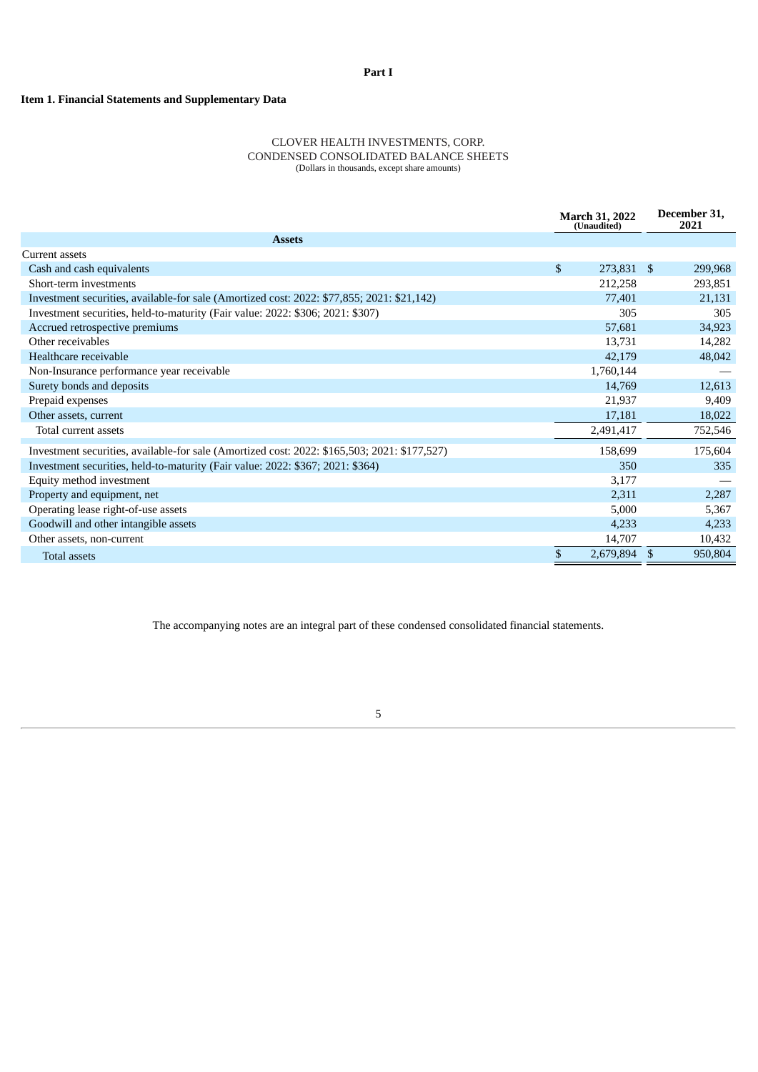## **Part I**

## <span id="page-4-2"></span><span id="page-4-1"></span><span id="page-4-0"></span>**Item 1. Financial Statements and Supplementary Data**

## CLOVER HEALTH INVESTMENTS, CORP. CONDENSED CONSOLIDATED BALANCE SHEETS (Dollars in thousands, except share amounts)

|                                                                                              | <b>March 31, 2022</b><br>(Unaudited) |      | December 31,<br>2021 |
|----------------------------------------------------------------------------------------------|--------------------------------------|------|----------------------|
| <b>Assets</b>                                                                                |                                      |      |                      |
| Current assets                                                                               |                                      |      |                      |
| Cash and cash equivalents                                                                    | \$<br>273,831 \$                     |      | 299,968              |
| Short-term investments                                                                       | 212,258                              |      | 293,851              |
| Investment securities, available-for sale (Amortized cost: 2022: \$77,855; 2021: \$21,142)   | 77,401                               |      | 21,131               |
| Investment securities, held-to-maturity (Fair value: 2022: \$306; 2021: \$307)               | 305                                  |      | 305                  |
| Accrued retrospective premiums                                                               | 57,681                               |      | 34,923               |
| Other receivables                                                                            | 13,731                               |      | 14,282               |
| Healthcare receivable                                                                        | 42,179                               |      | 48,042               |
| Non-Insurance performance year receivable                                                    | 1,760,144                            |      |                      |
| Surety bonds and deposits                                                                    | 14,769                               |      | 12,613               |
| Prepaid expenses                                                                             | 21,937                               |      | 9,409                |
| Other assets, current                                                                        | 17,181                               |      | 18,022               |
| Total current assets                                                                         | 2,491,417                            |      | 752,546              |
| Investment securities, available-for sale (Amortized cost: 2022: \$165,503; 2021: \$177,527) | 158,699                              |      | 175,604              |
| Investment securities, held-to-maturity (Fair value: 2022: \$367; 2021: \$364)               | 350                                  |      | 335                  |
| Equity method investment                                                                     | 3,177                                |      |                      |
| Property and equipment, net                                                                  | 2,311                                |      | 2,287                |
| Operating lease right-of-use assets                                                          | 5,000                                |      | 5,367                |
| Goodwill and other intangible assets                                                         | 4,233                                |      | 4,233                |
| Other assets, non-current                                                                    | 14,707                               |      | 10,432               |
| <b>Total assets</b>                                                                          | \$<br>2,679,894                      | - \$ | 950,804              |

The accompanying notes are an integral part of these condensed consolidated financial statements.

## 5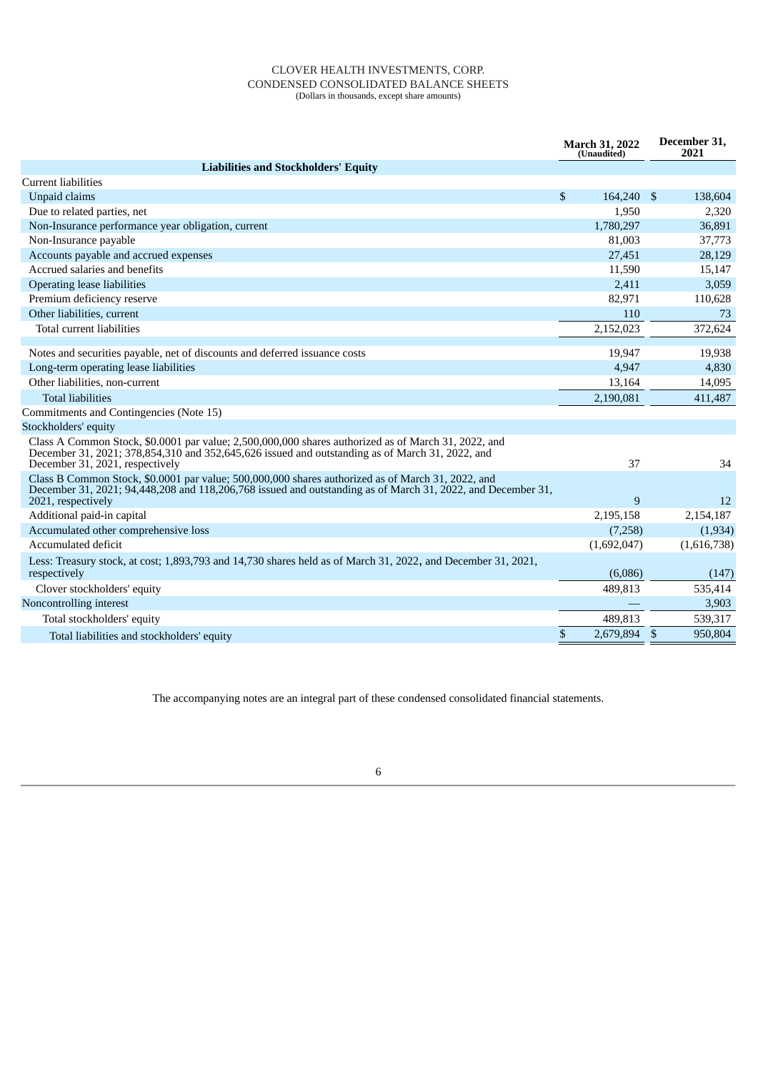## CLOVER HEALTH INVESTMENTS, CORP. CONDENSED CONSOLIDATED BALANCE SHEETS (Dollars in thousands, except share amounts)

|                                                                                                                                                                                                                                           |              | <b>March 31, 2022</b><br>(Unaudited) | December 31,<br>2021 |
|-------------------------------------------------------------------------------------------------------------------------------------------------------------------------------------------------------------------------------------------|--------------|--------------------------------------|----------------------|
| <b>Liabilities and Stockholders' Equity</b>                                                                                                                                                                                               |              |                                      |                      |
| <b>Current liabilities</b>                                                                                                                                                                                                                |              |                                      |                      |
| <b>Unpaid claims</b>                                                                                                                                                                                                                      | $\mathbb{S}$ | 164,240                              | \$<br>138,604        |
| Due to related parties, net                                                                                                                                                                                                               |              | 1.950                                | 2,320                |
| Non-Insurance performance year obligation, current                                                                                                                                                                                        |              | 1,780,297                            | 36,891               |
| Non-Insurance payable                                                                                                                                                                                                                     |              | 81,003                               | 37,773               |
| Accounts payable and accrued expenses                                                                                                                                                                                                     |              | 27,451                               | 28,129               |
| Accrued salaries and benefits                                                                                                                                                                                                             |              | 11,590                               | 15,147               |
| <b>Operating lease liabilities</b>                                                                                                                                                                                                        |              | 2,411                                | 3,059                |
| Premium deficiency reserve                                                                                                                                                                                                                |              | 82,971                               | 110,628              |
| Other liabilities, current                                                                                                                                                                                                                |              | 110                                  | 73                   |
| <b>Total current liabilities</b>                                                                                                                                                                                                          |              | 2,152,023                            | 372,624              |
| Notes and securities payable, net of discounts and deferred issuance costs                                                                                                                                                                |              | 19,947                               | 19,938               |
| Long-term operating lease liabilities                                                                                                                                                                                                     |              | 4,947                                | 4,830                |
| Other liabilities, non-current                                                                                                                                                                                                            |              | 13,164                               | 14,095               |
| <b>Total liabilities</b>                                                                                                                                                                                                                  |              | 2,190,081                            | 411,487              |
| Commitments and Contingencies (Note 15)                                                                                                                                                                                                   |              |                                      |                      |
| Stockholders' equity                                                                                                                                                                                                                      |              |                                      |                      |
| Class A Common Stock, \$0.0001 par value; 2,500,000,000 shares authorized as of March 31, 2022, and<br>December 31, 2021; 378,854,310 and 352,645,626 issued and outstanding as of March 31, 2022, and<br>December 31, 2021, respectively |              | 37                                   | 34                   |
| Class B Common Stock, \$0.0001 par value; 500,000,000 shares authorized as of March 31, 2022, and<br>December 31, 2021; 94,448,208 and 118,206,768 issued and outstanding as of March 31, 2022, and December 31,<br>2021, respectively    |              | 9                                    | 12                   |
| Additional paid-in capital                                                                                                                                                                                                                |              | 2,195,158                            | 2,154,187            |
| Accumulated other comprehensive loss                                                                                                                                                                                                      |              | (7,258)                              | (1,934)              |
| Accumulated deficit                                                                                                                                                                                                                       |              | (1,692,047)                          | (1,616,738)          |
| Less: Treasury stock, at cost; 1,893,793 and 14,730 shares held as of March 31, 2022, and December 31, 2021,<br>respectively                                                                                                              |              | (6,086)                              | (147)                |
| Clover stockholders' equity                                                                                                                                                                                                               |              | 489,813                              | 535,414              |
| Noncontrolling interest                                                                                                                                                                                                                   |              |                                      | 3,903                |
| Total stockholders' equity                                                                                                                                                                                                                |              | 489,813                              | 539,317              |
| Total liabilities and stockholders' equity                                                                                                                                                                                                | \$           | 2,679,894                            | \$<br>950,804        |

<span id="page-5-0"></span>The accompanying notes are an integral part of these condensed consolidated financial statements.

6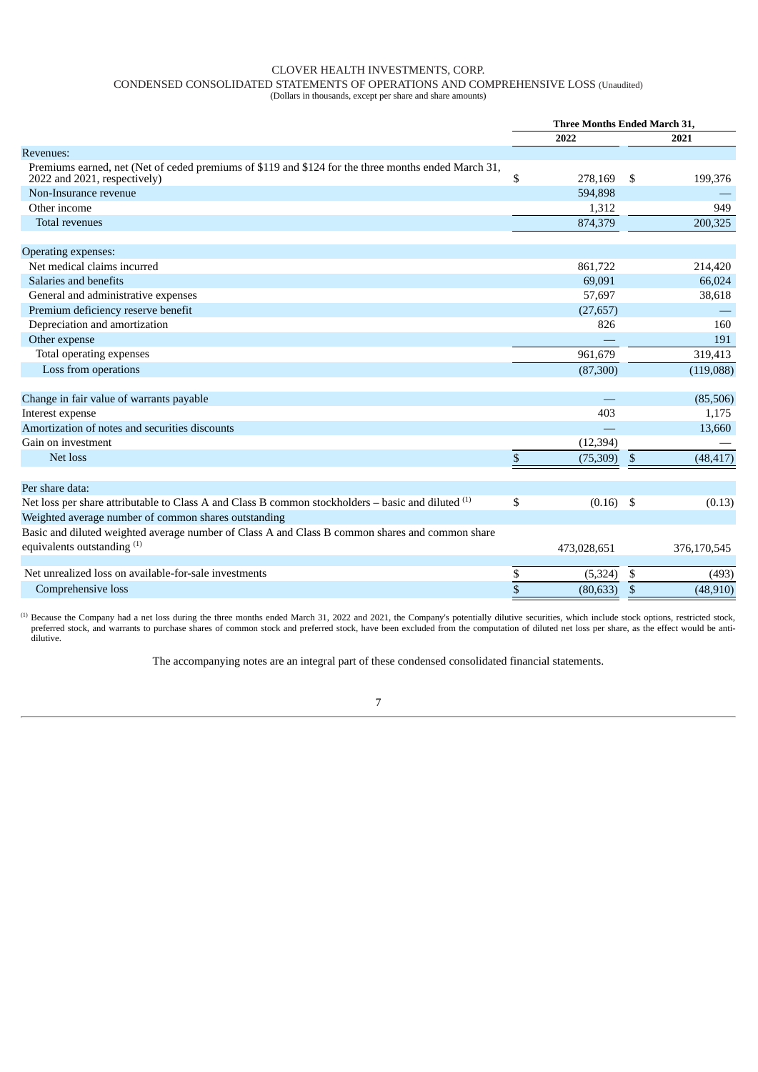## CLOVER HEALTH INVESTMENTS, CORP.

CONDENSED CONSOLIDATED STATEMENTS OF OPERATIONS AND COMPREHENSIVE LOSS (Unaudited)

(Dollars in thousands, except per share and share amounts)

|                                                                                                                                     | Three Months Ended March 31, |             |                |             |  |
|-------------------------------------------------------------------------------------------------------------------------------------|------------------------------|-------------|----------------|-------------|--|
|                                                                                                                                     |                              | 2022        |                | 2021        |  |
| Revenues:                                                                                                                           |                              |             |                |             |  |
| Premiums earned, net (Net of ceded premiums of \$119 and \$124 for the three months ended March 31,<br>2022 and 2021, respectively) | \$                           | 278.169     | \$             | 199,376     |  |
| Non-Insurance revenue                                                                                                               |                              | 594.898     |                |             |  |
| Other income                                                                                                                        |                              | 1,312       |                | 949         |  |
| <b>Total revenues</b>                                                                                                               |                              | 874,379     |                | 200,325     |  |
| Operating expenses:                                                                                                                 |                              |             |                |             |  |
| Net medical claims incurred                                                                                                         |                              | 861,722     |                | 214,420     |  |
| Salaries and benefits                                                                                                               |                              | 69,091      |                | 66,024      |  |
| General and administrative expenses                                                                                                 |                              | 57,697      |                | 38,618      |  |
| Premium deficiency reserve benefit                                                                                                  |                              | (27, 657)   |                |             |  |
| Depreciation and amortization                                                                                                       |                              | 826         |                | 160         |  |
| Other expense                                                                                                                       |                              |             |                | 191         |  |
| Total operating expenses                                                                                                            |                              | 961,679     |                | 319,413     |  |
| Loss from operations                                                                                                                |                              | (87, 300)   |                | (119,088)   |  |
| Change in fair value of warrants payable                                                                                            |                              |             |                | (85,506)    |  |
| Interest expense                                                                                                                    |                              | 403         |                | 1,175       |  |
| Amortization of notes and securities discounts                                                                                      |                              |             |                | 13,660      |  |
| Gain on investment                                                                                                                  |                              | (12, 394)   |                |             |  |
| Net loss                                                                                                                            | \$                           | (75, 309)   | $\mathfrak{F}$ | (48, 417)   |  |
| Per share data:                                                                                                                     |                              |             |                |             |  |
| Net loss per share attributable to Class A and Class B common stockholders – basic and diluted (1)                                  | \$                           | $(0.16)$ \$ |                | (0.13)      |  |
| Weighted average number of common shares outstanding                                                                                |                              |             |                |             |  |
| Basic and diluted weighted average number of Class A and Class B common shares and common share<br>equivalents outstanding $(1)$    |                              | 473,028,651 |                | 376,170,545 |  |
| Net unrealized loss on available-for-sale investments                                                                               | \$                           | (5,324)     | \$             | (493)       |  |
| Comprehensive loss                                                                                                                  | $\overline{\mathbf{S}}$      | (80, 633)   | $\mathbb{S}$   | (48,910)    |  |

<span id="page-6-0"></span>Because the Company had a net loss during the three months ended March 31, 2022 and 2021, the Company's potentially dilutive securities, which include stock options, restricted stock, preferred stock, and warrants to purchase shares of common stock and preferred stock, have been excluded from the computation of diluted net loss per share, as the effect would be antidilutive. (1)

The accompanying notes are an integral part of these condensed consolidated financial statements.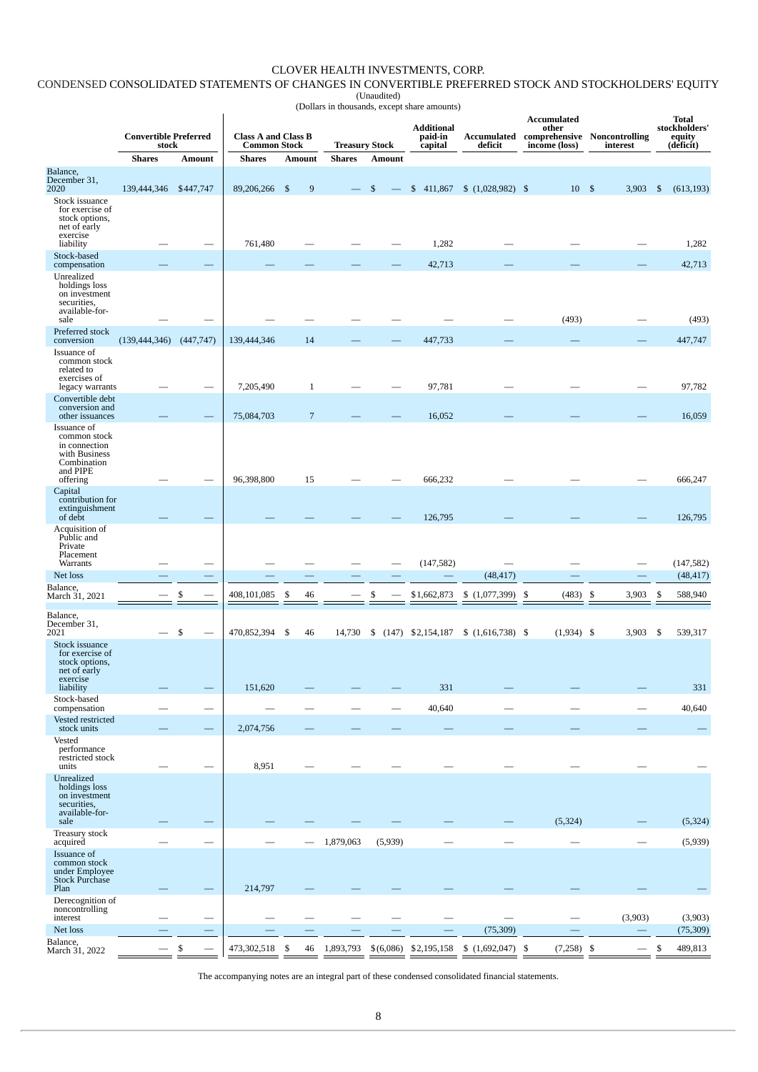## CLOVER HEALTH INVESTMENTS, CORP.

## CONDENSED CONSOLIDATED STATEMENTS OF CHANGES IN CONVERTIBLE PREFERRED STOCK AND STOCKHOLDERS' EQUITY

(Unaudited) (Dollars in thousands, except share amounts)

|                                                                                                      | <b>Convertible Preferred</b><br>stock |                                | <b>Class A and Class B</b><br><b>Common Stock</b> |               |                 | <b>Treasury Stock</b>    | <b>Additional</b><br>paid-in<br>capital | deficit                 | <b>Accumulated</b><br>other<br>Accumulated comprehensive Noncontrolling<br>income (loss) | interest                      | <b>Total</b><br>stockholders'<br>equity<br>(deficit) |
|------------------------------------------------------------------------------------------------------|---------------------------------------|--------------------------------|---------------------------------------------------|---------------|-----------------|--------------------------|-----------------------------------------|-------------------------|------------------------------------------------------------------------------------------|-------------------------------|------------------------------------------------------|
|                                                                                                      | <b>Shares</b>                         | <b>Amount</b>                  | <b>Shares</b>                                     | <b>Amount</b> | <b>Shares</b>   | <b>Amount</b>            |                                         |                         |                                                                                          |                               |                                                      |
| Balance,<br>December 31,<br>2020                                                                     | 139,444,346                           | \$447,747                      | 89,206,266                                        | -\$           | 9               | S                        | \$411,867                               | $$(1,028,982)$ \,       | 10                                                                                       | - \$<br>3,903                 | $\mathfrak{F}$<br>(613, 193)                         |
| Stock issuance<br>for exercise of<br>stock options,<br>net of early<br>exercise                      |                                       |                                |                                                   |               |                 |                          |                                         |                         |                                                                                          |                               |                                                      |
| liability                                                                                            |                                       |                                | 761,480                                           |               |                 |                          | 1,282                                   |                         |                                                                                          |                               | 1,282                                                |
| Stock-based<br>compensation                                                                          |                                       |                                |                                                   |               |                 |                          | 42,713                                  |                         |                                                                                          |                               | 42,713                                               |
| Unrealized<br>holdings loss<br>on investment<br>securities,<br>available-for-<br>sale                |                                       |                                |                                                   |               |                 |                          |                                         |                         | (493)                                                                                    |                               | (493)                                                |
| Preferred stock<br>conversion                                                                        | (139, 444, 346)                       | (447, 747)                     | 139,444,346                                       |               | 14              |                          | 447,733                                 |                         |                                                                                          |                               | 447,747                                              |
| Issuance of<br>common stock<br>related to                                                            |                                       |                                |                                                   |               |                 |                          |                                         |                         |                                                                                          |                               |                                                      |
| exercises of<br>legacy warrants<br>Convertible debt                                                  |                                       |                                | 7,205,490                                         |               | $\mathbf{1}$    |                          | 97,781                                  |                         |                                                                                          |                               | 97,782                                               |
| conversion and<br>other issuances                                                                    |                                       |                                | 75,084,703                                        |               | 7               |                          | 16,052                                  |                         |                                                                                          |                               | 16,059                                               |
| Issuance of<br>common stock<br>in connection<br>with Business<br>Combination<br>and PIPE<br>offering |                                       |                                | 96,398,800                                        |               | 15              |                          | 666,232                                 |                         |                                                                                          |                               | 666,247                                              |
| Capital<br>contribution for<br>extinguishment<br>of debt                                             |                                       |                                |                                                   |               |                 |                          | 126,795                                 |                         |                                                                                          |                               | 126,795                                              |
| Acquisition of<br>Public and<br>Private<br>Placement<br>Warrants                                     |                                       |                                |                                                   |               |                 |                          | (147, 582)                              |                         |                                                                                          |                               | (147, 582)                                           |
| Net loss                                                                                             |                                       |                                |                                                   |               |                 |                          |                                         | (48, 417)               |                                                                                          |                               | (48, 417)                                            |
| Balance,<br>March 31, 2021                                                                           |                                       | \$                             | 408,101,085                                       | \$            | 46              | £.                       | \$1,662,873                             | $$(1,077,399)$ \;       | (483)                                                                                    | \$<br>3,903                   | \$<br>588,940                                        |
| Balance,<br>December 31,<br>2021                                                                     |                                       | \$                             | 470,852,394                                       | \$            | 46<br>14,730    | \$                       | $(147)$ \$2,154,187                     | $$(1,616,738)$ \, \, \, | $(1,934)$ \$                                                                             | 3,903                         | \$<br>539,317                                        |
| Stock issuance<br>for exercise of<br>stock options,<br>net of early<br>exercise                      |                                       |                                |                                                   |               |                 |                          |                                         |                         |                                                                                          |                               |                                                      |
| liability<br>Stock-based                                                                             |                                       |                                | 151,620                                           |               |                 |                          | 331                                     |                         |                                                                                          |                               | 331                                                  |
| compensation                                                                                         |                                       |                                |                                                   |               |                 | $\overline{\phantom{0}}$ | 40,640                                  |                         |                                                                                          |                               | 40,640                                               |
| Vested restricted<br>stock units                                                                     |                                       |                                | 2,074,756                                         |               |                 |                          |                                         |                         |                                                                                          |                               |                                                      |
| Vested<br>performance<br>restricted stock<br>units                                                   |                                       |                                | 8,951                                             |               |                 |                          |                                         |                         |                                                                                          |                               |                                                      |
| Unrealized<br>holdings loss<br>on investment<br>securities,<br>available-for-                        |                                       |                                |                                                   |               |                 |                          |                                         |                         |                                                                                          |                               |                                                      |
| sale<br>Treasury stock                                                                               |                                       |                                |                                                   |               |                 |                          |                                         |                         | (5, 324)                                                                                 |                               | (5, 324)                                             |
| acquired<br>Issuance of<br>common stock<br>under Employee<br>Stock Purchase                          |                                       | $\overline{\phantom{0}}$       |                                                   |               | 1,879,063       | (5,939)                  | $\overline{\phantom{0}}$                |                         | $\overline{\phantom{0}}$                                                                 | $\overline{\phantom{0}}$      | (5,939)                                              |
| Plan<br>Derecognition of<br>noncontrolling                                                           |                                       |                                | 214,797                                           |               |                 |                          |                                         |                         |                                                                                          |                               |                                                      |
| interest<br>Net loss                                                                                 |                                       |                                |                                                   |               |                 |                          |                                         | (75, 309)               |                                                                                          | (3,903)                       | (3,903)<br>(75, 309)                                 |
| Balance,<br>March 31, 2022                                                                           | $\overline{\phantom{0}}$              | \$<br>$\overline{\phantom{0}}$ | 473,302,518                                       | \$            | 46<br>1,893,793 | \$(6,086)                | \$2,195,158                             | $$(1,692,047)$ \;       | $(7,258)$ \$                                                                             | $\overbrace{\phantom{aaaaa}}$ | \$<br>489,813                                        |

<span id="page-7-0"></span>The accompanying notes are an integral part of these condensed consolidated financial statements.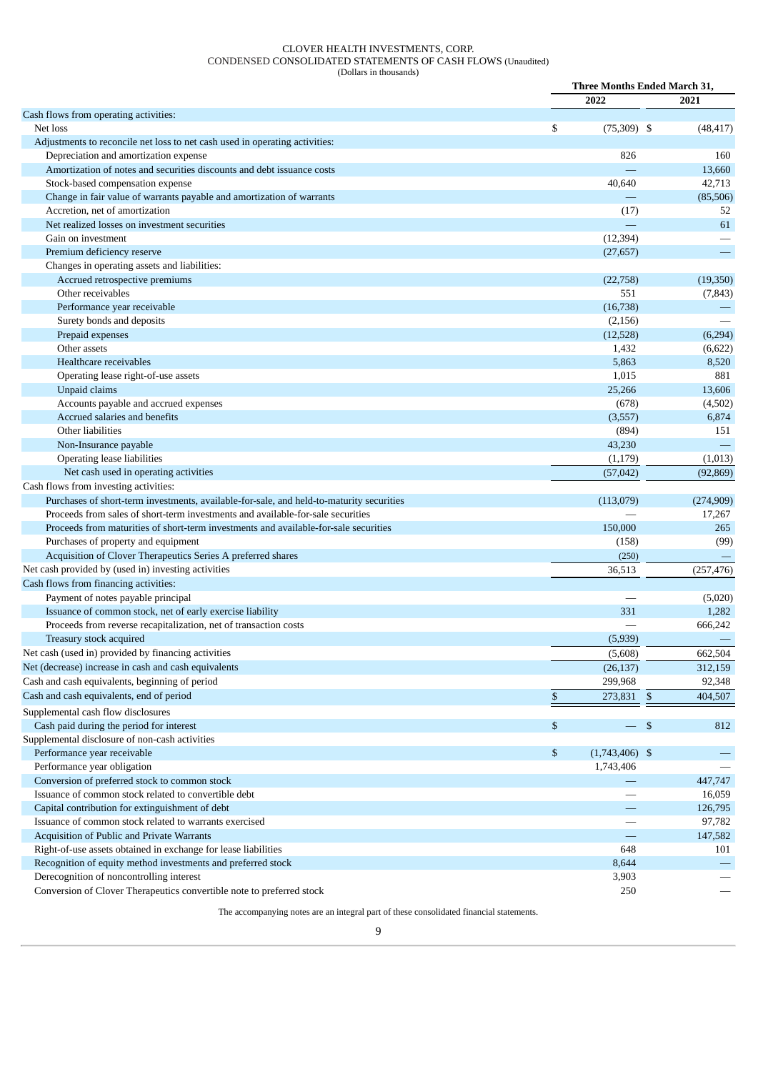## CLOVER HEALTH INVESTMENTS, CORP. CONDENSED CONSOLIDATED STATEMENTS OF CASH FLOWS (Unaudited) (Dollars in thousands)

|                                                                                          | <b>Three Months Ended March 31,</b> |    |            |  |
|------------------------------------------------------------------------------------------|-------------------------------------|----|------------|--|
|                                                                                          | 2022                                |    | 2021       |  |
| Cash flows from operating activities:                                                    |                                     |    |            |  |
| Net loss                                                                                 | \$<br>$(75,309)$ \$                 |    | (48, 417)  |  |
| Adjustments to reconcile net loss to net cash used in operating activities:              |                                     |    |            |  |
| Depreciation and amortization expense                                                    | 826                                 |    | 160        |  |
| Amortization of notes and securities discounts and debt issuance costs                   |                                     |    | 13,660     |  |
| Stock-based compensation expense                                                         | 40,640                              |    | 42,713     |  |
| Change in fair value of warrants payable and amortization of warrants                    |                                     |    | (85,506)   |  |
| Accretion, net of amortization                                                           | (17)                                |    | 52         |  |
| Net realized losses on investment securities                                             |                                     |    | 61         |  |
| Gain on investment<br>Premium deficiency reserve                                         | (12, 394)<br>(27, 657)              |    |            |  |
| Changes in operating assets and liabilities:                                             |                                     |    |            |  |
| Accrued retrospective premiums                                                           | (22,758)                            |    | (19,350)   |  |
| Other receivables                                                                        | 551                                 |    | (7, 843)   |  |
| Performance year receivable                                                              | (16, 738)                           |    |            |  |
| Surety bonds and deposits                                                                | (2, 156)                            |    |            |  |
| Prepaid expenses                                                                         | (12,528)                            |    | (6,294)    |  |
| Other assets                                                                             | 1,432                               |    | (6,622)    |  |
| Healthcare receivables                                                                   | 5,863                               |    | 8,520      |  |
| Operating lease right-of-use assets                                                      | 1,015                               |    | 881        |  |
| <b>Unpaid claims</b>                                                                     | 25,266                              |    | 13,606     |  |
| Accounts payable and accrued expenses                                                    | (678)                               |    | (4,502)    |  |
| Accrued salaries and benefits                                                            | (3,557)                             |    | 6,874      |  |
| Other liabilities                                                                        | (894)                               |    | 151        |  |
| Non-Insurance payable                                                                    | 43,230                              |    |            |  |
| Operating lease liabilities                                                              | (1,179)                             |    | (1,013)    |  |
| Net cash used in operating activities                                                    | (57, 042)                           |    | (92, 869)  |  |
| Cash flows from investing activities:                                                    |                                     |    |            |  |
| Purchases of short-term investments, available-for-sale, and held-to-maturity securities | (113,079)                           |    | (274,909)  |  |
| Proceeds from sales of short-term investments and available-for-sale securities          |                                     |    | 17,267     |  |
| Proceeds from maturities of short-term investments and available-for-sale securities     | 150,000                             |    | 265        |  |
| Purchases of property and equipment                                                      | (158)                               |    | (99)       |  |
| Acquisition of Clover Therapeutics Series A preferred shares                             | (250)                               |    |            |  |
| Net cash provided by (used in) investing activities                                      | 36,513                              |    | (257, 476) |  |
| Cash flows from financing activities:                                                    |                                     |    |            |  |
| Payment of notes payable principal                                                       |                                     |    | (5,020)    |  |
| Issuance of common stock, net of early exercise liability                                | 331                                 |    | 1,282      |  |
| Proceeds from reverse recapitalization, net of transaction costs                         |                                     |    | 666,242    |  |
| Treasury stock acquired                                                                  | (5,939)                             |    |            |  |
| Net cash (used in) provided by financing activities                                      | (5,608)                             |    | 662,504    |  |
| Net (decrease) increase in cash and cash equivalents                                     | (26, 137)                           |    | 312,159    |  |
| Cash and cash equivalents, beginning of period                                           | 299,968                             |    | 92,348     |  |
| Cash and cash equivalents, end of period                                                 | \$<br>273,831 \$                    |    | 404,507    |  |
| Supplemental cash flow disclosures                                                       |                                     |    |            |  |
| Cash paid during the period for interest                                                 | \$<br>$\overline{\phantom{0}}$      | \$ | 812        |  |
| Supplemental disclosure of non-cash activities                                           |                                     |    |            |  |
| Performance year receivable                                                              | \$<br>$(1,743,406)$ \$              |    |            |  |
| Performance year obligation                                                              | 1,743,406                           |    |            |  |
| Conversion of preferred stock to common stock                                            |                                     |    | 447,747    |  |
| Issuance of common stock related to convertible debt                                     |                                     |    | 16,059     |  |
| Capital contribution for extinguishment of debt                                          |                                     |    | 126,795    |  |
| Issuance of common stock related to warrants exercised                                   |                                     |    | 97,782     |  |
| Acquisition of Public and Private Warrants                                               |                                     |    | 147,582    |  |
| Right-of-use assets obtained in exchange for lease liabilities                           | 648                                 |    | 101        |  |
| Recognition of equity method investments and preferred stock                             | 8,644                               |    |            |  |
| Derecognition of noncontrolling interest                                                 | 3,903                               |    |            |  |
| Conversion of Clover Therapeutics convertible note to preferred stock                    | 250                                 |    |            |  |
|                                                                                          |                                     |    |            |  |

<span id="page-8-0"></span>The accompanying notes are an integral part of these consolidated financial statements.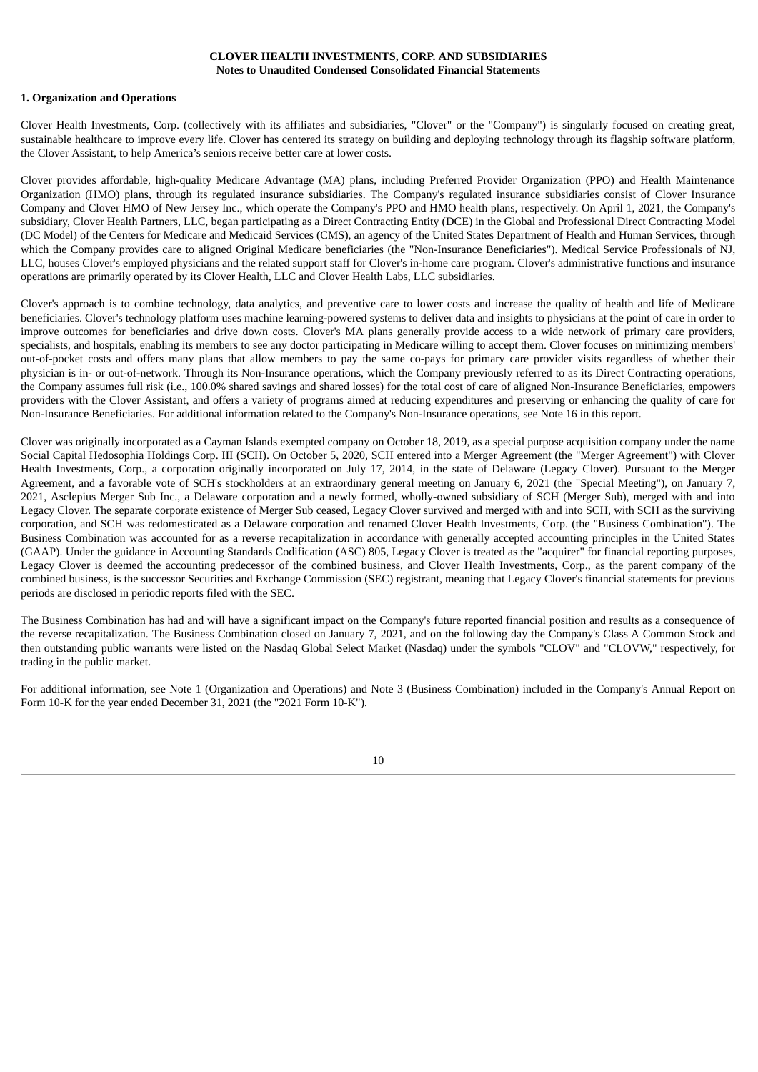## **CLOVER HEALTH INVESTMENTS, CORP. AND SUBSIDIARIES Notes to Unaudited Condensed Consolidated Financial Statements**

## **1. Organization and Operations**

Clover Health Investments, Corp. (collectively with its affiliates and subsidiaries, "Clover" or the "Company") is singularly focused on creating great, sustainable healthcare to improve every life. Clover has centered its strategy on building and deploying technology through its flagship software platform, the Clover Assistant, to help America's seniors receive better care at lower costs.

Clover provides affordable, high-quality Medicare Advantage (MA) plans, including Preferred Provider Organization (PPO) and Health Maintenance Organization (HMO) plans, through its regulated insurance subsidiaries. The Company's regulated insurance subsidiaries consist of Clover Insurance Company and Clover HMO of New Jersey Inc., which operate the Company's PPO and HMO health plans, respectively. On April 1, 2021, the Company's subsidiary, Clover Health Partners, LLC, began participating as a Direct Contracting Entity (DCE) in the Global and Professional Direct Contracting Model (DC Model) of the Centers for Medicare and Medicaid Services (CMS), an agency of the United States Department of Health and Human Services, through which the Company provides care to aligned Original Medicare beneficiaries (the "Non-Insurance Beneficiaries"). Medical Service Professionals of NJ, LLC, houses Clover's employed physicians and the related support staff for Clover's in-home care program. Clover's administrative functions and insurance operations are primarily operated by its Clover Health, LLC and Clover Health Labs, LLC subsidiaries.

Clover's approach is to combine technology, data analytics, and preventive care to lower costs and increase the quality of health and life of Medicare beneficiaries. Clover's technology platform uses machine learning-powered systems to deliver data and insights to physicians at the point of care in order to improve outcomes for beneficiaries and drive down costs. Clover's MA plans generally provide access to a wide network of primary care providers, specialists, and hospitals, enabling its members to see any doctor participating in Medicare willing to accept them. Clover focuses on minimizing members' out-of-pocket costs and offers many plans that allow members to pay the same co-pays for primary care provider visits regardless of whether their physician is in- or out-of-network. Through its Non-Insurance operations, which the Company previously referred to as its Direct Contracting operations, the Company assumes full risk (i.e., 100.0% shared savings and shared losses) for the total cost of care of aligned Non-Insurance Beneficiaries, empowers providers with the Clover Assistant, and offers a variety of programs aimed at reducing expenditures and preserving or enhancing the quality of care for Non-Insurance Beneficiaries. For additional information related to the Company's Non-Insurance operations, see Note 16 in this report.

Clover was originally incorporated as a Cayman Islands exempted company on October 18, 2019, as a special purpose acquisition company under the name Social Capital Hedosophia Holdings Corp. III (SCH). On October 5, 2020, SCH entered into a Merger Agreement (the "Merger Agreement") with Clover Health Investments, Corp., a corporation originally incorporated on July 17, 2014, in the state of Delaware (Legacy Clover). Pursuant to the Merger Agreement, and a favorable vote of SCH's stockholders at an extraordinary general meeting on January 6, 2021 (the "Special Meeting"), on January 7, 2021, Asclepius Merger Sub Inc., a Delaware corporation and a newly formed, wholly-owned subsidiary of SCH (Merger Sub), merged with and into Legacy Clover. The separate corporate existence of Merger Sub ceased, Legacy Clover survived and merged with and into SCH, with SCH as the surviving corporation, and SCH was redomesticated as a Delaware corporation and renamed Clover Health Investments, Corp. (the "Business Combination"). The Business Combination was accounted for as a reverse recapitalization in accordance with generally accepted accounting principles in the United States (GAAP). Under the guidance in Accounting Standards Codification (ASC) 805, Legacy Clover is treated as the "acquirer" for financial reporting purposes, Legacy Clover is deemed the accounting predecessor of the combined business, and Clover Health Investments, Corp., as the parent company of the combined business, is the successor Securities and Exchange Commission (SEC) registrant, meaning that Legacy Clover's financial statements for previous periods are disclosed in periodic reports filed with the SEC.

The Business Combination has had and will have a significant impact on the Company's future reported financial position and results as a consequence of the reverse recapitalization. The Business Combination closed on January 7, 2021, and on the following day the Company's Class A Common Stock and then outstanding public warrants were listed on the Nasdaq Global Select Market (Nasdaq) under the symbols "CLOV" and "CLOVW," respectively, for trading in the public market.

For additional information, see Note 1 (Organization and Operations) and Note 3 (Business Combination) included in the Company's Annual Report on Form 10-K for the year ended December 31, 2021 (the "2021 Form 10-K").

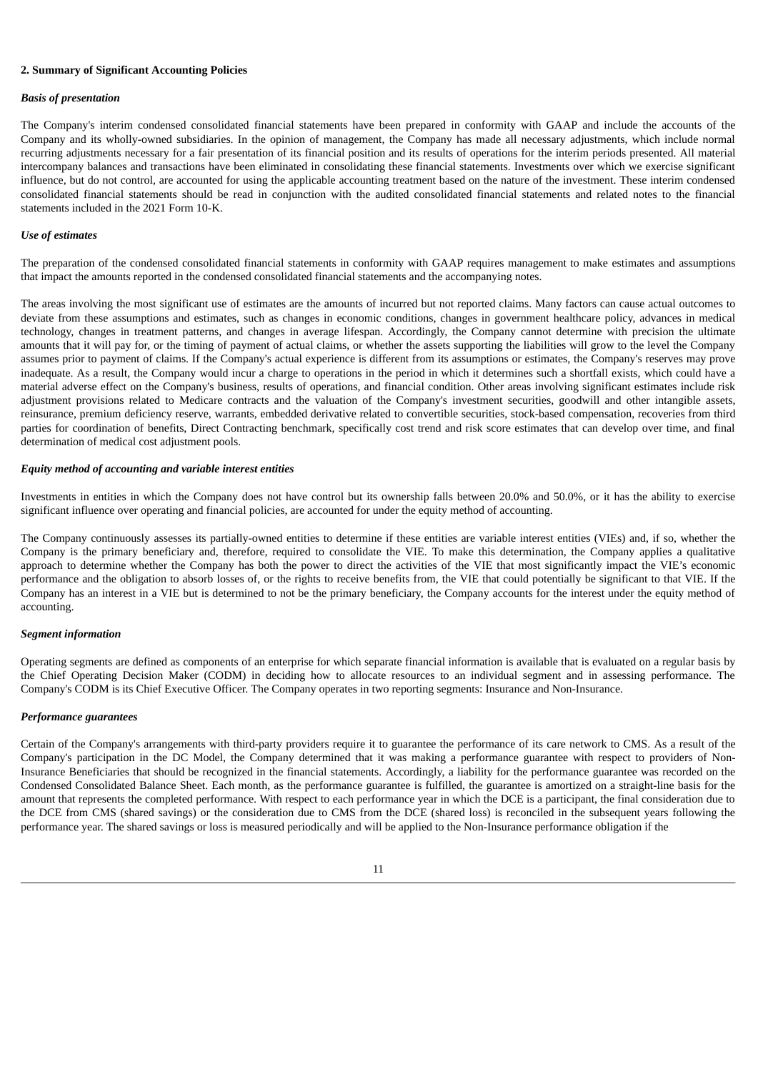## **2. Summary of Significant Accounting Policies**

## *Basis of presentation*

The Company's interim condensed consolidated financial statements have been prepared in conformity with GAAP and include the accounts of the Company and its wholly-owned subsidiaries. In the opinion of management, the Company has made all necessary adjustments, which include normal recurring adjustments necessary for a fair presentation of its financial position and its results of operations for the interim periods presented. All material intercompany balances and transactions have been eliminated in consolidating these financial statements. Investments over which we exercise significant influence, but do not control, are accounted for using the applicable accounting treatment based on the nature of the investment. These interim condensed consolidated financial statements should be read in conjunction with the audited consolidated financial statements and related notes to the financial statements included in the 2021 Form 10-K.

## *Use of estimates*

The preparation of the condensed consolidated financial statements in conformity with GAAP requires management to make estimates and assumptions that impact the amounts reported in the condensed consolidated financial statements and the accompanying notes.

The areas involving the most significant use of estimates are the amounts of incurred but not reported claims. Many factors can cause actual outcomes to deviate from these assumptions and estimates, such as changes in economic conditions, changes in government healthcare policy, advances in medical technology, changes in treatment patterns, and changes in average lifespan. Accordingly, the Company cannot determine with precision the ultimate amounts that it will pay for, or the timing of payment of actual claims, or whether the assets supporting the liabilities will grow to the level the Company assumes prior to payment of claims. If the Company's actual experience is different from its assumptions or estimates, the Company's reserves may prove inadequate. As a result, the Company would incur a charge to operations in the period in which it determines such a shortfall exists, which could have a material adverse effect on the Company's business, results of operations, and financial condition. Other areas involving significant estimates include risk adjustment provisions related to Medicare contracts and the valuation of the Company's investment securities, goodwill and other intangible assets, reinsurance, premium deficiency reserve, warrants, embedded derivative related to convertible securities, stock-based compensation, recoveries from third parties for coordination of benefits, Direct Contracting benchmark, specifically cost trend and risk score estimates that can develop over time, and final determination of medical cost adjustment pools.

## *Equity method of accounting and variable interest entities*

Investments in entities in which the Company does not have control but its ownership falls between 20.0% and 50.0%, or it has the ability to exercise significant influence over operating and financial policies, are accounted for under the equity method of accounting.

The Company continuously assesses its partially-owned entities to determine if these entities are variable interest entities (VIEs) and, if so, whether the Company is the primary beneficiary and, therefore, required to consolidate the VIE. To make this determination, the Company applies a qualitative approach to determine whether the Company has both the power to direct the activities of the VIE that most significantly impact the VIE's economic performance and the obligation to absorb losses of, or the rights to receive benefits from, the VIE that could potentially be significant to that VIE. If the Company has an interest in a VIE but is determined to not be the primary beneficiary, the Company accounts for the interest under the equity method of accounting.

## *Segment information*

Operating segments are defined as components of an enterprise for which separate financial information is available that is evaluated on a regular basis by the Chief Operating Decision Maker (CODM) in deciding how to allocate resources to an individual segment and in assessing performance. The Company's CODM is its Chief Executive Officer. The Company operates in two reporting segments: Insurance and Non-Insurance.

## *Performance guarantees*

Certain of the Company's arrangements with third-party providers require it to guarantee the performance of its care network to CMS. As a result of the Company's participation in the DC Model, the Company determined that it was making a performance guarantee with respect to providers of Non-Insurance Beneficiaries that should be recognized in the financial statements. Accordingly, a liability for the performance guarantee was recorded on the Condensed Consolidated Balance Sheet. Each month, as the performance guarantee is fulfilled, the guarantee is amortized on a straight-line basis for the amount that represents the completed performance. With respect to each performance year in which the DCE is a participant, the final consideration due to the DCE from CMS (shared savings) or the consideration due to CMS from the DCE (shared loss) is reconciled in the subsequent years following the performance year. The shared savings or loss is measured periodically and will be applied to the Non-Insurance performance obligation if the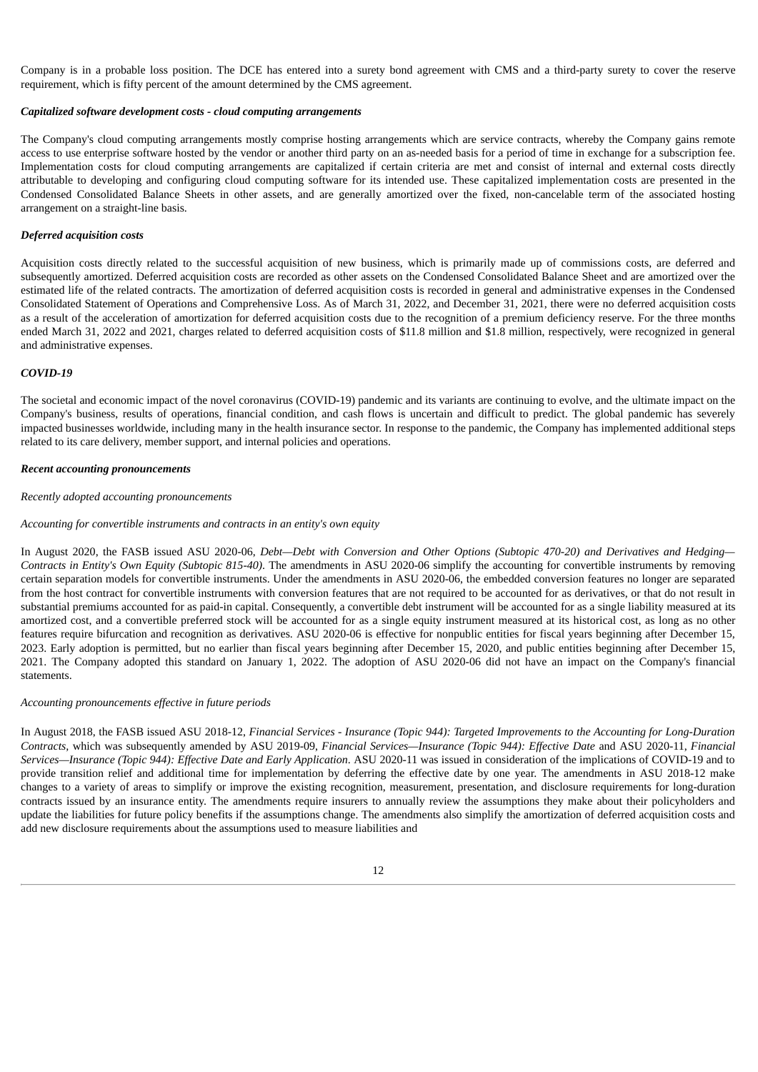Company is in a probable loss position. The DCE has entered into a surety bond agreement with CMS and a third-party surety to cover the reserve requirement, which is fifty percent of the amount determined by the CMS agreement.

## *Capitalized software development costs - cloud computing arrangements*

The Company's cloud computing arrangements mostly comprise hosting arrangements which are service contracts, whereby the Company gains remote access to use enterprise software hosted by the vendor or another third party on an as-needed basis for a period of time in exchange for a subscription fee. Implementation costs for cloud computing arrangements are capitalized if certain criteria are met and consist of internal and external costs directly attributable to developing and configuring cloud computing software for its intended use. These capitalized implementation costs are presented in the Condensed Consolidated Balance Sheets in other assets, and are generally amortized over the fixed, non-cancelable term of the associated hosting arrangement on a straight-line basis.

## *Deferred acquisition costs*

Acquisition costs directly related to the successful acquisition of new business, which is primarily made up of commissions costs, are deferred and subsequently amortized. Deferred acquisition costs are recorded as other assets on the Condensed Consolidated Balance Sheet and are amortized over the estimated life of the related contracts. The amortization of deferred acquisition costs is recorded in general and administrative expenses in the Condensed Consolidated Statement of Operations and Comprehensive Loss. As of March 31, 2022, and December 31, 2021, there were no deferred acquisition costs as a result of the acceleration of amortization for deferred acquisition costs due to the recognition of a premium deficiency reserve. For the three months ended March 31, 2022 and 2021, charges related to deferred acquisition costs of \$11.8 million and \$1.8 million, respectively, were recognized in general and administrative expenses.

## *COVID-19*

The societal and economic impact of the novel coronavirus (COVID-19) pandemic and its variants are continuing to evolve, and the ultimate impact on the Company's business, results of operations, financial condition, and cash flows is uncertain and difficult to predict. The global pandemic has severely impacted businesses worldwide, including many in the health insurance sector. In response to the pandemic, the Company has implemented additional steps related to its care delivery, member support, and internal policies and operations.

## *Recent accounting pronouncements*

## *Recently adopted accounting pronouncements*

#### *Accounting for convertible instruments and contracts in an entity's own equity*

In August 2020, the FASB issued ASU 2020-06, *Debt—Debt with Conversion and Other Options (Subtopic 470-20) and Derivatives and Hedging— Contracts in Entity's Own Equity (Subtopic 815-40)*. The amendments in ASU 2020-06 simplify the accounting for convertible instruments by removing certain separation models for convertible instruments. Under the amendments in ASU 2020-06, the embedded conversion features no longer are separated from the host contract for convertible instruments with conversion features that are not required to be accounted for as derivatives, or that do not result in substantial premiums accounted for as paid-in capital. Consequently, a convertible debt instrument will be accounted for as a single liability measured at its amortized cost, and a convertible preferred stock will be accounted for as a single equity instrument measured at its historical cost, as long as no other features require bifurcation and recognition as derivatives. ASU 2020-06 is effective for nonpublic entities for fiscal years beginning after December 15, 2023. Early adoption is permitted, but no earlier than fiscal years beginning after December 15, 2020, and public entities beginning after December 15, 2021. The Company adopted this standard on January 1, 2022. The adoption of ASU 2020-06 did not have an impact on the Company's financial statements.

## *Accounting pronouncements effective in future periods*

In August 2018, the FASB issued ASU 2018-12, Financial Services - Insurance (Topic 944): Targeted Improvements to the Accounting for Long-Duration *Contracts,* which was subsequently amended by ASU 2019-09, *Financial Services—Insurance (Topic 944): Effective Date* and ASU 2020-11, *Financial Services—Insurance (Topic 944): Effective Date and Early Application*. ASU 2020-11 was issued in consideration of the implications of COVID-19 and to provide transition relief and additional time for implementation by deferring the effective date by one year. The amendments in ASU 2018-12 make changes to a variety of areas to simplify or improve the existing recognition, measurement, presentation, and disclosure requirements for long-duration contracts issued by an insurance entity. The amendments require insurers to annually review the assumptions they make about their policyholders and update the liabilities for future policy benefits if the assumptions change. The amendments also simplify the amortization of deferred acquisition costs and add new disclosure requirements about the assumptions used to measure liabilities and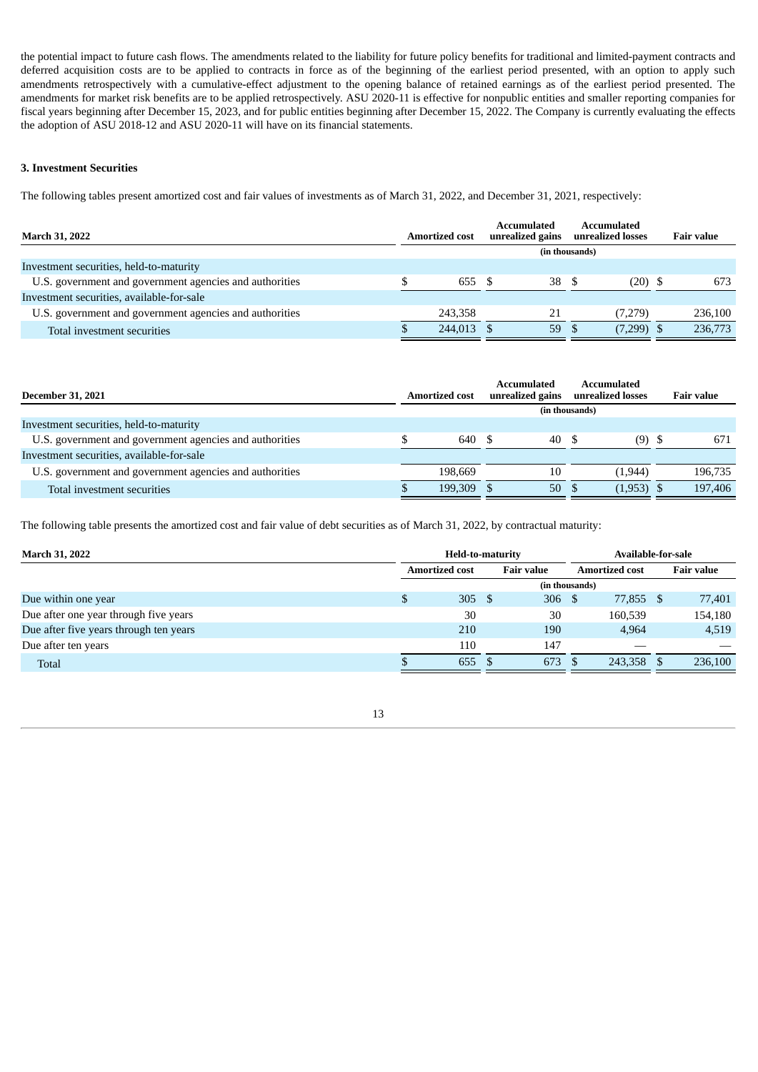the potential impact to future cash flows. The amendments related to the liability for future policy benefits for traditional and limited-payment contracts and deferred acquisition costs are to be applied to contracts in force as of the beginning of the earliest period presented, with an option to apply such amendments retrospectively with a cumulative-effect adjustment to the opening balance of retained earnings as of the earliest period presented. The amendments for market risk benefits are to be applied retrospectively. ASU 2020-11 is effective for nonpublic entities and smaller reporting companies for fiscal years beginning after December 15, 2023, and for public entities beginning after December 15, 2022. The Company is currently evaluating the effects the adoption of ASU 2018-12 and ASU 2020-11 will have on its financial statements.

## **3. Investment Securities**

The following tables present amortized cost and fair values of investments as of March 31, 2022, and December 31, 2021, respectively:

| <b>March 31, 2022</b>                                   |  | <b>Amortized cost</b> | Accumulated<br>unrealized gains | Accumulated<br>unrealized losses | <b>Fair value</b> |
|---------------------------------------------------------|--|-----------------------|---------------------------------|----------------------------------|-------------------|
|                                                         |  |                       | (in thousands)                  |                                  |                   |
| Investment securities, held-to-maturity                 |  |                       |                                 |                                  |                   |
| U.S. government and government agencies and authorities |  | 655                   | 38                              | $(20)$ \$                        | 673               |
| Investment securities, available-for-sale               |  |                       |                                 |                                  |                   |
| U.S. government and government agencies and authorities |  | 243,358               | 21                              | (7,279)                          | 236,100           |
| Total investment securities                             |  | 244,013               | 59                              | (7,299)                          | 236,773           |

| <b>December 31, 2021</b>                                | <b>Amortized cost</b> | Accumulated<br>unrealized gains |                 |                | Accumulated<br>unrealized losses | <b>Fair value</b> |
|---------------------------------------------------------|-----------------------|---------------------------------|-----------------|----------------|----------------------------------|-------------------|
|                                                         |                       |                                 |                 | (in thousands) |                                  |                   |
| Investment securities, held-to-maturity                 |                       |                                 |                 |                |                                  |                   |
| U.S. government and government agencies and authorities | 640                   |                                 | 40 :            |                | $(9)$ \$                         | 671               |
| Investment securities, available-for-sale               |                       |                                 |                 |                |                                  |                   |
| U.S. government and government agencies and authorities | 198.669               |                                 | 10              |                | (1,944)                          | 196.735           |
| Total investment securities                             | 199.309               |                                 | 50 <sup>2</sup> |                | $(1,953)$ \$                     | 197,406           |

The following table presents the amortized cost and fair value of debt securities as of March 31, 2022, by contractual maturity:

| <b>March 31, 2022</b>                  | <b>Held-to-maturity</b> |     |                   |               |                |            | Available-for-sale |                   |  |
|----------------------------------------|-------------------------|-----|-------------------|---------------|----------------|------------|--------------------|-------------------|--|
|                                        | <b>Amortized cost</b>   |     | <b>Fair value</b> |               | Amortized cost |            |                    | <b>Fair value</b> |  |
|                                        |                         |     |                   |               | (in thousands) |            |                    |                   |  |
| Due within one year                    | S                       |     |                   | $306 \quad $$ |                | 77,855 \$  |                    | 77,401            |  |
| Due after one year through five years  |                         | 30  |                   | 30            |                | 160,539    |                    | 154,180           |  |
| Due after five years through ten years |                         | 210 |                   | 190           |                | 4.964      |                    | 4,519             |  |
| Due after ten years                    |                         | 110 |                   | 147           |                |            |                    |                   |  |
| <b>Total</b>                           |                         | 655 |                   | 673           |                | 243,358 \$ |                    | 236,100           |  |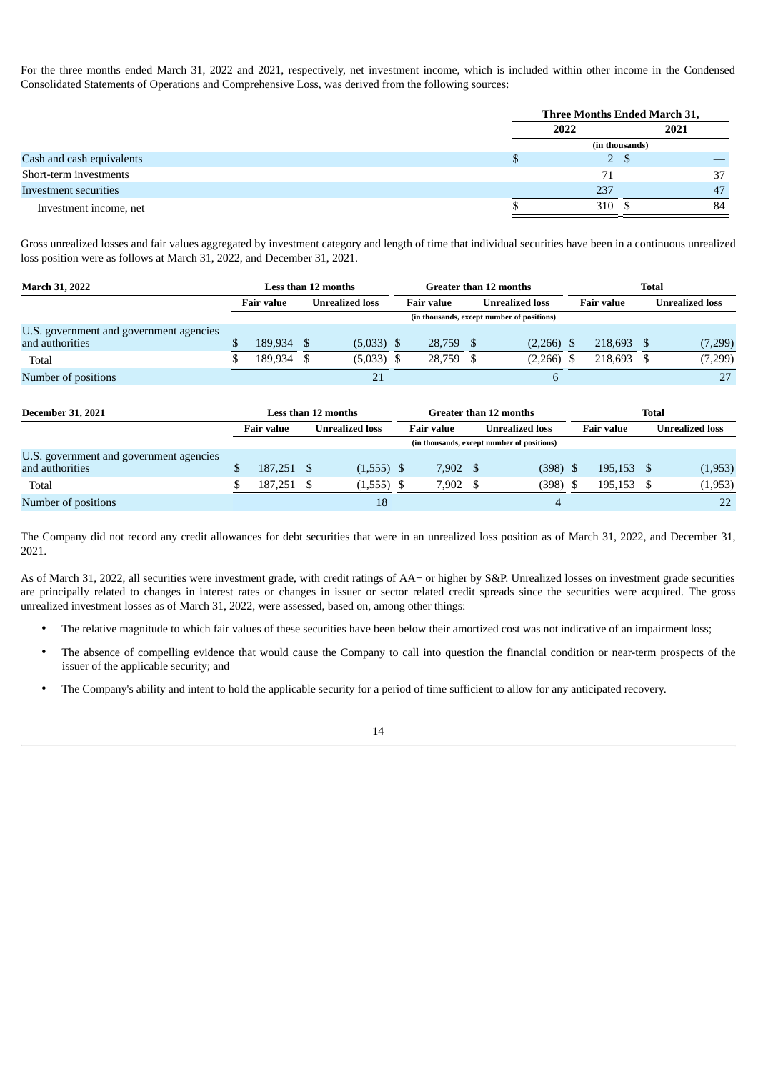For the three months ended March 31, 2022 and 2021, respectively, net investment income, which is included within other income in the Condensed Consolidated Statements of Operations and Comprehensive Loss, was derived from the following sources:

|                           | <b>Three Months Ended March 31,</b> |      |  |  |  |
|---------------------------|-------------------------------------|------|--|--|--|
|                           | 2022                                | 2021 |  |  |  |
|                           | (in thousands)                      |      |  |  |  |
| Cash and cash equivalents | 2 \$                                |      |  |  |  |
| Short-term investments    | 71                                  |      |  |  |  |
| Investment securities     | 237                                 | 47   |  |  |  |
| Investment income, net    | 310 \$                              | 84   |  |  |  |

Gross unrealized losses and fair values aggregated by investment category and length of time that individual securities have been in a continuous unrealized loss position were as follows at March 31, 2022, and December 31, 2021.

| <b>March 31, 2022</b>                                      |     |                   | Less than 12 months    | <b>Greater than 12 months</b> |                   |    | <b>Total</b>                               |                   |    |                        |
|------------------------------------------------------------|-----|-------------------|------------------------|-------------------------------|-------------------|----|--------------------------------------------|-------------------|----|------------------------|
|                                                            |     | <b>Fair value</b> | <b>Unrealized loss</b> |                               | <b>Fair value</b> |    | <b>Unrealized loss</b>                     | <b>Fair value</b> |    | <b>Unrealized loss</b> |
|                                                            |     |                   |                        |                               |                   |    | (in thousands, except number of positions) |                   |    |                        |
| U.S. government and government agencies<br>and authorities | \$  | 189,934 \$        | $(5,033)$ \$           |                               | 28,759 \$         |    | $(2,266)$ \$                               | 218,693 \$        |    | (7,299)                |
| Total                                                      |     | 189,934 \$        | $(5,033)$ \$           |                               | 28,759            | -S | $(2,266)$ \$                               | 218,693           | -S | (7,299)                |
| Number of positions                                        |     |                   | 21                     |                               |                   |    | 6                                          |                   |    | 27                     |
|                                                            |     |                   |                        |                               |                   |    |                                            |                   |    |                        |
| <b>December 31, 2021</b>                                   |     |                   | Less than 12 months    |                               |                   |    | Greater than 12 months                     |                   |    | Total                  |
|                                                            |     | <b>Fair value</b> | <b>Unrealized loss</b> |                               | <b>Fair value</b> |    | <b>Unrealized loss</b>                     | <b>Fair value</b> |    | <b>Unrealized loss</b> |
|                                                            |     |                   |                        |                               |                   |    | (in thousands, except number of positions) |                   |    |                        |
| U.S. government and government agencies<br>and authorities | \$. | 187,251 \$        | $(1,555)$ \$           |                               | $7,902 \quad $$   |    | $(398)$ \$                                 | 195,153 \$        |    | (1,953)                |
| Total                                                      |     | 187,251 \$        | $(1,555)$ \$           |                               | 7,902 \$          |    | $(398)$ \$                                 | 195,153 \$        |    | (1,953)                |
| Number of positions                                        |     |                   | 18                     |                               |                   |    | 4                                          |                   |    | 22                     |

The Company did not record any credit allowances for debt securities that were in an unrealized loss position as of March 31, 2022, and December 31, 2021.

As of March 31, 2022, all securities were investment grade, with credit ratings of AA+ or higher by S&P. Unrealized losses on investment grade securities are principally related to changes in interest rates or changes in issuer or sector related credit spreads since the securities were acquired. The gross unrealized investment losses as of March 31, 2022, were assessed, based on, among other things:

- The relative magnitude to which fair values of these securities have been below their amortized cost was not indicative of an impairment loss;
- The absence of compelling evidence that would cause the Company to call into question the financial condition or near-term prospects of the issuer of the applicable security; and
- The Company's ability and intent to hold the applicable security for a period of time sufficient to allow for any anticipated recovery.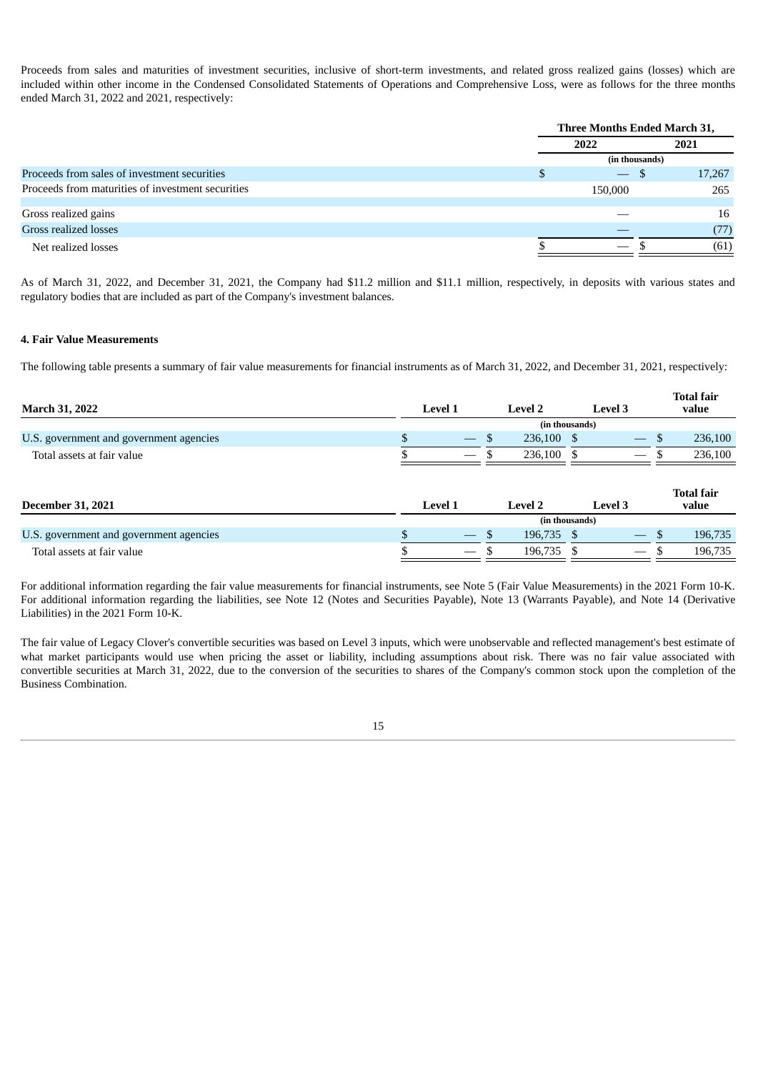Proceeds from sales and maturities of investment securities, inclusive of short-term investments, and related gross realized gains (losses) which are included within other income in the Condensed Consolidated Statements of Operations and Comprehensive Loss, were as follows for the three months ended March 31, 2022 and 2021, respectively:

|                                                   | Three Months Ended March 31, |                          |        |  |
|---------------------------------------------------|------------------------------|--------------------------|--------|--|
|                                                   |                              | 2022                     | 2021   |  |
|                                                   |                              | (in thousands)           |        |  |
| Proceeds from sales of investment securities      |                              | $\overline{\phantom{0}}$ | 17,267 |  |
| Proceeds from maturities of investment securities |                              | 150,000                  | 265    |  |
|                                                   |                              |                          |        |  |
| Gross realized gains                              |                              |                          | 16     |  |
| Gross realized losses                             |                              |                          | (77)   |  |
| Net realized losses                               |                              |                          | (61)   |  |

As of March 31, 2022, and December 31, 2021, the Company had \$11.2 million and \$11.1 million, respectively, in deposits with various states and regulatory bodies that are included as part of the Company's investment balances.

## **4. Fair Value Measurements**

The following table presents a summary of fair value measurements for financial instruments as of March 31, 2022, and December 31, 2021, respectively:

| <b>March 31, 2022</b>                   | <b>Level 1</b>           | Level 2        | <b>Level</b> 3           | <b>Total fair</b><br>value |
|-----------------------------------------|--------------------------|----------------|--------------------------|----------------------------|
|                                         |                          | (in thousands) |                          |                            |
| U.S. government and government agencies | $\overline{\phantom{a}}$ | 236,100 \$     | $\overline{\phantom{0}}$ | 236,100                    |
| Total assets at fair value              | $\overline{\phantom{0}}$ | 236,100        |                          | 236,100                    |
| <b>December 31, 2021</b>                | <b>Level 1</b>           | <b>Level 2</b> | <b>Level 3</b>           | <b>Total fair</b><br>value |
|                                         |                          | (in thousands) |                          |                            |
| U.S. government and government agencies | $\frac{1}{2}$            | 196,735 \$     | $-$ \$                   | 196,735                    |
| Total assets at fair value              |                          | 196,735        |                          | 196,735                    |
|                                         |                          |                |                          |                            |

For additional information regarding the fair value measurements for financial instruments, see Note 5 (Fair Value Measurements) in the 2021 Form 10-K. For additional information regarding the liabilities, see Note 12 (Notes and Securities Payable), Note 13 (Warrants Payable), and Note 14 (Derivative Liabilities) in the 2021 Form 10-K.

The fair value of Legacy Clover's convertible securities was based on Level 3 inputs, which were unobservable and reflected management's best estimate of what market participants would use when pricing the asset or liability, including assumptions about risk. There was no fair value associated with convertible securities at March 31, 2022, due to the conversion of the securities to shares of the Company's common stock upon the completion of the Business Combination.

15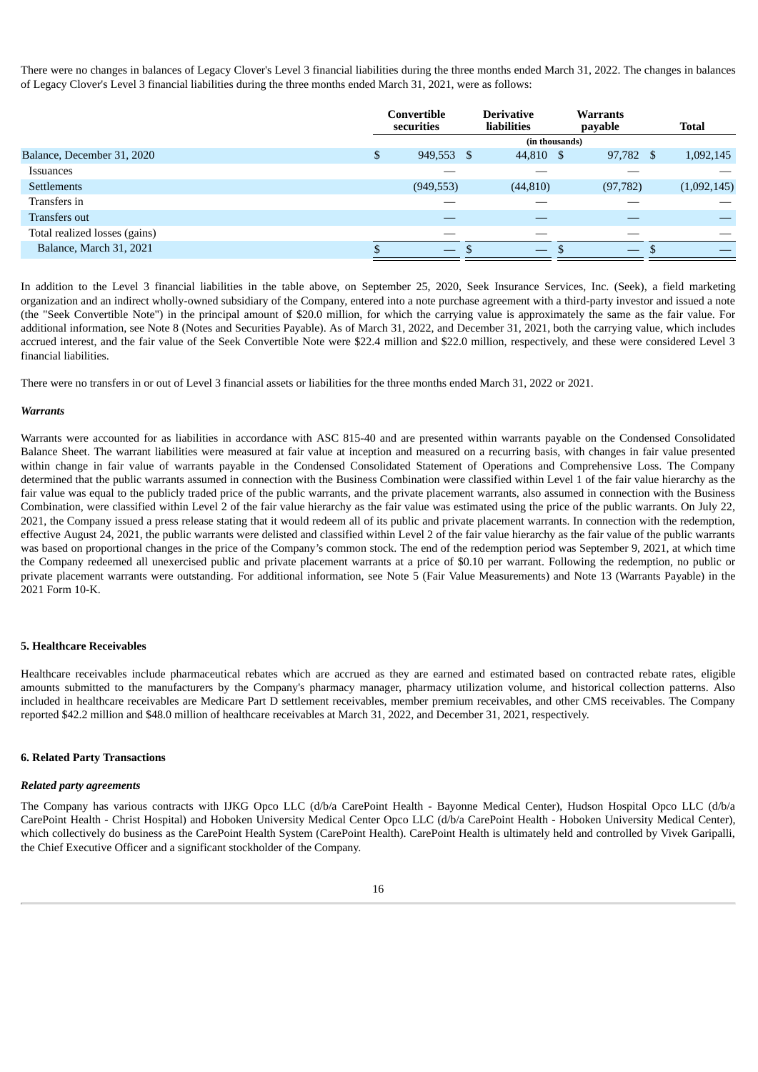There were no changes in balances of Legacy Clover's Level 3 financial liabilities during the three months ended March 31, 2022. The changes in balances of Legacy Clover's Level 3 financial liabilities during the three months ended March 31, 2021, were as follows:

|                               | Convertible<br>securities | <b>Derivative</b><br><b>liabilities</b> |      | <b>Warrants</b><br>payable | <b>Total</b> |
|-------------------------------|---------------------------|-----------------------------------------|------|----------------------------|--------------|
|                               |                           | (in thousands)                          |      |                            |              |
| Balance, December 31, 2020    | \$<br>949,553 \$          | 44,810                                  | - \$ | 97,782 \$                  | 1,092,145    |
| <i>Issuances</i>              |                           |                                         |      |                            |              |
| <b>Settlements</b>            | (949, 553)                | (44, 810)                               |      | (97, 782)                  | (1,092,145)  |
| Transfers in                  |                           |                                         |      |                            |              |
| Transfers out                 |                           | __                                      |      |                            |              |
| Total realized losses (gains) |                           |                                         |      |                            |              |
| Balance, March 31, 2021       | $\overline{\phantom{m}}$  |                                         |      | $\overline{\phantom{m}}$   |              |

In addition to the Level 3 financial liabilities in the table above, on September 25, 2020, Seek Insurance Services, Inc. (Seek), a field marketing organization and an indirect wholly-owned subsidiary of the Company, entered into a note purchase agreement with a third-party investor and issued a note (the "Seek Convertible Note") in the principal amount of \$20.0 million, for which the carrying value is approximately the same as the fair value. For additional information, see Note 8 (Notes and Securities Payable). As of March 31, 2022, and December 31, 2021, both the carrying value, which includes accrued interest, and the fair value of the Seek Convertible Note were \$22.4 million and \$22.0 million, respectively, and these were considered Level 3 financial liabilities.

There were no transfers in or out of Level 3 financial assets or liabilities for the three months ended March 31, 2022 or 2021.

## *Warrants*

Warrants were accounted for as liabilities in accordance with ASC 815-40 and are presented within warrants payable on the Condensed Consolidated Balance Sheet. The warrant liabilities were measured at fair value at inception and measured on a recurring basis, with changes in fair value presented within change in fair value of warrants payable in the Condensed Consolidated Statement of Operations and Comprehensive Loss. The Company determined that the public warrants assumed in connection with the Business Combination were classified within Level 1 of the fair value hierarchy as the fair value was equal to the publicly traded price of the public warrants, and the private placement warrants, also assumed in connection with the Business Combination, were classified within Level 2 of the fair value hierarchy as the fair value was estimated using the price of the public warrants. On July 22, 2021, the Company issued a press release stating that it would redeem all of its public and private placement warrants. In connection with the redemption, effective August 24, 2021, the public warrants were delisted and classified within Level 2 of the fair value hierarchy as the fair value of the public warrants was based on proportional changes in the price of the Company's common stock. The end of the redemption period was September 9, 2021, at which time the Company redeemed all unexercised public and private placement warrants at a price of \$0.10 per warrant. Following the redemption, no public or private placement warrants were outstanding. For additional information, see Note 5 (Fair Value Measurements) and Note 13 (Warrants Payable) in the 2021 Form 10-K.

## **5. Healthcare Receivables**

Healthcare receivables include pharmaceutical rebates which are accrued as they are earned and estimated based on contracted rebate rates, eligible amounts submitted to the manufacturers by the Company's pharmacy manager, pharmacy utilization volume, and historical collection patterns. Also included in healthcare receivables are Medicare Part D settlement receivables, member premium receivables, and other CMS receivables. The Company reported \$42.2 million and \$48.0 million of healthcare receivables at March 31, 2022, and December 31, 2021, respectively.

## **6. Related Party Transactions**

## *Related party agreements*

The Company has various contracts with IJKG Opco LLC (d/b/a CarePoint Health - Bayonne Medical Center), Hudson Hospital Opco LLC (d/b/a CarePoint Health - Christ Hospital) and Hoboken University Medical Center Opco LLC (d/b/a CarePoint Health - Hoboken University Medical Center), which collectively do business as the CarePoint Health System (CarePoint Health). CarePoint Health is ultimately held and controlled by Vivek Garipalli, the Chief Executive Officer and a significant stockholder of the Company.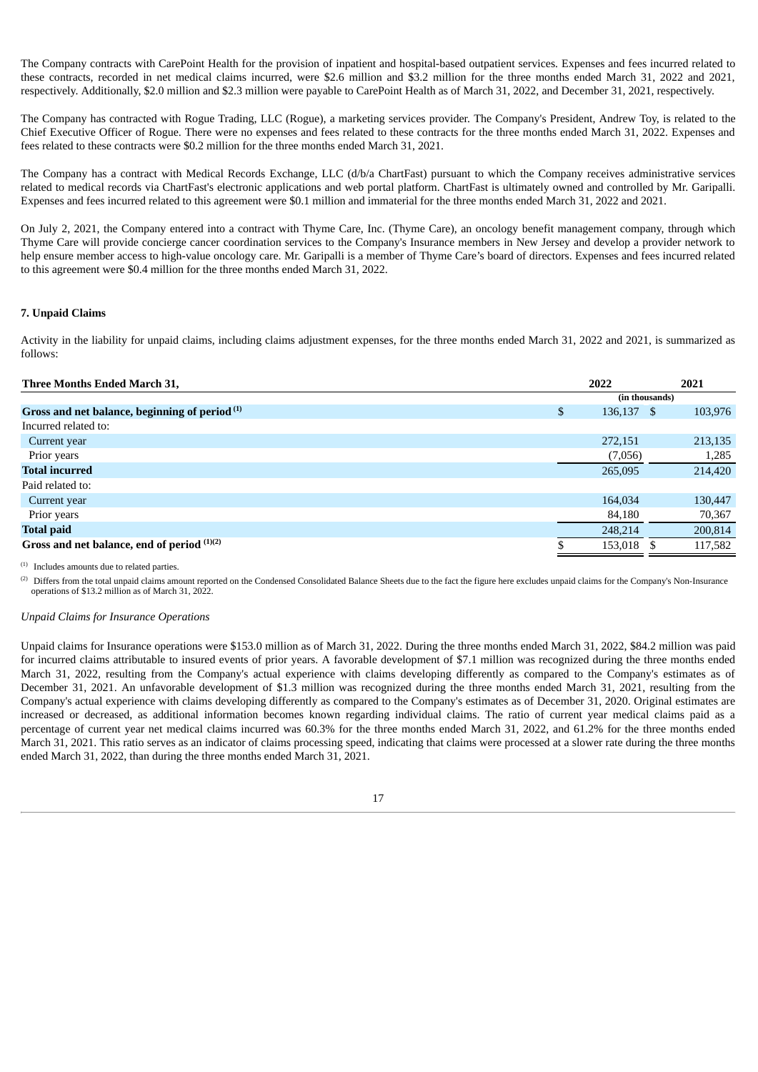The Company contracts with CarePoint Health for the provision of inpatient and hospital-based outpatient services. Expenses and fees incurred related to these contracts, recorded in net medical claims incurred, were \$2.6 million and \$3.2 million for the three months ended March 31, 2022 and 2021, respectively. Additionally, \$2.0 million and \$2.3 million were payable to CarePoint Health as of March 31, 2022, and December 31, 2021, respectively.

The Company has contracted with Rogue Trading, LLC (Rogue), a marketing services provider. The Company's President, Andrew Toy, is related to the Chief Executive Officer of Rogue. There were no expenses and fees related to these contracts for the three months ended March 31, 2022. Expenses and fees related to these contracts were \$0.2 million for the three months ended March 31, 2021.

The Company has a contract with Medical Records Exchange, LLC (d/b/a ChartFast) pursuant to which the Company receives administrative services related to medical records via ChartFast's electronic applications and web portal platform. ChartFast is ultimately owned and controlled by Mr. Garipalli. Expenses and fees incurred related to this agreement were \$0.1 million and immaterial for the three months ended March 31, 2022 and 2021.

On July 2, 2021, the Company entered into a contract with Thyme Care, Inc. (Thyme Care), an oncology benefit management company, through which Thyme Care will provide concierge cancer coordination services to the Company's Insurance members in New Jersey and develop a provider network to help ensure member access to high-value oncology care. Mr. Garipalli is a member of Thyme Care's board of directors. Expenses and fees incurred related to this agreement were \$0.4 million for the three months ended March 31, 2022.

## **7. Unpaid Claims**

Activity in the liability for unpaid claims, including claims adjustment expenses, for the three months ended March 31, 2022 and 2021, is summarized as follows:

| Three Months Ended March 31,                              |         | 2021                  |
|-----------------------------------------------------------|---------|-----------------------|
|                                                           |         | (in thousands)        |
| Gross and net balance, beginning of period <sup>(1)</sup> | \$      | 136,137 \$<br>103,976 |
| Incurred related to:                                      |         |                       |
| Current year                                              | 272,151 | 213,135               |
| Prior years                                               |         | 1,285<br>(7,056)      |
| <b>Total incurred</b>                                     | 265,095 | 214,420               |
| Paid related to:                                          |         |                       |
| Current year                                              | 164,034 | 130,447               |
| Prior years                                               |         | 70,367<br>84,180      |
| <b>Total paid</b>                                         | 248,214 | 200,814               |
| Gross and net balance, end of period (1)(2)               |         | 153,018<br>117,582    |
|                                                           |         |                       |

 $(1)$  Includes amounts due to related parties.

 $^{(2)}$  Differs from the total unpaid claims amount reported on the Condensed Consolidated Balance Sheets due to the fact the figure here excludes unpaid claims for the Company's Non-Insurance operations of \$13.2 million as of March 31, 2022.

## *Unpaid Claims for Insurance Operations*

Unpaid claims for Insurance operations were \$153.0 million as of March 31, 2022. During the three months ended March 31, 2022, \$84.2 million was paid for incurred claims attributable to insured events of prior years. A favorable development of \$7.1 million was recognized during the three months ended March 31, 2022, resulting from the Company's actual experience with claims developing differently as compared to the Company's estimates as of December 31, 2021. An unfavorable development of \$1.3 million was recognized during the three months ended March 31, 2021, resulting from the Company's actual experience with claims developing differently as compared to the Company's estimates as of December 31, 2020. Original estimates are increased or decreased, as additional information becomes known regarding individual claims. The ratio of current year medical claims paid as a percentage of current year net medical claims incurred was 60.3% for the three months ended March 31, 2022, and 61.2% for the three months ended March 31, 2021. This ratio serves as an indicator of claims processing speed, indicating that claims were processed at a slower rate during the three months ended March 31, 2022, than during the three months ended March 31, 2021.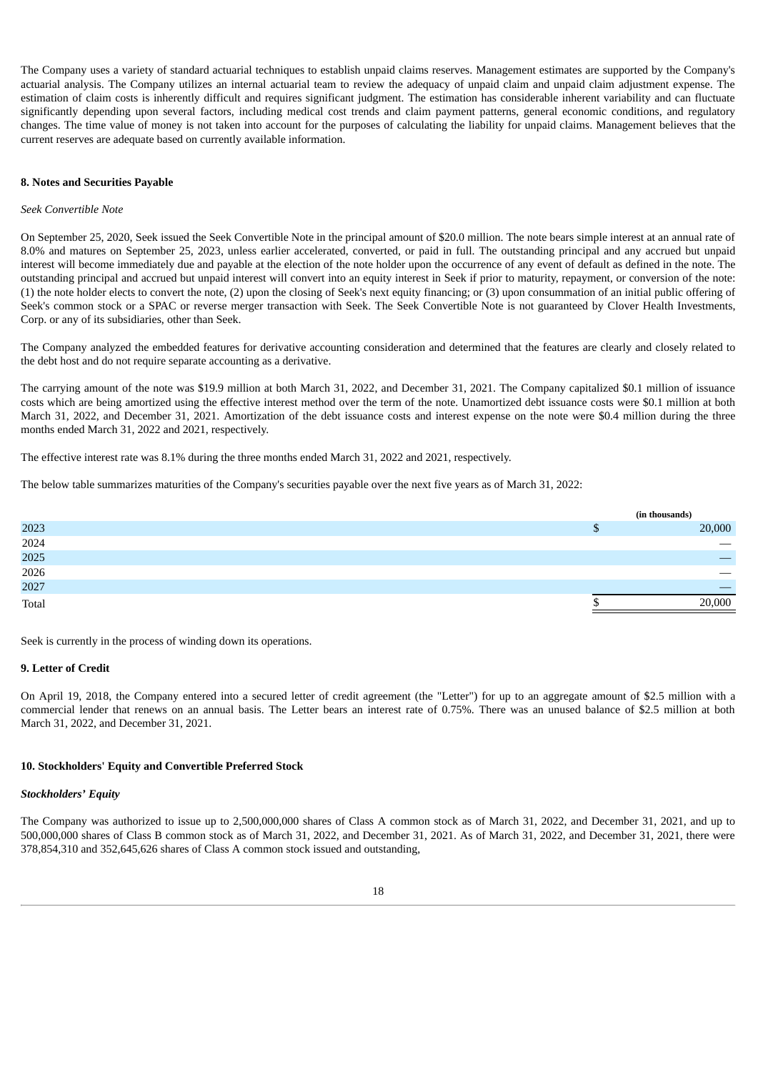The Company uses a variety of standard actuarial techniques to establish unpaid claims reserves. Management estimates are supported by the Company's actuarial analysis. The Company utilizes an internal actuarial team to review the adequacy of unpaid claim and unpaid claim adjustment expense. The estimation of claim costs is inherently difficult and requires significant judgment. The estimation has considerable inherent variability and can fluctuate significantly depending upon several factors, including medical cost trends and claim payment patterns, general economic conditions, and regulatory changes. The time value of money is not taken into account for the purposes of calculating the liability for unpaid claims. Management believes that the current reserves are adequate based on currently available information.

## **8. Notes and Securities Payable**

#### *Seek Convertible Note*

On September 25, 2020, Seek issued the Seek Convertible Note in the principal amount of \$20.0 million. The note bears simple interest at an annual rate of 8.0% and matures on September 25, 2023, unless earlier accelerated, converted, or paid in full. The outstanding principal and any accrued but unpaid interest will become immediately due and payable at the election of the note holder upon the occurrence of any event of default as defined in the note. The outstanding principal and accrued but unpaid interest will convert into an equity interest in Seek if prior to maturity, repayment, or conversion of the note: (1) the note holder elects to convert the note, (2) upon the closing of Seek's next equity financing; or (3) upon consummation of an initial public offering of Seek's common stock or a SPAC or reverse merger transaction with Seek. The Seek Convertible Note is not guaranteed by Clover Health Investments, Corp. or any of its subsidiaries, other than Seek.

The Company analyzed the embedded features for derivative accounting consideration and determined that the features are clearly and closely related to the debt host and do not require separate accounting as a derivative.

The carrying amount of the note was \$19.9 million at both March 31, 2022, and December 31, 2021. The Company capitalized \$0.1 million of issuance costs which are being amortized using the effective interest method over the term of the note. Unamortized debt issuance costs were \$0.1 million at both March 31, 2022, and December 31, 2021. Amortization of the debt issuance costs and interest expense on the note were \$0.4 million during the three months ended March 31, 2022 and 2021, respectively.

The effective interest rate was 8.1% during the three months ended March 31, 2022 and 2021, respectively.

The below table summarizes maturities of the Company's securities payable over the next five years as of March 31, 2022:

|       | (in thousands)           |
|-------|--------------------------|
| 2023  | 20,000                   |
| 2024  |                          |
| 2025  |                          |
| 2026  | $\overline{\phantom{a}}$ |
| 2027  | __                       |
| Total | 20,000                   |
|       |                          |

Seek is currently in the process of winding down its operations.

## **9. Letter of Credit**

On April 19, 2018, the Company entered into a secured letter of credit agreement (the "Letter") for up to an aggregate amount of \$2.5 million with a commercial lender that renews on an annual basis. The Letter bears an interest rate of 0.75%. There was an unused balance of \$2.5 million at both March 31, 2022, and December 31, 2021.

#### **10. Stockholders' Equity and Convertible Preferred Stock**

#### *Stockholders' Equity*

The Company was authorized to issue up to 2,500,000,000 shares of Class A common stock as of March 31, 2022, and December 31, 2021, and up to 500,000,000 shares of Class B common stock as of March 31, 2022, and December 31, 2021. As of March 31, 2022, and December 31, 2021, there were 378,854,310 and 352,645,626 shares of Class A common stock issued and outstanding,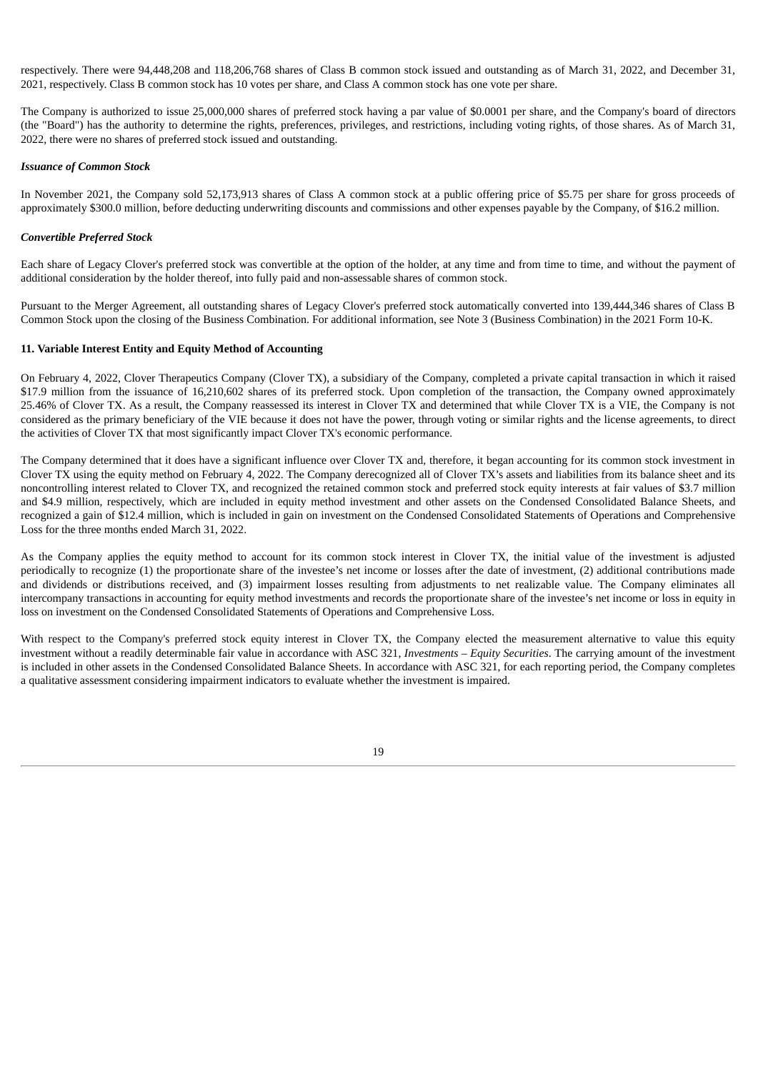respectively. There were 94,448,208 and 118,206,768 shares of Class B common stock issued and outstanding as of March 31, 2022, and December 31, 2021, respectively. Class B common stock has 10 votes per share, and Class A common stock has one vote per share.

The Company is authorized to issue 25,000,000 shares of preferred stock having a par value of \$0.0001 per share, and the Company's board of directors (the "Board") has the authority to determine the rights, preferences, privileges, and restrictions, including voting rights, of those shares. As of March 31, 2022, there were no shares of preferred stock issued and outstanding.

## *Issuance of Common Stock*

In November 2021, the Company sold 52,173,913 shares of Class A common stock at a public offering price of \$5.75 per share for gross proceeds of approximately \$300.0 million, before deducting underwriting discounts and commissions and other expenses payable by the Company, of \$16.2 million.

## *Convertible Preferred Stock*

Each share of Legacy Clover's preferred stock was convertible at the option of the holder, at any time and from time to time, and without the payment of additional consideration by the holder thereof, into fully paid and non-assessable shares of common stock.

Pursuant to the Merger Agreement, all outstanding shares of Legacy Clover's preferred stock automatically converted into 139,444,346 shares of Class B Common Stock upon the closing of the Business Combination. For additional information, see Note 3 (Business Combination) in the 2021 Form 10-K.

## **11. Variable Interest Entity and Equity Method of Accounting**

On February 4, 2022, Clover Therapeutics Company (Clover TX), a subsidiary of the Company, completed a private capital transaction in which it raised \$17.9 million from the issuance of 16,210,602 shares of its preferred stock. Upon completion of the transaction, the Company owned approximately 25.46% of Clover TX. As a result, the Company reassessed its interest in Clover TX and determined that while Clover TX is a VIE, the Company is not considered as the primary beneficiary of the VIE because it does not have the power, through voting or similar rights and the license agreements, to direct the activities of Clover TX that most significantly impact Clover TX's economic performance.

The Company determined that it does have a significant influence over Clover TX and, therefore, it began accounting for its common stock investment in Clover TX using the equity method on February 4, 2022. The Company derecognized all of Clover TX's assets and liabilities from its balance sheet and its noncontrolling interest related to Clover TX, and recognized the retained common stock and preferred stock equity interests at fair values of \$3.7 million and \$4.9 million, respectively, which are included in equity method investment and other assets on the Condensed Consolidated Balance Sheets, and recognized a gain of \$12.4 million, which is included in gain on investment on the Condensed Consolidated Statements of Operations and Comprehensive Loss for the three months ended March 31, 2022.

As the Company applies the equity method to account for its common stock interest in Clover TX, the initial value of the investment is adjusted periodically to recognize (1) the proportionate share of the investee's net income or losses after the date of investment, (2) additional contributions made and dividends or distributions received, and (3) impairment losses resulting from adjustments to net realizable value. The Company eliminates all intercompany transactions in accounting for equity method investments and records the proportionate share of the investee's net income or loss in equity in loss on investment on the Condensed Consolidated Statements of Operations and Comprehensive Loss.

With respect to the Company's preferred stock equity interest in Clover TX, the Company elected the measurement alternative to value this equity investment without a readily determinable fair value in accordance with ASC 321, *Investments – Equity Securities*. The carrying amount of the investment is included in other assets in the Condensed Consolidated Balance Sheets. In accordance with ASC 321, for each reporting period, the Company completes a qualitative assessment considering impairment indicators to evaluate whether the investment is impaired.

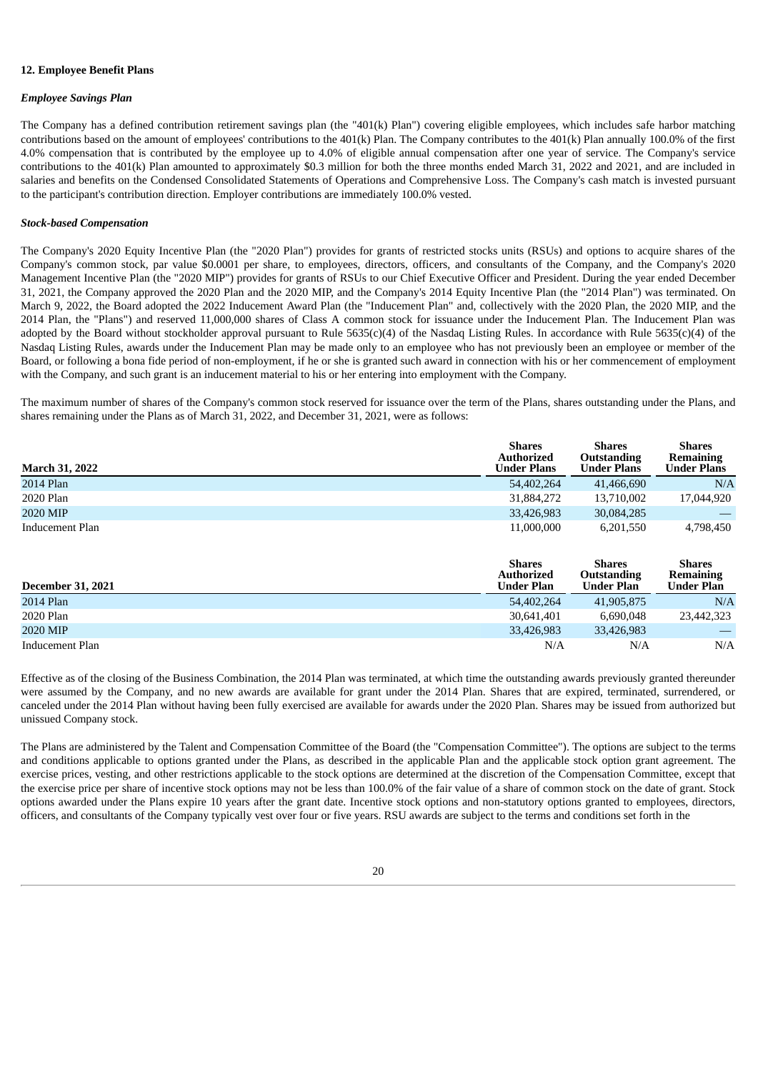## **12. Employee Benefit Plans**

## *Employee Savings Plan*

The Company has a defined contribution retirement savings plan (the "401(k) Plan") covering eligible employees, which includes safe harbor matching contributions based on the amount of employees' contributions to the 401(k) Plan. The Company contributes to the 401(k) Plan annually 100.0% of the first 4.0% compensation that is contributed by the employee up to 4.0% of eligible annual compensation after one year of service. The Company's service contributions to the 401(k) Plan amounted to approximately \$0.3 million for both the three months ended March 31, 2022 and 2021, and are included in salaries and benefits on the Condensed Consolidated Statements of Operations and Comprehensive Loss. The Company's cash match is invested pursuant to the participant's contribution direction. Employer contributions are immediately 100.0% vested.

## *Stock-based Compensation*

The Company's 2020 Equity Incentive Plan (the "2020 Plan") provides for grants of restricted stocks units (RSUs) and options to acquire shares of the Company's common stock, par value \$0.0001 per share, to employees, directors, officers, and consultants of the Company, and the Company's 2020 Management Incentive Plan (the "2020 MIP") provides for grants of RSUs to our Chief Executive Officer and President. During the year ended December 31, 2021, the Company approved the 2020 Plan and the 2020 MIP, and the Company's 2014 Equity Incentive Plan (the "2014 Plan") was terminated. On March 9, 2022, the Board adopted the 2022 Inducement Award Plan (the "Inducement Plan" and, collectively with the 2020 Plan, the 2020 MIP, and the 2014 Plan, the "Plans") and reserved 11,000,000 shares of Class A common stock for issuance under the Inducement Plan. The Inducement Plan was adopted by the Board without stockholder approval pursuant to Rule 5635(c)(4) of the Nasdaq Listing Rules. In accordance with Rule 5635(c)(4) of the Nasdaq Listing Rules, awards under the Inducement Plan may be made only to an employee who has not previously been an employee or member of the Board, or following a bona fide period of non-employment, if he or she is granted such award in connection with his or her commencement of employment with the Company, and such grant is an inducement material to his or her entering into employment with the Company.

The maximum number of shares of the Company's common stock reserved for issuance over the term of the Plans, shares outstanding under the Plans, and shares remaining under the Plans as of March 31, 2022, and December 31, 2021, were as follows:

| <b>March 31, 2022</b>    | <b>Shares</b><br><b>Authorized</b><br><b>Under Plans</b> | <b>Shares</b><br><b>Outstanding</b><br><b>Under Plans</b> | <b>Shares</b><br><b>Remaining</b><br><b>Under Plans</b> |
|--------------------------|----------------------------------------------------------|-----------------------------------------------------------|---------------------------------------------------------|
| 2014 Plan                | 54,402,264                                               | 41,466,690                                                | N/A                                                     |
| 2020 Plan                | 31,884,272                                               | 13,710,002                                                | 17,044,920                                              |
| 2020 MIP                 | 33,426,983                                               | 30,084,285                                                |                                                         |
| Inducement Plan          | 11,000,000                                               | 6,201,550                                                 | 4,798,450                                               |
| <b>December 31, 2021</b> | <b>Shares</b><br>Authorized<br><b>Under Plan</b>         | <b>Shares</b><br><b>Outstanding</b><br><b>Under Plan</b>  | <b>Shares</b><br><b>Remaining</b><br><b>Under Plan</b>  |
| 2014 Plan                | 54,402,264                                               | 41,905,875                                                | N/A                                                     |
| 2020 Plan                | 30,641,401                                               | 6,690,048                                                 | 23,442,323                                              |
| 2020 MIP                 |                                                          | 33,426,983                                                |                                                         |
|                          | 33,426,983                                               |                                                           |                                                         |

Effective as of the closing of the Business Combination, the 2014 Plan was terminated, at which time the outstanding awards previously granted thereunder were assumed by the Company, and no new awards are available for grant under the 2014 Plan. Shares that are expired, terminated, surrendered, or canceled under the 2014 Plan without having been fully exercised are available for awards under the 2020 Plan. Shares may be issued from authorized but unissued Company stock.

The Plans are administered by the Talent and Compensation Committee of the Board (the "Compensation Committee"). The options are subject to the terms and conditions applicable to options granted under the Plans, as described in the applicable Plan and the applicable stock option grant agreement. The exercise prices, vesting, and other restrictions applicable to the stock options are determined at the discretion of the Compensation Committee, except that the exercise price per share of incentive stock options may not be less than 100.0% of the fair value of a share of common stock on the date of grant. Stock options awarded under the Plans expire 10 years after the grant date. Incentive stock options and non-statutory options granted to employees, directors, officers, and consultants of the Company typically vest over four or five years. RSU awards are subject to the terms and conditions set forth in the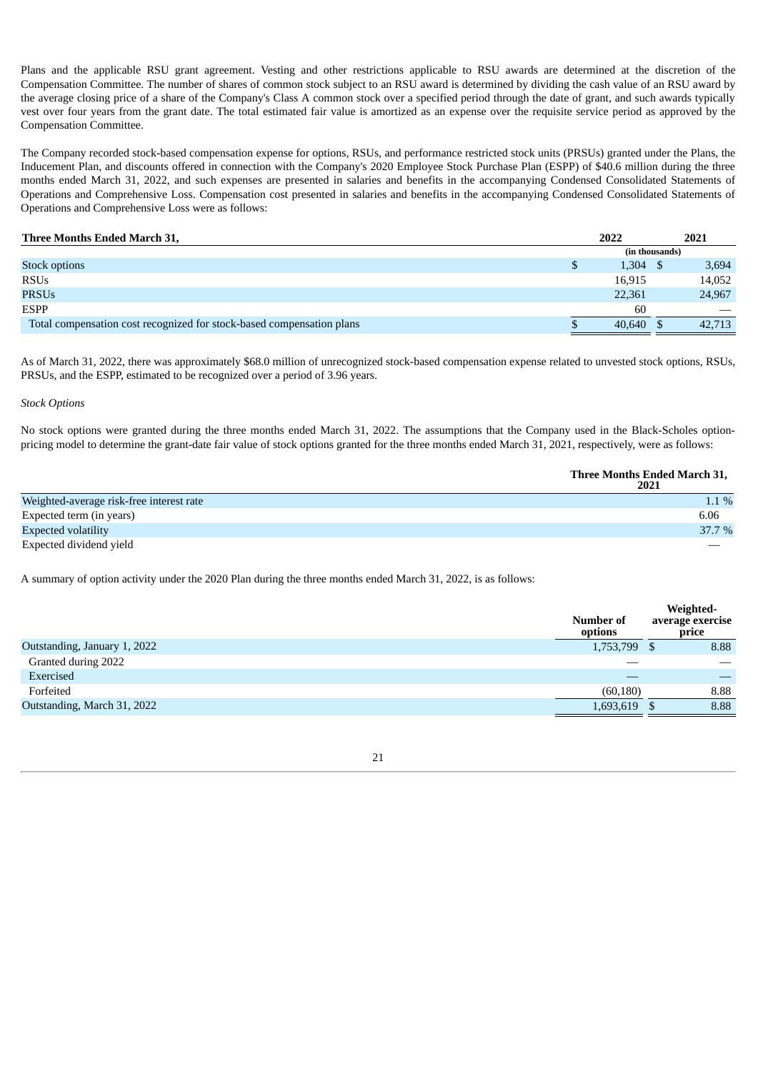Plans and the applicable RSU grant agreement. Vesting and other restrictions applicable to RSU awards are determined at the discretion of the Compensation Committee. The number of shares of common stock subject to an RSU award is determined by dividing the cash value of an RSU award by the average closing price of a share of the Company's Class A common stock over a specified period through the date of grant, and such awards typically vest over four years from the grant date. The total estimated fair value is amortized as an expense over the requisite service period as approved by the Compensation Committee.

The Company recorded stock-based compensation expense for options, RSUs, and performance restricted stock units (PRSUs) granted under the Plans, the Inducement Plan, and discounts offered in connection with the Company's 2020 Employee Stock Purchase Plan (ESPP) of \$40.6 million during the three months ended March 31, 2022, and such expenses are presented in salaries and benefits in the accompanying Condensed Consolidated Statements of Operations and Comprehensive Loss. Compensation cost presented in salaries and benefits in the accompanying Condensed Consolidated Statements of Operations and Comprehensive Loss were as follows:

# **Three Months Ended March 31, 2022 2021**

|                                                                       |        | (in thousands) |        |
|-----------------------------------------------------------------------|--------|----------------|--------|
| Stock options                                                         | 1,304  |                | 3,694  |
| <b>RSUs</b>                                                           | 16.915 |                | 14,052 |
| <b>PRSUs</b>                                                          | 22,361 |                | 24,967 |
| <b>ESPP</b>                                                           | 60     |                |        |
| Total compensation cost recognized for stock-based compensation plans | 40.640 |                | 42,713 |

As of March 31, 2022, there was approximately \$68.0 million of unrecognized stock-based compensation expense related to unvested stock options, RSUs, PRSUs, and the ESPP, estimated to be recognized over a period of 3.96 years.

## *Stock Options*

No stock options were granted during the three months ended March 31, 2022. The assumptions that the Company used in the Black-Scholes optionpricing model to determine the grant-date fair value of stock options granted for the three months ended March 31, 2021, respectively, were as follows:

|                                          | Three Months Ended March 31,<br>2021 |
|------------------------------------------|--------------------------------------|
| Weighted-average risk-free interest rate | $1.1\%$                              |
| Expected term (in years)                 | 6.06                                 |
| <b>Expected volatility</b>               | 37.7 %                               |
| Expected dividend vield                  |                                      |

A summary of option activity under the 2020 Plan during the three months ended March 31, 2022, is as follows:

|                              | Number of<br>options | Weighted-<br>average exercise<br>price |
|------------------------------|----------------------|----------------------------------------|
| Outstanding, January 1, 2022 | 1,753,799            | 8.88                                   |
| Granted during 2022          |                      |                                        |
| Exercised                    |                      |                                        |
| Forfeited                    | (60, 180)            | 8.88                                   |
| Outstanding, March 31, 2022  | 1,693,619            | 8.88                                   |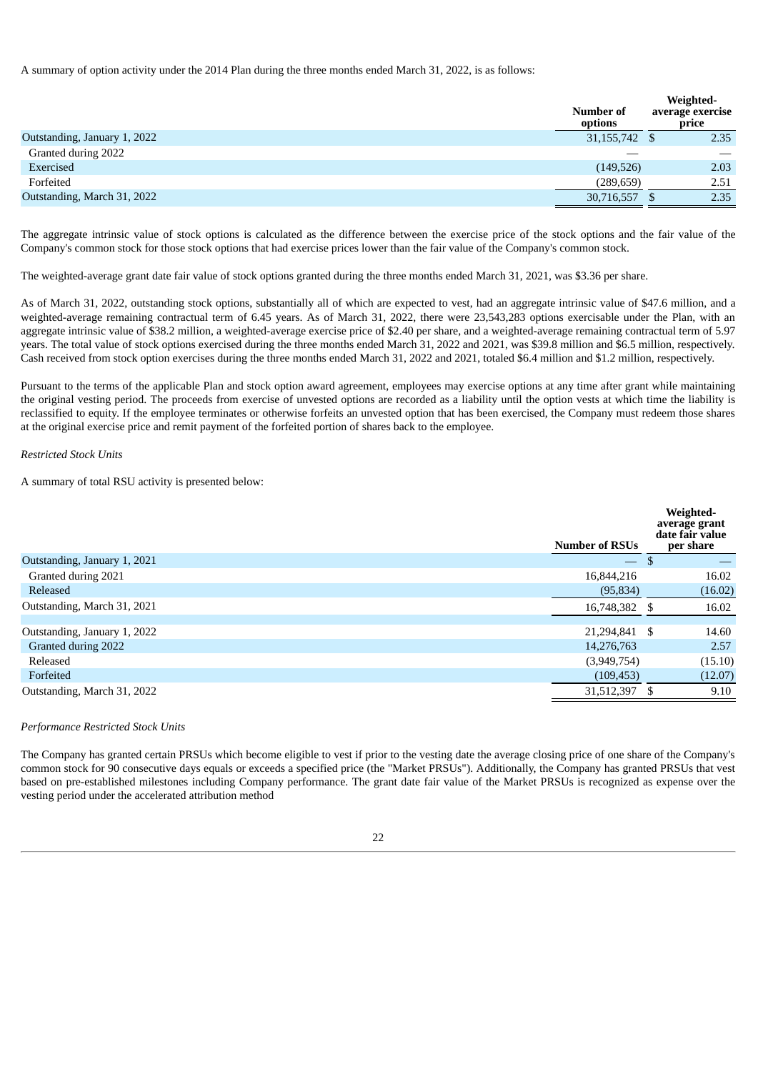A summary of option activity under the 2014 Plan during the three months ended March 31, 2022, is as follows:

|                              | Number of<br>options | Weighted-<br>average exercise<br>price |
|------------------------------|----------------------|----------------------------------------|
| Outstanding, January 1, 2022 | 31,155,742           | 2.35                                   |
| Granted during 2022          |                      |                                        |
| Exercised                    | (149, 526)           | 2.03                                   |
| Forfeited                    | (289, 659)           | 2.51                                   |
| Outstanding, March 31, 2022  | 30,716,557           | 2.35                                   |

The aggregate intrinsic value of stock options is calculated as the difference between the exercise price of the stock options and the fair value of the Company's common stock for those stock options that had exercise prices lower than the fair value of the Company's common stock.

The weighted-average grant date fair value of stock options granted during the three months ended March 31, 2021, was \$3.36 per share.

As of March 31, 2022, outstanding stock options, substantially all of which are expected to vest, had an aggregate intrinsic value of \$47.6 million, and a weighted-average remaining contractual term of 6.45 years. As of March 31, 2022, there were 23,543,283 options exercisable under the Plan, with an aggregate intrinsic value of \$38.2 million, a weighted-average exercise price of \$2.40 per share, and a weighted-average remaining contractual term of 5.97 years. The total value of stock options exercised during the three months ended March 31, 2022 and 2021, was \$39.8 million and \$6.5 million, respectively. Cash received from stock option exercises during the three months ended March 31, 2022 and 2021, totaled \$6.4 million and \$1.2 million, respectively.

Pursuant to the terms of the applicable Plan and stock option award agreement, employees may exercise options at any time after grant while maintaining the original vesting period. The proceeds from exercise of unvested options are recorded as a liability until the option vests at which time the liability is reclassified to equity. If the employee terminates or otherwise forfeits an unvested option that has been exercised, the Company must redeem those shares at the original exercise price and remit payment of the forfeited portion of shares back to the employee.

*Restricted Stock Units*

A summary of total RSU activity is presented below:

|                              | <b>Number of RSUs</b>    |      | Weighted-<br>average grant<br>date fair value<br>per share |
|------------------------------|--------------------------|------|------------------------------------------------------------|
| Outstanding, January 1, 2021 | $\overline{\phantom{m}}$ | - \$ |                                                            |
| Granted during 2021          | 16,844,216               |      | 16.02                                                      |
| Released                     | (95, 834)                |      | (16.02)                                                    |
| Outstanding, March 31, 2021  | 16,748,382 \$            |      | 16.02                                                      |
| Outstanding, January 1, 2022 | 21,294,841 \$            |      | 14.60                                                      |
| Granted during 2022          | 14,276,763               |      | 2.57                                                       |
| Released                     | (3,949,754)              |      | (15.10)                                                    |
| Forfeited                    | (109, 453)               |      | (12.07)                                                    |
| Outstanding, March 31, 2022  | 31,512,397 \$            |      | 9.10                                                       |

## *Performance Restricted Stock Units*

The Company has granted certain PRSUs which become eligible to vest if prior to the vesting date the average closing price of one share of the Company's common stock for 90 consecutive days equals or exceeds a specified price (the "Market PRSUs"). Additionally, the Company has granted PRSUs that vest based on pre-established milestones including Company performance. The grant date fair value of the Market PRSUs is recognized as expense over the vesting period under the accelerated attribution method

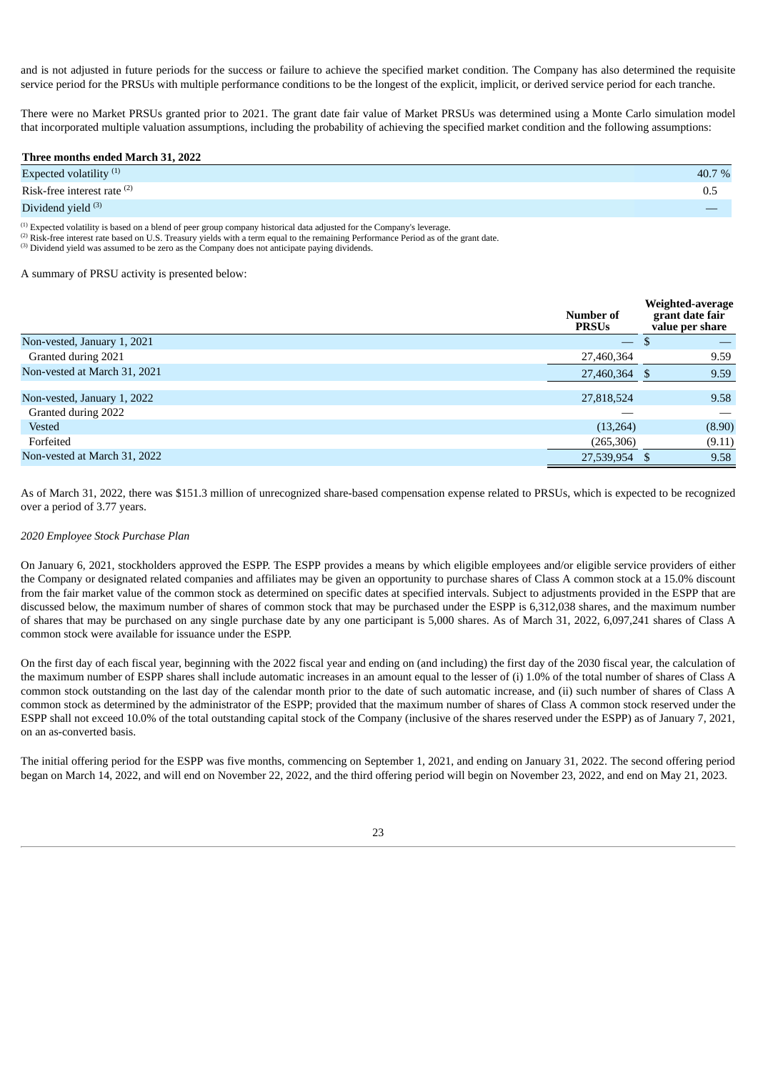and is not adjusted in future periods for the success or failure to achieve the specified market condition. The Company has also determined the requisite service period for the PRSUs with multiple performance conditions to be the longest of the explicit, implicit, or derived service period for each tranche.

There were no Market PRSUs granted prior to 2021. The grant date fair value of Market PRSUs was determined using a Monte Carlo simulation model that incorporated multiple valuation assumptions, including the probability of achieving the specified market condition and the following assumptions:

## **Three months ended March 31, 2022** Expected volatility <sup>(1)</sup>  $40.7\%$ Risk-free interest rate  $^{(2)}$  and  $^{(3)}$  and  $^{(4)}$  and  $^{(5)}$  and  $^{(6)}$  and  $^{(7)}$  and  $^{(8)}$  and  $^{(9)}$  and  $^{(10)}$  and  $^{(11)}$  and  $^{(11)}$  and  $^{(11)}$  and  $^{(11)}$  and  $^{(11)}$  and  $^{(11)}$  and  $^{(11)}$  and  $^{(11)}$  and Dividend yield  $^{(3)}$   $\qquad$

 $<sup>(1)</sup>$  Expected volatility is based on a blend of peer group company historical data adjusted for the Company's leverage.</sup>

 $(2)$  Risk-free interest rate based on U.S. Treasury yields with a term equal to the remaining Performance Period as of the grant date.

A summary of PRSU activity is presented below:

|                              | Number of<br><b>PRSUs</b> |      | Weighted-average<br>grant date fair<br>value per share |
|------------------------------|---------------------------|------|--------------------------------------------------------|
| Non-vested, January 1, 2021  | $\overline{\phantom{m}}$  | D    |                                                        |
| Granted during 2021          | 27,460,364                |      | 9.59                                                   |
| Non-vested at March 31, 2021 | 27,460,364 \$             |      | 9.59                                                   |
|                              |                           |      |                                                        |
| Non-vested, January 1, 2022  | 27,818,524                |      | 9.58                                                   |
| Granted during 2022          |                           |      |                                                        |
| <b>Vested</b>                | (13,264)                  |      | (8.90)                                                 |
| Forfeited                    | (265, 306)                |      | (9.11)                                                 |
| Non-vested at March 31, 2022 | 27,539,954                | - \$ | 9.58                                                   |
|                              |                           |      |                                                        |

As of March 31, 2022, there was \$151.3 million of unrecognized share-based compensation expense related to PRSUs, which is expected to be recognized over a period of 3.77 years.

#### *2020 Employee Stock Purchase Plan*

On January 6, 2021, stockholders approved the ESPP. The ESPP provides a means by which eligible employees and/or eligible service providers of either the Company or designated related companies and affiliates may be given an opportunity to purchase shares of Class A common stock at a 15.0% discount from the fair market value of the common stock as determined on specific dates at specified intervals. Subject to adjustments provided in the ESPP that are discussed below, the maximum number of shares of common stock that may be purchased under the ESPP is 6,312,038 shares, and the maximum number of shares that may be purchased on any single purchase date by any one participant is 5,000 shares. As of March 31, 2022, 6,097,241 shares of Class A common stock were available for issuance under the ESPP.

On the first day of each fiscal year, beginning with the 2022 fiscal year and ending on (and including) the first day of the 2030 fiscal year, the calculation of the maximum number of ESPP shares shall include automatic increases in an amount equal to the lesser of (i) 1.0% of the total number of shares of Class A common stock outstanding on the last day of the calendar month prior to the date of such automatic increase, and (ii) such number of shares of Class A common stock as determined by the administrator of the ESPP; provided that the maximum number of shares of Class A common stock reserved under the ESPP shall not exceed 10.0% of the total outstanding capital stock of the Company (inclusive of the shares reserved under the ESPP) as of January 7, 2021, on an as-converted basis.

The initial offering period for the ESPP was five months, commencing on September 1, 2021, and ending on January 31, 2022. The second offering period began on March 14, 2022, and will end on November 22, 2022, and the third offering period will begin on November 23, 2022, and end on May 21, 2023.

 $^{(3)}$  Dividend yield was assumed to be zero as the Company does not anticipate paying dividends.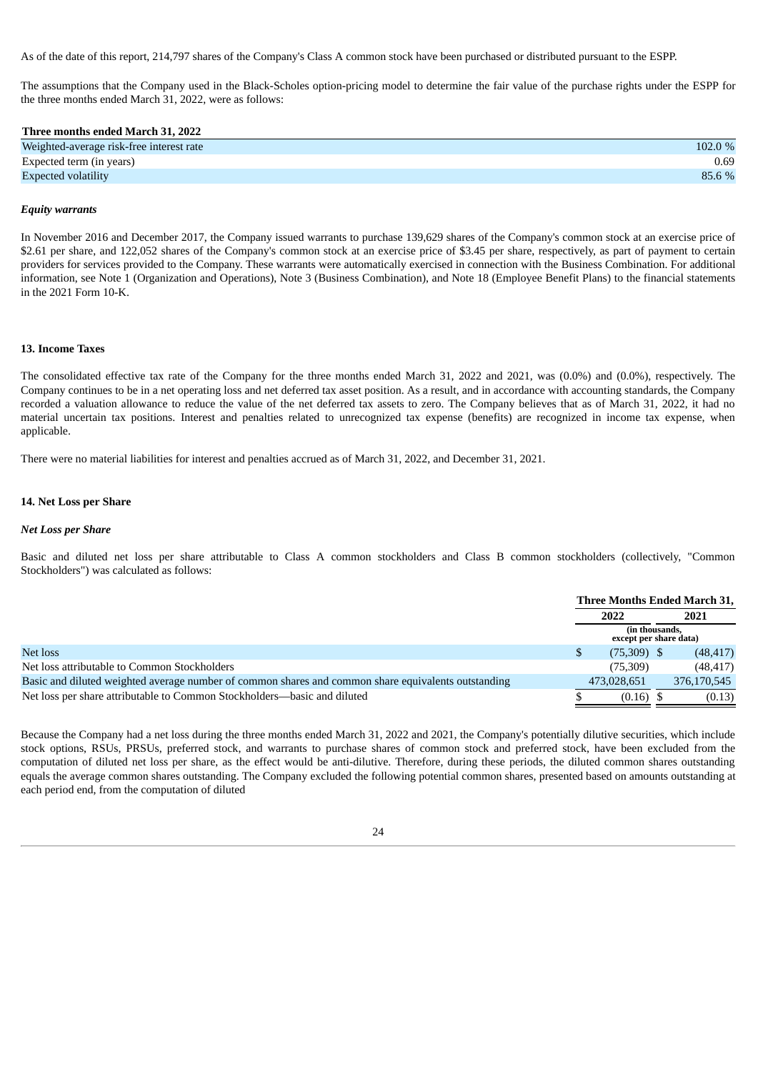As of the date of this report, 214,797 shares of the Company's Class A common stock have been purchased or distributed pursuant to the ESPP.

The assumptions that the Company used in the Black-Scholes option-pricing model to determine the fair value of the purchase rights under the ESPP for the three months ended March 31, 2022, were as follows:

| Three months ended March 31, 2022        |         |
|------------------------------------------|---------|
| Weighted-average risk-free interest rate | 102.0 % |
| Expected term (in years)                 | 0.69    |
| Expected volatility                      | 85.6 %  |

#### *Equity warrants*

In November 2016 and December 2017, the Company issued warrants to purchase 139,629 shares of the Company's common stock at an exercise price of \$2.61 per share, and 122,052 shares of the Company's common stock at an exercise price of \$3.45 per share, respectively, as part of payment to certain providers for services provided to the Company. These warrants were automatically exercised in connection with the Business Combination. For additional information, see Note 1 (Organization and Operations), Note 3 (Business Combination), and Note 18 (Employee Benefit Plans) to the financial statements in the 2021 Form 10-K.

#### **13. Income Taxes**

The consolidated effective tax rate of the Company for the three months ended March 31, 2022 and 2021, was (0.0%) and (0.0%), respectively. The Company continues to be in a net operating loss and net deferred tax asset position. As a result, and in accordance with accounting standards, the Company recorded a valuation allowance to reduce the value of the net deferred tax assets to zero. The Company believes that as of March 31, 2022, it had no material uncertain tax positions. Interest and penalties related to unrecognized tax expense (benefits) are recognized in income tax expense, when applicable.

There were no material liabilities for interest and penalties accrued as of March 31, 2022, and December 31, 2021.

#### **14. Net Loss per Share**

#### *Net Loss per Share*

Basic and diluted net loss per share attributable to Class A common stockholders and Class B common stockholders (collectively, "Common Stockholders") was calculated as follows:

|                                                                                                     |   |                                          | Three Months Ended March 31, |
|-----------------------------------------------------------------------------------------------------|---|------------------------------------------|------------------------------|
|                                                                                                     |   | 2022                                     | 2021                         |
|                                                                                                     |   | (in thousands,<br>except per share data) |                              |
| Net loss                                                                                            | S | $(75,309)$ \$                            | (48, 417)                    |
| Net loss attributable to Common Stockholders                                                        |   | (75,309)                                 | (48, 417)                    |
| Basic and diluted weighted average number of common shares and common share equivalents outstanding |   | 473,028,651                              | 376,170,545                  |
| Net loss per share attributable to Common Stockholders-basic and diluted                            |   | $(0.16)$ \$                              | (0.13)                       |

Because the Company had a net loss during the three months ended March 31, 2022 and 2021, the Company's potentially dilutive securities, which include stock options, RSUs, PRSUs, preferred stock, and warrants to purchase shares of common stock and preferred stock, have been excluded from the computation of diluted net loss per share, as the effect would be anti-dilutive. Therefore, during these periods, the diluted common shares outstanding equals the average common shares outstanding. The Company excluded the following potential common shares, presented based on amounts outstanding at each period end, from the computation of diluted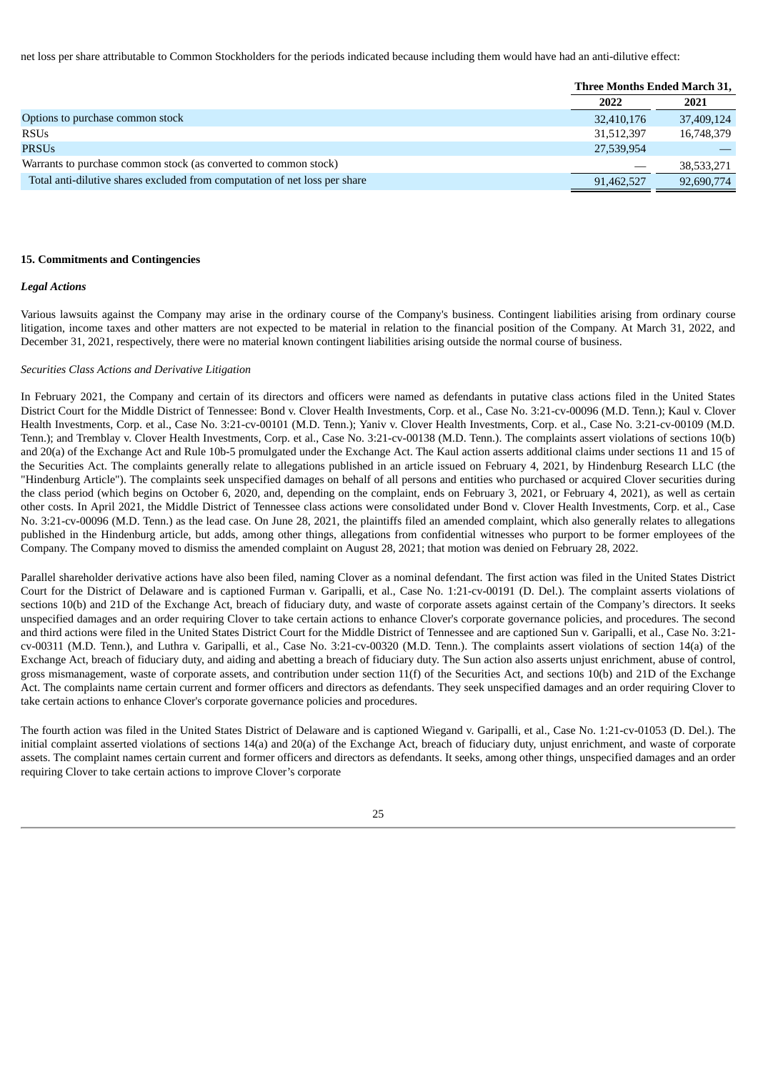net loss per share attributable to Common Stockholders for the periods indicated because including them would have had an anti-dilutive effect:

|                                                                            | Three Months Ended March 31, |            |
|----------------------------------------------------------------------------|------------------------------|------------|
|                                                                            | 2022                         | 2021       |
| Options to purchase common stock                                           | 32,410,176                   | 37,409,124 |
| <b>RSUs</b>                                                                | 31,512,397                   | 16,748,379 |
| <b>PRSUs</b>                                                               | 27,539,954                   |            |
| Warrants to purchase common stock (as converted to common stock)           |                              | 38,533,271 |
| Total anti-dilutive shares excluded from computation of net loss per share | 91,462,527                   | 92,690,774 |

#### **15. Commitments and Contingencies**

## *Legal Actions*

Various lawsuits against the Company may arise in the ordinary course of the Company's business. Contingent liabilities arising from ordinary course litigation, income taxes and other matters are not expected to be material in relation to the financial position of the Company. At March 31, 2022, and December 31, 2021, respectively, there were no material known contingent liabilities arising outside the normal course of business.

## *Securities Class Actions and Derivative Litigation*

In February 2021, the Company and certain of its directors and officers were named as defendants in putative class actions filed in the United States District Court for the Middle District of Tennessee: Bond v. Clover Health Investments, Corp. et al., Case No. 3:21-cv-00096 (M.D. Tenn.); Kaul v. Clover Health Investments, Corp. et al., Case No. 3:21-cv-00101 (M.D. Tenn.); Yaniv v. Clover Health Investments, Corp. et al., Case No. 3:21-cv-00109 (M.D. Tenn.); and Tremblay v. Clover Health Investments, Corp. et al., Case No. 3:21-cv-00138 (M.D. Tenn.). The complaints assert violations of sections 10(b) and 20(a) of the Exchange Act and Rule 10b-5 promulgated under the Exchange Act. The Kaul action asserts additional claims under sections 11 and 15 of the Securities Act. The complaints generally relate to allegations published in an article issued on February 4, 2021, by Hindenburg Research LLC (the "Hindenburg Article"). The complaints seek unspecified damages on behalf of all persons and entities who purchased or acquired Clover securities during the class period (which begins on October 6, 2020, and, depending on the complaint, ends on February 3, 2021, or February 4, 2021), as well as certain other costs. In April 2021, the Middle District of Tennessee class actions were consolidated under Bond v. Clover Health Investments, Corp. et al., Case No. 3:21-cv-00096 (M.D. Tenn.) as the lead case. On June 28, 2021, the plaintiffs filed an amended complaint, which also generally relates to allegations published in the Hindenburg article, but adds, among other things, allegations from confidential witnesses who purport to be former employees of the Company. The Company moved to dismiss the amended complaint on August 28, 2021; that motion was denied on February 28, 2022.

Parallel shareholder derivative actions have also been filed, naming Clover as a nominal defendant. The first action was filed in the United States District Court for the District of Delaware and is captioned Furman v. Garipalli, et al., Case No. 1:21-cv-00191 (D. Del.). The complaint asserts violations of sections 10(b) and 21D of the Exchange Act, breach of fiduciary duty, and waste of corporate assets against certain of the Company's directors. It seeks unspecified damages and an order requiring Clover to take certain actions to enhance Clover's corporate governance policies, and procedures. The second and third actions were filed in the United States District Court for the Middle District of Tennessee and are captioned Sun v. Garipalli, et al., Case No. 3:21 cv-00311 (M.D. Tenn.), and Luthra v. Garipalli, et al., Case No. 3:21-cv-00320 (M.D. Tenn.). The complaints assert violations of section 14(a) of the Exchange Act, breach of fiduciary duty, and aiding and abetting a breach of fiduciary duty. The Sun action also asserts unjust enrichment, abuse of control, gross mismanagement, waste of corporate assets, and contribution under section 11(f) of the Securities Act, and sections 10(b) and 21D of the Exchange Act. The complaints name certain current and former officers and directors as defendants. They seek unspecified damages and an order requiring Clover to take certain actions to enhance Clover's corporate governance policies and procedures.

The fourth action was filed in the United States District of Delaware and is captioned Wiegand v. Garipalli, et al., Case No. 1:21-cv-01053 (D. Del.). The initial complaint asserted violations of sections 14(a) and 20(a) of the Exchange Act, breach of fiduciary duty, unjust enrichment, and waste of corporate assets. The complaint names certain current and former officers and directors as defendants. It seeks, among other things, unspecified damages and an order requiring Clover to take certain actions to improve Clover's corporate

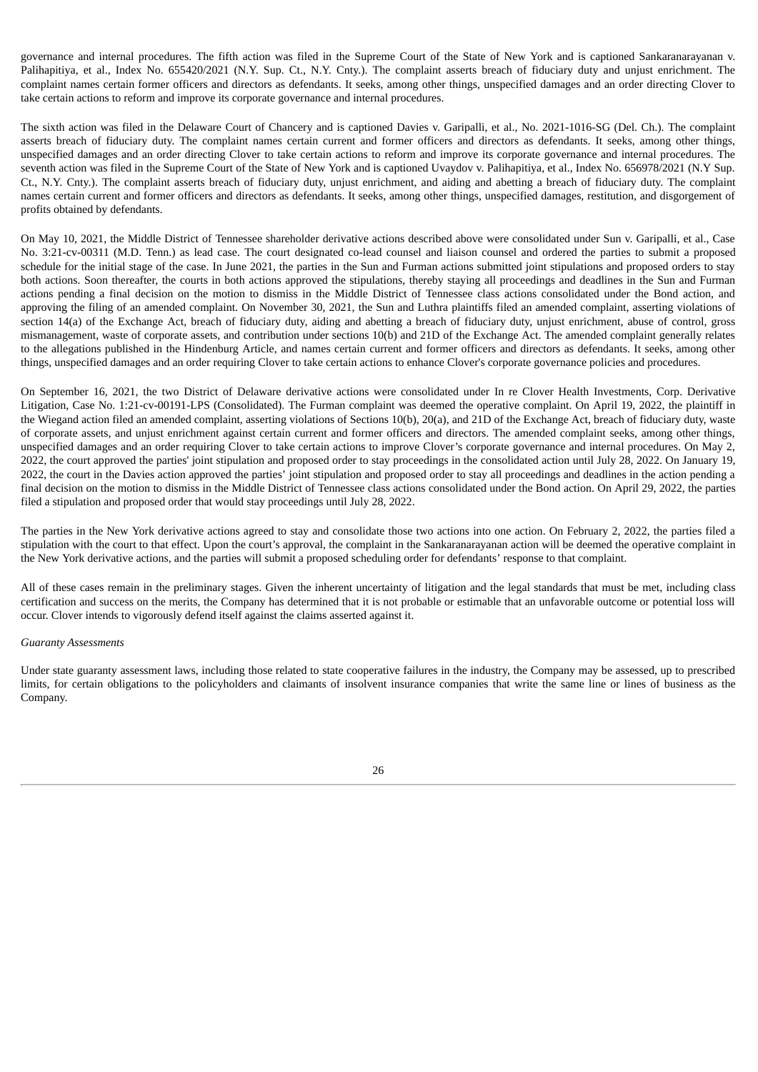governance and internal procedures. The fifth action was filed in the Supreme Court of the State of New York and is captioned Sankaranarayanan v. Palihapitiya, et al., Index No. 655420/2021 (N.Y. Sup. Ct., N.Y. Cnty.). The complaint asserts breach of fiduciary duty and unjust enrichment. The complaint names certain former officers and directors as defendants. It seeks, among other things, unspecified damages and an order directing Clover to take certain actions to reform and improve its corporate governance and internal procedures.

The sixth action was filed in the Delaware Court of Chancery and is captioned Davies v. Garipalli, et al., No. 2021-1016-SG (Del. Ch.). The complaint asserts breach of fiduciary duty. The complaint names certain current and former officers and directors as defendants. It seeks, among other things, unspecified damages and an order directing Clover to take certain actions to reform and improve its corporate governance and internal procedures. The seventh action was filed in the Supreme Court of the State of New York and is captioned Uvaydov v. Palihapitiya, et al., Index No. 656978/2021 (N.Y Sup. Ct., N.Y. Cnty.). The complaint asserts breach of fiduciary duty, unjust enrichment, and aiding and abetting a breach of fiduciary duty. The complaint names certain current and former officers and directors as defendants. It seeks, among other things, unspecified damages, restitution, and disgorgement of profits obtained by defendants.

On May 10, 2021, the Middle District of Tennessee shareholder derivative actions described above were consolidated under Sun v. Garipalli, et al., Case No. 3:21-cv-00311 (M.D. Tenn.) as lead case. The court designated co-lead counsel and liaison counsel and ordered the parties to submit a proposed schedule for the initial stage of the case. In June 2021, the parties in the Sun and Furman actions submitted joint stipulations and proposed orders to stay both actions. Soon thereafter, the courts in both actions approved the stipulations, thereby staying all proceedings and deadlines in the Sun and Furman actions pending a final decision on the motion to dismiss in the Middle District of Tennessee class actions consolidated under the Bond action, and approving the filing of an amended complaint. On November 30, 2021, the Sun and Luthra plaintiffs filed an amended complaint, asserting violations of section 14(a) of the Exchange Act, breach of fiduciary duty, aiding and abetting a breach of fiduciary duty, unjust enrichment, abuse of control, gross mismanagement, waste of corporate assets, and contribution under sections 10(b) and 21D of the Exchange Act. The amended complaint generally relates to the allegations published in the Hindenburg Article, and names certain current and former officers and directors as defendants. It seeks, among other things, unspecified damages and an order requiring Clover to take certain actions to enhance Clover's corporate governance policies and procedures.

On September 16, 2021, the two District of Delaware derivative actions were consolidated under In re Clover Health Investments, Corp. Derivative Litigation, Case No. 1:21-cv-00191-LPS (Consolidated). The Furman complaint was deemed the operative complaint. On April 19, 2022, the plaintiff in the Wiegand action filed an amended complaint, asserting violations of Sections 10(b), 20(a), and 21D of the Exchange Act, breach of fiduciary duty, waste of corporate assets, and unjust enrichment against certain current and former officers and directors. The amended complaint seeks, among other things, unspecified damages and an order requiring Clover to take certain actions to improve Clover's corporate governance and internal procedures. On May 2, 2022, the court approved the parties' joint stipulation and proposed order to stay proceedings in the consolidated action until July 28, 2022. On January 19, 2022, the court in the Davies action approved the parties' joint stipulation and proposed order to stay all proceedings and deadlines in the action pending a final decision on the motion to dismiss in the Middle District of Tennessee class actions consolidated under the Bond action. On April 29, 2022, the parties filed a stipulation and proposed order that would stay proceedings until July 28, 2022.

The parties in the New York derivative actions agreed to stay and consolidate those two actions into one action. On February 2, 2022, the parties filed a stipulation with the court to that effect. Upon the court's approval, the complaint in the Sankaranarayanan action will be deemed the operative complaint in the New York derivative actions, and the parties will submit a proposed scheduling order for defendants' response to that complaint.

All of these cases remain in the preliminary stages. Given the inherent uncertainty of litigation and the legal standards that must be met, including class certification and success on the merits, the Company has determined that it is not probable or estimable that an unfavorable outcome or potential loss will occur. Clover intends to vigorously defend itself against the claims asserted against it.

## *Guaranty Assessments*

Under state guaranty assessment laws, including those related to state cooperative failures in the industry, the Company may be assessed, up to prescribed limits, for certain obligations to the policyholders and claimants of insolvent insurance companies that write the same line or lines of business as the Company.

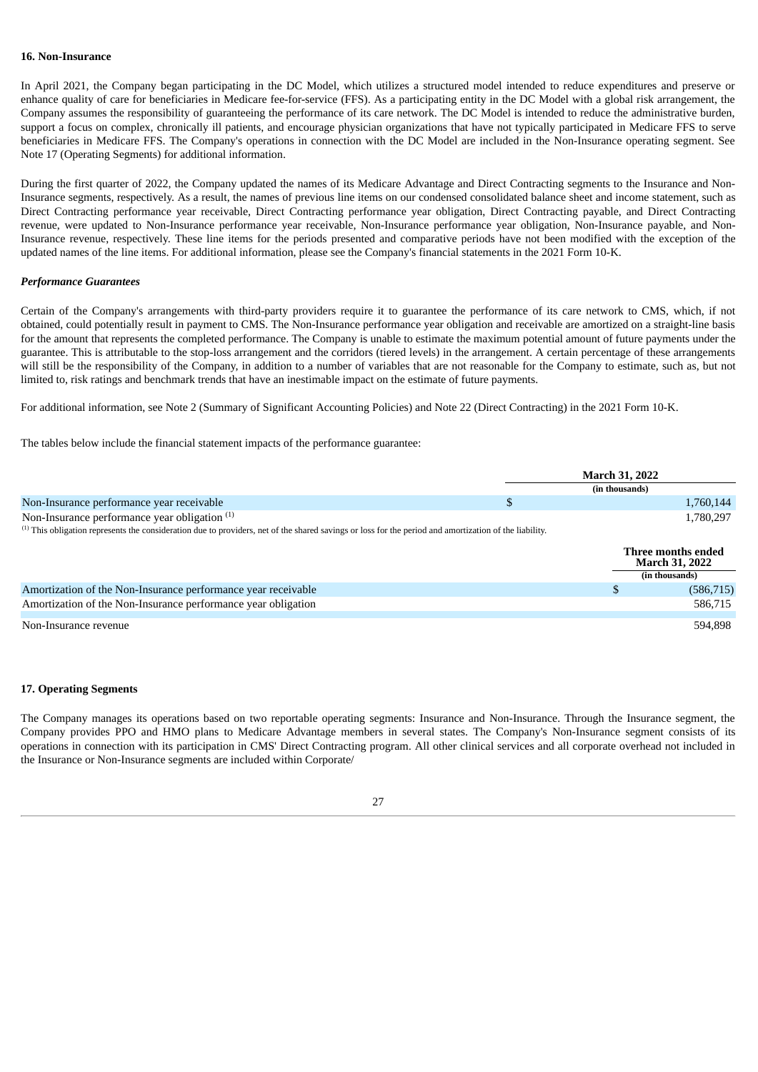#### **16. Non-Insurance**

In April 2021, the Company began participating in the DC Model, which utilizes a structured model intended to reduce expenditures and preserve or enhance quality of care for beneficiaries in Medicare fee-for-service (FFS). As a participating entity in the DC Model with a global risk arrangement, the Company assumes the responsibility of guaranteeing the performance of its care network. The DC Model is intended to reduce the administrative burden, support a focus on complex, chronically ill patients, and encourage physician organizations that have not typically participated in Medicare FFS to serve beneficiaries in Medicare FFS. The Company's operations in connection with the DC Model are included in the Non-Insurance operating segment. See Note 17 (Operating Segments) for additional information.

During the first quarter of 2022, the Company updated the names of its Medicare Advantage and Direct Contracting segments to the Insurance and Non-Insurance segments, respectively. As a result, the names of previous line items on our condensed consolidated balance sheet and income statement, such as Direct Contracting performance year receivable, Direct Contracting performance year obligation, Direct Contracting payable, and Direct Contracting revenue, were updated to Non-Insurance performance year receivable, Non-Insurance performance year obligation, Non-Insurance payable, and Non-Insurance revenue, respectively. These line items for the periods presented and comparative periods have not been modified with the exception of the updated names of the line items. For additional information, please see the Company's financial statements in the 2021 Form 10-K.

#### *Performance Guarantees*

Certain of the Company's arrangements with third-party providers require it to guarantee the performance of its care network to CMS, which, if not obtained, could potentially result in payment to CMS. The Non-Insurance performance year obligation and receivable are amortized on a straight-line basis for the amount that represents the completed performance. The Company is unable to estimate the maximum potential amount of future payments under the guarantee. This is attributable to the stop-loss arrangement and the corridors (tiered levels) in the arrangement. A certain percentage of these arrangements will still be the responsibility of the Company, in addition to a number of variables that are not reasonable for the Company to estimate, such as, but not limited to, risk ratings and benchmark trends that have an inestimable impact on the estimate of future payments.

For additional information, see Note 2 (Summary of Significant Accounting Policies) and Note 22 (Direct Contracting) in the 2021 Form 10-K.

The tables below include the financial statement impacts of the performance guarantee:

|                                                                                                                                                                   | <b>March 31, 2022</b> |                                             |
|-------------------------------------------------------------------------------------------------------------------------------------------------------------------|-----------------------|---------------------------------------------|
|                                                                                                                                                                   | (in thousands)        |                                             |
| Non-Insurance performance year receivable                                                                                                                         |                       | 1,760,144                                   |
| Non-Insurance performance year obligation $(1)$                                                                                                                   |                       | 1,780,297                                   |
| <sup>(1)</sup> This obligation represents the consideration due to providers, net of the shared savings or loss for the period and amortization of the liability. |                       |                                             |
|                                                                                                                                                                   |                       | Three months ended<br><b>March 31, 2022</b> |
|                                                                                                                                                                   |                       | (in thousands)                              |
| Amortization of the Non-Insurance performance year receivable                                                                                                     |                       | (586, 715)                                  |
| Amortization of the Non-Insurance performance year obligation                                                                                                     |                       | 586,715                                     |
| Non-Insurance revenue                                                                                                                                             |                       | 594,898                                     |

## **17. Operating Segments**

The Company manages its operations based on two reportable operating segments: Insurance and Non-Insurance. Through the Insurance segment, the Company provides PPO and HMO plans to Medicare Advantage members in several states. The Company's Non-Insurance segment consists of its operations in connection with its participation in CMS' Direct Contracting program. All other clinical services and all corporate overhead not included in the Insurance or Non-Insurance segments are included within Corporate/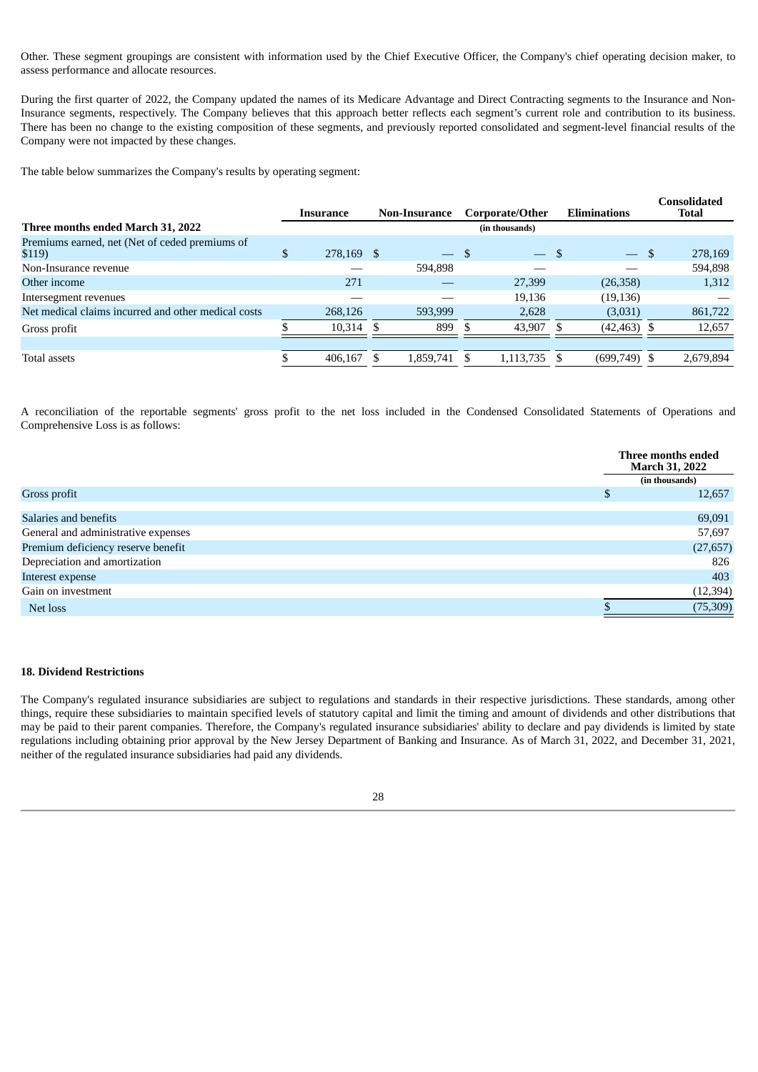Other. These segment groupings are consistent with information used by the Chief Executive Officer, the Company's chief operating decision maker, to assess performance and allocate resources.

During the first quarter of 2022, the Company updated the names of its Medicare Advantage and Direct Contracting segments to the Insurance and Non-Insurance segments, respectively. The Company believes that this approach better reflects each segment's current role and contribution to its business. There has been no change to the existing composition of these segments, and previously reported consolidated and segment-level financial results of the Company were not impacted by these changes.

The table below summarizes the Company's results by operating segment:

|                                                          | Insurance        | <b>Non-Insurance</b> | Corporate/Other |      | <b>Eliminations</b> | <b>Consolidated</b><br><b>Total</b> |
|----------------------------------------------------------|------------------|----------------------|-----------------|------|---------------------|-------------------------------------|
| Three months ended March 31, 2022                        |                  |                      | (in thousands)  |      |                     |                                     |
| Premiums earned, net (Net of ceded premiums of<br>\$119) | \$<br>278,169 \$ | $-$ \$               | $\frac{1}{2}$   | - \$ | $-$ \$              | 278,169                             |
| Non-Insurance revenue                                    |                  | 594,898              |                 |      |                     | 594,898                             |
| Other income                                             | 271              |                      | 27,399          |      | (26, 358)           | 1,312                               |
| Intersegment revenues                                    |                  |                      | 19,136          |      | (19, 136)           |                                     |
| Net medical claims incurred and other medical costs      | 268,126          | 593,999              | 2,628           |      | (3,031)             | 861,722                             |
| Gross profit                                             | 10,314           | 899                  | 43,907          |      | $(42, 463)$ \$      | 12,657                              |
|                                                          |                  |                      |                 |      |                     |                                     |
| Total assets                                             | 406,167          | 1,859,741 \$         | 1,113,735       |      | $(699,749)$ \$      | 2,679,894                           |

A reconciliation of the reportable segments' gross profit to the net loss included in the Condensed Consolidated Statements of Operations and Comprehensive Loss is as follows:

|                                     | Three months ended<br><b>March 31, 2022</b> |
|-------------------------------------|---------------------------------------------|
|                                     | (in thousands)                              |
| Gross profit                        | \$<br>12,657                                |
|                                     |                                             |
| Salaries and benefits               | 69,091                                      |
| General and administrative expenses | 57,697                                      |
| Premium deficiency reserve benefit  | (27, 657)                                   |
| Depreciation and amortization       | 826                                         |
| Interest expense                    | 403                                         |
| Gain on investment                  | (12, 394)                                   |
| Net loss                            | (75, 309)                                   |

## **18. Dividend Restrictions**

<span id="page-27-0"></span>The Company's regulated insurance subsidiaries are subject to regulations and standards in their respective jurisdictions. These standards, among other things, require these subsidiaries to maintain specified levels of statutory capital and limit the timing and amount of dividends and other distributions that may be paid to their parent companies. Therefore, the Company's regulated insurance subsidiaries' ability to declare and pay dividends is limited by state regulations including obtaining prior approval by the New Jersey Department of Banking and Insurance. As of March 31, 2022, and December 31, 2021, neither of the regulated insurance subsidiaries had paid any dividends.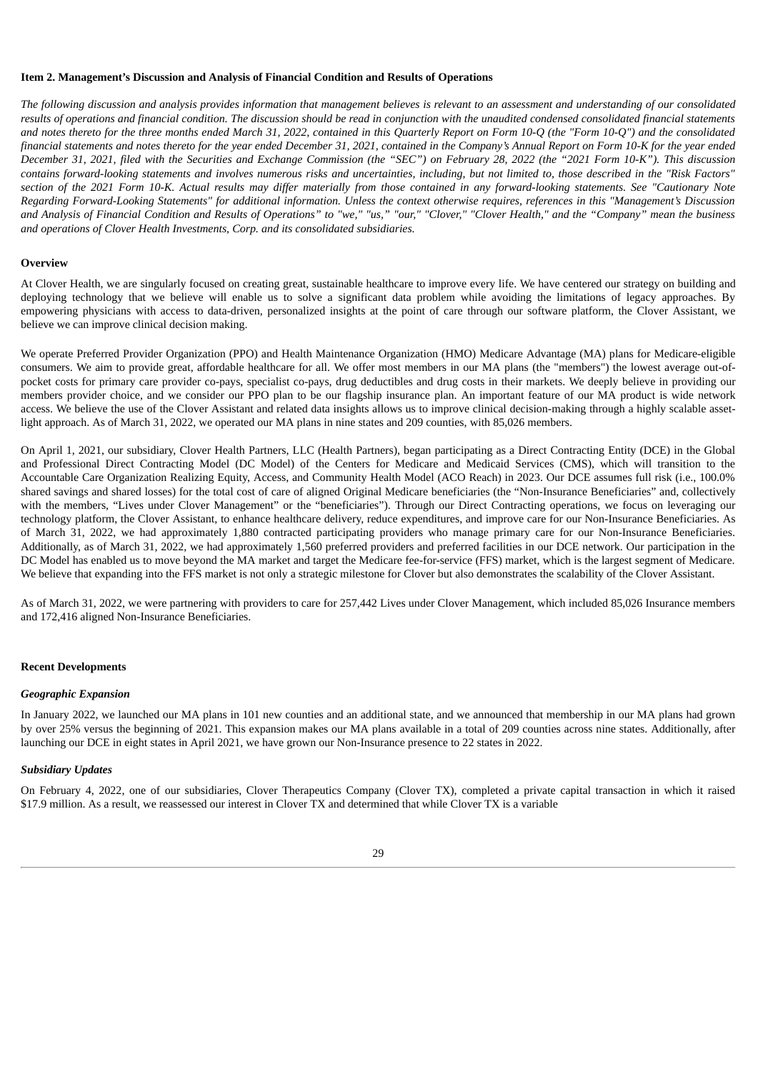#### **Item 2. Management's Discussion and Analysis of Financial Condition and Results of Operations**

The following discussion and analysis provides information that management believes is relevant to an assessment and understanding of our consolidated results of operations and financial condition. The discussion should be read in conjunction with the unaudited condensed consolidated financial statements and notes thereto for the three months ended March 31, 2022, contained in this Quarterly Report on Form 10-Q (the "Form 10-Q") and the consolidated financial statements and notes thereto for the year ended December 31, 2021, contained in the Company's Annual Report on Form 10-K for the year ended December 31, 2021, filed with the Securities and Exchange Commission (the "SEC") on February 28, 2022 (the "2021 Form 10-K"). This discussion contains forward-looking statements and involves numerous risks and uncertainties, including, but not limited to, those described in the "Risk Factors" section of the 2021 Form 10-K. Actual results may differ materially from those contained in any forward-looking statements. See "Cautionary Note Regarding Forward-Looking Statements" for additional information. Unless the context otherwise requires, references in this "Management's Discussion and Analysis of Financial Condition and Results of Operations" to "we," "us," "our," "Clover," "Clover Health," and the "Company" mean the business *and operations of Clover Health Investments, Corp. and its consolidated subsidiaries.*

## **Overview**

At Clover Health, we are singularly focused on creating great, sustainable healthcare to improve every life. We have centered our strategy on building and deploying technology that we believe will enable us to solve a significant data problem while avoiding the limitations of legacy approaches. By empowering physicians with access to data-driven, personalized insights at the point of care through our software platform, the Clover Assistant, we believe we can improve clinical decision making.

We operate Preferred Provider Organization (PPO) and Health Maintenance Organization (HMO) Medicare Advantage (MA) plans for Medicare-eligible consumers. We aim to provide great, affordable healthcare for all. We offer most members in our MA plans (the "members") the lowest average out-ofpocket costs for primary care provider co-pays, specialist co-pays, drug deductibles and drug costs in their markets. We deeply believe in providing our members provider choice, and we consider our PPO plan to be our flagship insurance plan. An important feature of our MA product is wide network access. We believe the use of the Clover Assistant and related data insights allows us to improve clinical decision-making through a highly scalable assetlight approach. As of March 31, 2022, we operated our MA plans in nine states and 209 counties, with 85,026 members.

On April 1, 2021, our subsidiary, Clover Health Partners, LLC (Health Partners), began participating as a Direct Contracting Entity (DCE) in the Global and Professional Direct Contracting Model (DC Model) of the Centers for Medicare and Medicaid Services (CMS), which will transition to the Accountable Care Organization Realizing Equity, Access, and Community Health Model (ACO Reach) in 2023. Our DCE assumes full risk (i.e., 100.0% shared savings and shared losses) for the total cost of care of aligned Original Medicare beneficiaries (the "Non-Insurance Beneficiaries" and, collectively with the members, "Lives under Clover Management" or the "beneficiaries"). Through our Direct Contracting operations, we focus on leveraging our technology platform, the Clover Assistant, to enhance healthcare delivery, reduce expenditures, and improve care for our Non-Insurance Beneficiaries. As of March 31, 2022, we had approximately 1,880 contracted participating providers who manage primary care for our Non-Insurance Beneficiaries. Additionally, as of March 31, 2022, we had approximately 1,560 preferred providers and preferred facilities in our DCE network. Our participation in the DC Model has enabled us to move beyond the MA market and target the Medicare fee-for-service (FFS) market, which is the largest segment of Medicare. We believe that expanding into the FFS market is not only a strategic milestone for Clover but also demonstrates the scalability of the Clover Assistant.

As of March 31, 2022, we were partnering with providers to care for 257,442 Lives under Clover Management, which included 85,026 Insurance members and 172,416 aligned Non-Insurance Beneficiaries.

#### **Recent Developments**

#### *Geographic Expansion*

In January 2022, we launched our MA plans in 101 new counties and an additional state, and we announced that membership in our MA plans had grown by over 25% versus the beginning of 2021. This expansion makes our MA plans available in a total of 209 counties across nine states. Additionally, after launching our DCE in eight states in April 2021, we have grown our Non-Insurance presence to 22 states in 2022.

#### *Subsidiary Updates*

On February 4, 2022, one of our subsidiaries, Clover Therapeutics Company (Clover TX), completed a private capital transaction in which it raised \$17.9 million. As a result, we reassessed our interest in Clover TX and determined that while Clover TX is a variable

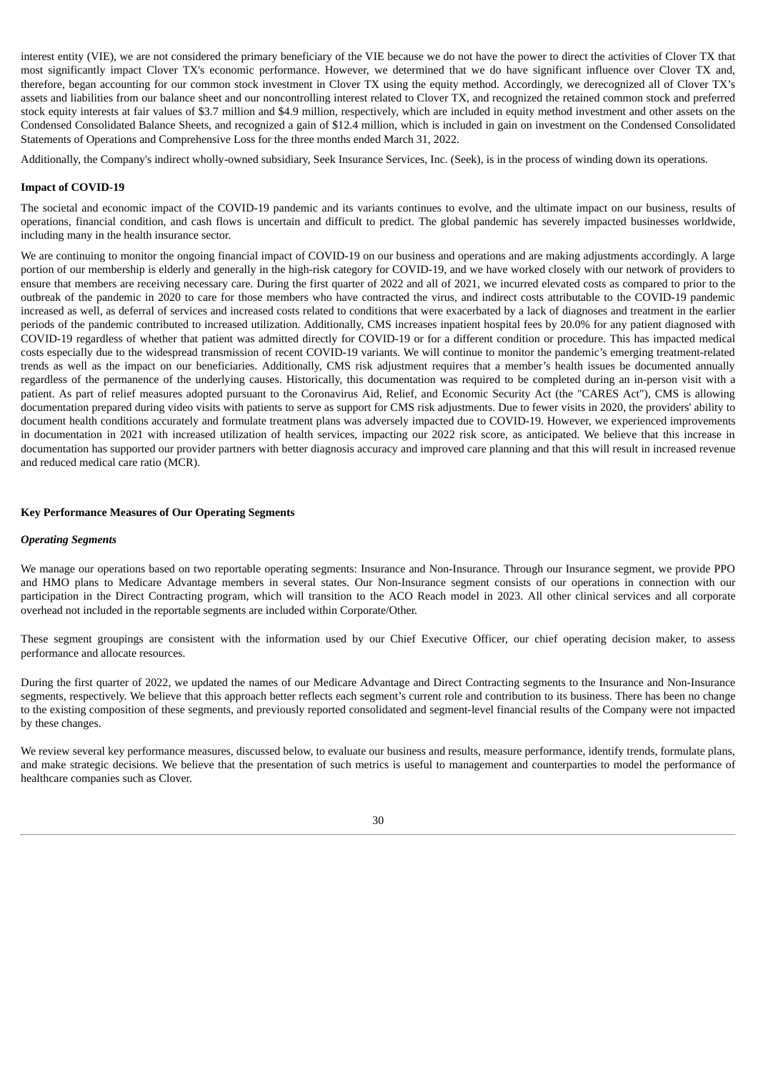interest entity (VIE), we are not considered the primary beneficiary of the VIE because we do not have the power to direct the activities of Clover TX that most significantly impact Clover TX's economic performance. However, we determined that we do have significant influence over Clover TX and, therefore, began accounting for our common stock investment in Clover TX using the equity method. Accordingly, we derecognized all of Clover TX's assets and liabilities from our balance sheet and our noncontrolling interest related to Clover TX, and recognized the retained common stock and preferred stock equity interests at fair values of \$3.7 million and \$4.9 million, respectively, which are included in equity method investment and other assets on the Condensed Consolidated Balance Sheets, and recognized a gain of \$12.4 million, which is included in gain on investment on the Condensed Consolidated Statements of Operations and Comprehensive Loss for the three months ended March 31, 2022.

Additionally, the Company's indirect wholly-owned subsidiary, Seek Insurance Services, Inc. (Seek), is in the process of winding down its operations.

## **Impact of COVID-19**

The societal and economic impact of the COVID-19 pandemic and its variants continues to evolve, and the ultimate impact on our business, results of operations, financial condition, and cash flows is uncertain and difficult to predict. The global pandemic has severely impacted businesses worldwide, including many in the health insurance sector.

We are continuing to monitor the ongoing financial impact of COVID-19 on our business and operations and are making adjustments accordingly. A large portion of our membership is elderly and generally in the high-risk category for COVID-19, and we have worked closely with our network of providers to ensure that members are receiving necessary care. During the first quarter of 2022 and all of 2021, we incurred elevated costs as compared to prior to the outbreak of the pandemic in 2020 to care for those members who have contracted the virus, and indirect costs attributable to the COVID-19 pandemic increased as well, as deferral of services and increased costs related to conditions that were exacerbated by a lack of diagnoses and treatment in the earlier periods of the pandemic contributed to increased utilization. Additionally, CMS increases inpatient hospital fees by 20.0% for any patient diagnosed with COVID-19 regardless of whether that patient was admitted directly for COVID-19 or for a different condition or procedure. This has impacted medical costs especially due to the widespread transmission of recent COVID-19 variants. We will continue to monitor the pandemic's emerging treatment-related trends as well as the impact on our beneficiaries. Additionally, CMS risk adjustment requires that a member's health issues be documented annually regardless of the permanence of the underlying causes. Historically, this documentation was required to be completed during an in-person visit with a patient. As part of relief measures adopted pursuant to the Coronavirus Aid, Relief, and Economic Security Act (the "CARES Act"), CMS is allowing documentation prepared during video visits with patients to serve as support for CMS risk adjustments. Due to fewer visits in 2020, the providers' ability to document health conditions accurately and formulate treatment plans was adversely impacted due to COVID-19. However, we experienced improvements in documentation in 2021 with increased utilization of health services, impacting our 2022 risk score, as anticipated. We believe that this increase in documentation has supported our provider partners with better diagnosis accuracy and improved care planning and that this will result in increased revenue and reduced medical care ratio (MCR).

## **Key Performance Measures of Our Operating Segments**

#### *Operating Segments*

We manage our operations based on two reportable operating segments: Insurance and Non-Insurance. Through our Insurance segment, we provide PPO and HMO plans to Medicare Advantage members in several states. Our Non-Insurance segment consists of our operations in connection with our participation in the Direct Contracting program, which will transition to the ACO Reach model in 2023. All other clinical services and all corporate overhead not included in the reportable segments are included within Corporate/Other.

These segment groupings are consistent with the information used by our Chief Executive Officer, our chief operating decision maker, to assess performance and allocate resources.

During the first quarter of 2022, we updated the names of our Medicare Advantage and Direct Contracting segments to the Insurance and Non-Insurance segments, respectively. We believe that this approach better reflects each segment's current role and contribution to its business. There has been no change to the existing composition of these segments, and previously reported consolidated and segment-level financial results of the Company were not impacted by these changes.

We review several key performance measures, discussed below, to evaluate our business and results, measure performance, identify trends, formulate plans, and make strategic decisions. We believe that the presentation of such metrics is useful to management and counterparties to model the performance of healthcare companies such as Clover.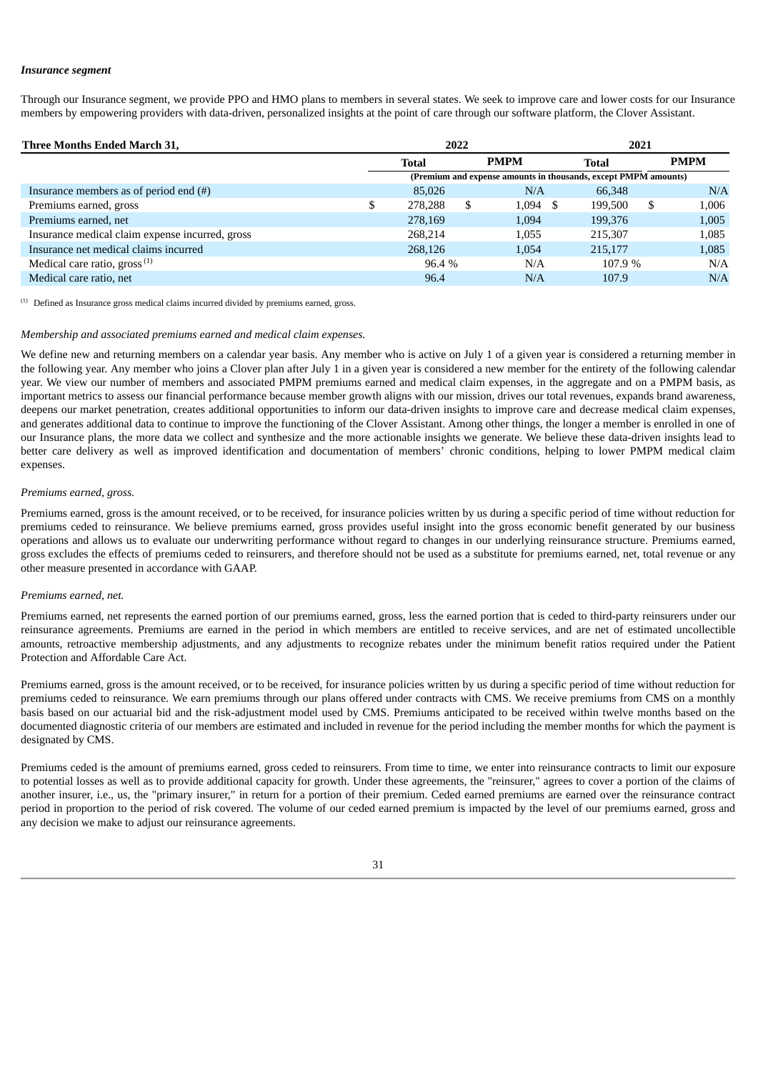#### *Insurance segment*

Through our Insurance segment, we provide PPO and HMO plans to members in several states. We seek to improve care and lower costs for our Insurance members by empowering providers with data-driven, personalized insights at the point of care through our software platform, the Clover Assistant.

| Three Months Ended March 31,                    | 2022 |              |  |                                                                 | 2021         |    |             |  |  |
|-------------------------------------------------|------|--------------|--|-----------------------------------------------------------------|--------------|----|-------------|--|--|
|                                                 |      | <b>Total</b> |  | <b>PMPM</b>                                                     | <b>Total</b> |    | <b>PMPM</b> |  |  |
|                                                 |      |              |  | (Premium and expense amounts in thousands, except PMPM amounts) |              |    |             |  |  |
| Insurance members as of period end $(\#)$       |      | 85,026       |  | N/A                                                             | 66.348       |    | N/A         |  |  |
| Premiums earned, gross                          |      | 278.288      |  | 1,094<br>-S                                                     | 199.500      | \$ | 1,006       |  |  |
| Premiums earned, net                            |      | 278,169      |  | 1,094                                                           | 199,376      |    | 1,005       |  |  |
| Insurance medical claim expense incurred, gross |      | 268,214      |  | 1,055                                                           | 215,307      |    | 1,085       |  |  |
| Insurance net medical claims incurred           |      | 268,126      |  | 1,054                                                           | 215,177      |    | 1,085       |  |  |
| Medical care ratio, gross <sup>(1)</sup>        |      | 96.4 %       |  | N/A                                                             | 107.9 %      |    | N/A         |  |  |
| Medical care ratio, net                         |      | 96.4         |  | N/A                                                             | 107.9        |    | N/A         |  |  |

 $(1)$  Defined as Insurance gross medical claims incurred divided by premiums earned, gross.

#### *Membership and associated premiums earned and medical claim expenses.*

We define new and returning members on a calendar year basis. Any member who is active on July 1 of a given year is considered a returning member in the following year. Any member who joins a Clover plan after July 1 in a given year is considered a new member for the entirety of the following calendar year. We view our number of members and associated PMPM premiums earned and medical claim expenses, in the aggregate and on a PMPM basis, as important metrics to assess our financial performance because member growth aligns with our mission, drives our total revenues, expands brand awareness, deepens our market penetration, creates additional opportunities to inform our data-driven insights to improve care and decrease medical claim expenses, and generates additional data to continue to improve the functioning of the Clover Assistant. Among other things, the longer a member is enrolled in one of our Insurance plans, the more data we collect and synthesize and the more actionable insights we generate. We believe these data-driven insights lead to better care delivery as well as improved identification and documentation of members' chronic conditions, helping to lower PMPM medical claim expenses.

## *Premiums earned, gross.*

Premiums earned, gross is the amount received, or to be received, for insurance policies written by us during a specific period of time without reduction for premiums ceded to reinsurance. We believe premiums earned, gross provides useful insight into the gross economic benefit generated by our business operations and allows us to evaluate our underwriting performance without regard to changes in our underlying reinsurance structure. Premiums earned, gross excludes the effects of premiums ceded to reinsurers, and therefore should not be used as a substitute for premiums earned, net, total revenue or any other measure presented in accordance with GAAP.

#### *Premiums earned, net.*

Premiums earned, net represents the earned portion of our premiums earned, gross, less the earned portion that is ceded to third-party reinsurers under our reinsurance agreements. Premiums are earned in the period in which members are entitled to receive services, and are net of estimated uncollectible amounts, retroactive membership adjustments, and any adjustments to recognize rebates under the minimum benefit ratios required under the Patient Protection and Affordable Care Act.

Premiums earned, gross is the amount received, or to be received, for insurance policies written by us during a specific period of time without reduction for premiums ceded to reinsurance. We earn premiums through our plans offered under contracts with CMS. We receive premiums from CMS on a monthly basis based on our actuarial bid and the risk-adjustment model used by CMS. Premiums anticipated to be received within twelve months based on the documented diagnostic criteria of our members are estimated and included in revenue for the period including the member months for which the payment is designated by CMS.

Premiums ceded is the amount of premiums earned, gross ceded to reinsurers. From time to time, we enter into reinsurance contracts to limit our exposure to potential losses as well as to provide additional capacity for growth. Under these agreements, the "reinsurer," agrees to cover a portion of the claims of another insurer, i.e., us, the "primary insurer," in return for a portion of their premium. Ceded earned premiums are earned over the reinsurance contract period in proportion to the period of risk covered. The volume of our ceded earned premium is impacted by the level of our premiums earned, gross and any decision we make to adjust our reinsurance agreements.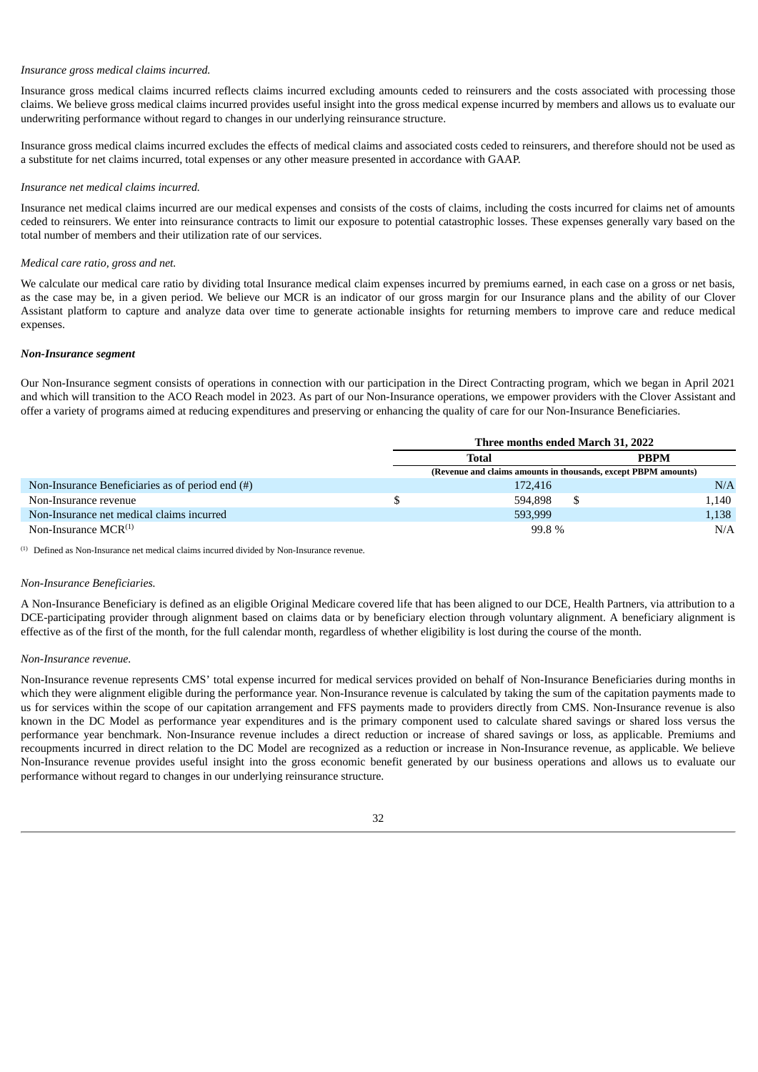## *Insurance gross medical claims incurred.*

Insurance gross medical claims incurred reflects claims incurred excluding amounts ceded to reinsurers and the costs associated with processing those claims. We believe gross medical claims incurred provides useful insight into the gross medical expense incurred by members and allows us to evaluate our underwriting performance without regard to changes in our underlying reinsurance structure.

Insurance gross medical claims incurred excludes the effects of medical claims and associated costs ceded to reinsurers, and therefore should not be used as a substitute for net claims incurred, total expenses or any other measure presented in accordance with GAAP.

## *Insurance net medical claims incurred.*

Insurance net medical claims incurred are our medical expenses and consists of the costs of claims, including the costs incurred for claims net of amounts ceded to reinsurers. We enter into reinsurance contracts to limit our exposure to potential catastrophic losses. These expenses generally vary based on the total number of members and their utilization rate of our services.

## *Medical care ratio, gross and net.*

We calculate our medical care ratio by dividing total Insurance medical claim expenses incurred by premiums earned, in each case on a gross or net basis, as the case may be, in a given period. We believe our MCR is an indicator of our gross margin for our Insurance plans and the ability of our Clover Assistant platform to capture and analyze data over time to generate actionable insights for returning members to improve care and reduce medical expenses.

## *Non-Insurance segment*

Our Non-Insurance segment consists of operations in connection with our participation in the Direct Contracting program, which we began in April 2021 and which will transition to the ACO Reach model in 2023. As part of our Non-Insurance operations, we empower providers with the Clover Assistant and offer a variety of programs aimed at reducing expenditures and preserving or enhancing the quality of care for our Non-Insurance Beneficiaries.

|                                                  | Three months ended March 31, 2022                              |             |       |  |  |  |  |
|--------------------------------------------------|----------------------------------------------------------------|-------------|-------|--|--|--|--|
|                                                  | <b>Total</b>                                                   | <b>PBPM</b> |       |  |  |  |  |
|                                                  | (Revenue and claims amounts in thousands, except PBPM amounts) |             |       |  |  |  |  |
| Non-Insurance Beneficiaries as of period end (#) | 172,416                                                        |             | N/A   |  |  |  |  |
| Non-Insurance revenue                            | 594.898                                                        |             | 1,140 |  |  |  |  |
| Non-Insurance net medical claims incurred        | 593,999                                                        |             | 1,138 |  |  |  |  |
| Non-Insurance $MCR^{(1)}$                        | 99.8%                                                          |             | N/A   |  |  |  |  |

 $<sup>(1)</sup>$  Defined as Non-Insurance net medical claims incurred divided by Non-Insurance revenue.</sup>

## *Non-Insurance Beneficiaries.*

A Non-Insurance Beneficiary is defined as an eligible Original Medicare covered life that has been aligned to our DCE, Health Partners, via attribution to a DCE-participating provider through alignment based on claims data or by beneficiary election through voluntary alignment. A beneficiary alignment is effective as of the first of the month, for the full calendar month, regardless of whether eligibility is lost during the course of the month.

## *Non-Insurance revenue.*

Non-Insurance revenue represents CMS' total expense incurred for medical services provided on behalf of Non-Insurance Beneficiaries during months in which they were alignment eligible during the performance year. Non-Insurance revenue is calculated by taking the sum of the capitation payments made to us for services within the scope of our capitation arrangement and FFS payments made to providers directly from CMS. Non-Insurance revenue is also known in the DC Model as performance year expenditures and is the primary component used to calculate shared savings or shared loss versus the performance year benchmark. Non-Insurance revenue includes a direct reduction or increase of shared savings or loss, as applicable. Premiums and recoupments incurred in direct relation to the DC Model are recognized as a reduction or increase in Non-Insurance revenue, as applicable. We believe Non-Insurance revenue provides useful insight into the gross economic benefit generated by our business operations and allows us to evaluate our performance without regard to changes in our underlying reinsurance structure.

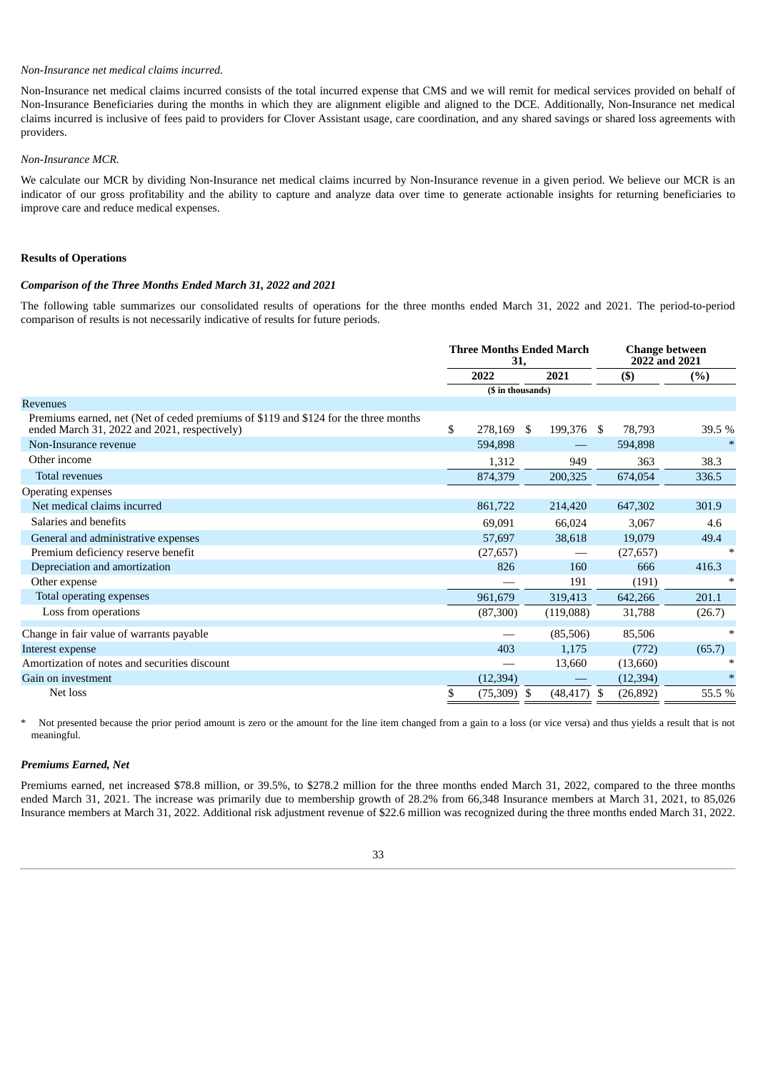#### *Non-Insurance net medical claims incurred.*

Non-Insurance net medical claims incurred consists of the total incurred expense that CMS and we will remit for medical services provided on behalf of Non-Insurance Beneficiaries during the months in which they are alignment eligible and aligned to the DCE. Additionally, Non-Insurance net medical claims incurred is inclusive of fees paid to providers for Clover Assistant usage, care coordination, and any shared savings or shared loss agreements with providers.

#### *Non-Insurance MCR.*

We calculate our MCR by dividing Non-Insurance net medical claims incurred by Non-Insurance revenue in a given period. We believe our MCR is an indicator of our gross profitability and the ability to capture and analyze data over time to generate actionable insights for returning beneficiaries to improve care and reduce medical expenses.

## **Results of Operations**

## *Comparison of the Three Months Ended March 31, 2022 and 2021*

The following table summarizes our consolidated results of operations for the three months ended March 31, 2022 and 2021. The period-to-period comparison of results is not necessarily indicative of results for future periods.

|                                                                                                                                     | <b>Three Months Ended March</b><br>31, |                   |      |            |    |           | <b>Change between</b><br>2022 and 2021 |
|-------------------------------------------------------------------------------------------------------------------------------------|----------------------------------------|-------------------|------|------------|----|-----------|----------------------------------------|
|                                                                                                                                     |                                        | 2022              |      | 2021       |    | $($)$     | (%)                                    |
|                                                                                                                                     |                                        | (\$ in thousands) |      |            |    |           |                                        |
| Revenues                                                                                                                            |                                        |                   |      |            |    |           |                                        |
| Premiums earned, net (Net of ceded premiums of \$119 and \$124 for the three months<br>ended March 31, 2022 and 2021, respectively) | \$                                     | 278,169           | - \$ | 199,376 \$ |    | 78.793    | 39.5 %                                 |
| Non-Insurance revenue                                                                                                               |                                        | 594.898           |      |            |    | 594,898   |                                        |
| Other income                                                                                                                        |                                        | 1,312             |      | 949        |    | 363       | 38.3                                   |
| <b>Total revenues</b>                                                                                                               |                                        | 874,379           |      | 200,325    |    | 674,054   | 336.5                                  |
| <b>Operating expenses</b>                                                                                                           |                                        |                   |      |            |    |           |                                        |
| Net medical claims incurred                                                                                                         |                                        | 861,722           |      | 214,420    |    | 647,302   | 301.9                                  |
| Salaries and benefits                                                                                                               |                                        | 69,091            |      | 66,024     |    | 3,067     | 4.6                                    |
| General and administrative expenses                                                                                                 |                                        | 57,697            |      | 38,618     |    | 19,079    | 49.4                                   |
| Premium deficiency reserve benefit                                                                                                  |                                        | (27, 657)         |      |            |    | (27, 657) |                                        |
| Depreciation and amortization                                                                                                       |                                        | 826               |      | 160        |    | 666       | 416.3                                  |
| Other expense                                                                                                                       |                                        |                   |      | 191        |    | (191)     |                                        |
| Total operating expenses                                                                                                            |                                        | 961,679           |      | 319,413    |    | 642,266   | 201.1                                  |
| Loss from operations                                                                                                                |                                        | (87,300)          |      | (119,088)  |    | 31,788    | (26.7)                                 |
| Change in fair value of warrants payable                                                                                            |                                        |                   |      | (85,506)   |    | 85,506    |                                        |
| Interest expense                                                                                                                    |                                        | 403               |      | 1,175      |    | (772)     | (65.7)                                 |
| Amortization of notes and securities discount                                                                                       |                                        |                   |      | 13,660     |    | (13,660)  |                                        |
| Gain on investment                                                                                                                  |                                        | (12, 394)         |      |            |    | (12, 394) |                                        |
| Net loss                                                                                                                            |                                        | (75, 309)         | S.   | (48,417)   | -S | (26, 892) | 55.5 %                                 |

Not presented because the prior period amount is zero or the amount for the line item changed from a gain to a loss (or vice versa) and thus yields a result that is not meaningful.

## *Premiums Earned, Net*

Premiums earned, net increased \$78.8 million, or 39.5%, to \$278.2 million for the three months ended March 31, 2022, compared to the three months ended March 31, 2021. The increase was primarily due to membership growth of 28.2% from 66,348 Insurance members at March 31, 2021, to 85,026 Insurance members at March 31, 2022. Additional risk adjustment revenue of \$22.6 million was recognized during the three months ended March 31, 2022.

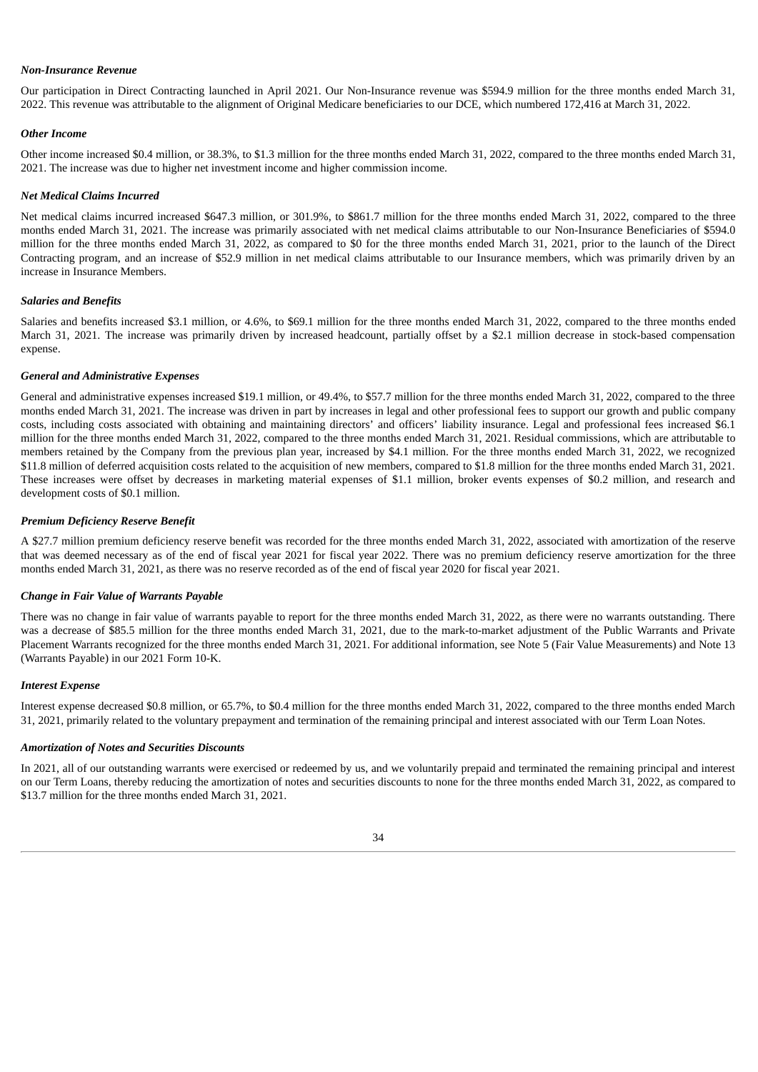## *Non-Insurance Revenue*

Our participation in Direct Contracting launched in April 2021. Our Non-Insurance revenue was \$594.9 million for the three months ended March 31, 2022. This revenue was attributable to the alignment of Original Medicare beneficiaries to our DCE, which numbered 172,416 at March 31, 2022.

## *Other Income*

Other income increased \$0.4 million, or 38.3%, to \$1.3 million for the three months ended March 31, 2022, compared to the three months ended March 31, 2021. The increase was due to higher net investment income and higher commission income.

## *Net Medical Claims Incurred*

Net medical claims incurred increased \$647.3 million, or 301.9%, to \$861.7 million for the three months ended March 31, 2022, compared to the three months ended March 31, 2021. The increase was primarily associated with net medical claims attributable to our Non-Insurance Beneficiaries of \$594.0 million for the three months ended March 31, 2022, as compared to \$0 for the three months ended March 31, 2021, prior to the launch of the Direct Contracting program, and an increase of \$52.9 million in net medical claims attributable to our Insurance members, which was primarily driven by an increase in Insurance Members.

## *Salaries and Benefits*

Salaries and benefits increased \$3.1 million, or 4.6%, to \$69.1 million for the three months ended March 31, 2022, compared to the three months ended March 31, 2021. The increase was primarily driven by increased headcount, partially offset by a \$2.1 million decrease in stock-based compensation expense.

## *General and Administrative Expenses*

General and administrative expenses increased \$19.1 million, or 49.4%, to \$57.7 million for the three months ended March 31, 2022, compared to the three months ended March 31, 2021. The increase was driven in part by increases in legal and other professional fees to support our growth and public company costs, including costs associated with obtaining and maintaining directors' and officers' liability insurance. Legal and professional fees increased \$6.1 million for the three months ended March 31, 2022, compared to the three months ended March 31, 2021. Residual commissions, which are attributable to members retained by the Company from the previous plan year, increased by \$4.1 million. For the three months ended March 31, 2022, we recognized \$11.8 million of deferred acquisition costs related to the acquisition of new members, compared to \$1.8 million for the three months ended March 31, 2021. These increases were offset by decreases in marketing material expenses of \$1.1 million, broker events expenses of \$0.2 million, and research and development costs of \$0.1 million.

## *Premium Deficiency Reserve Benefit*

A \$27.7 million premium deficiency reserve benefit was recorded for the three months ended March 31, 2022, associated with amortization of the reserve that was deemed necessary as of the end of fiscal year 2021 for fiscal year 2022. There was no premium deficiency reserve amortization for the three months ended March 31, 2021, as there was no reserve recorded as of the end of fiscal year 2020 for fiscal year 2021.

## *Change in Fair Value of Warrants Payable*

There was no change in fair value of warrants payable to report for the three months ended March 31, 2022, as there were no warrants outstanding. There was a decrease of \$85.5 million for the three months ended March 31, 2021, due to the mark-to-market adjustment of the Public Warrants and Private Placement Warrants recognized for the three months ended March 31, 2021. For additional information, see Note 5 (Fair Value Measurements) and Note 13 (Warrants Payable) in our 2021 Form 10-K.

## *Interest Expense*

Interest expense decreased \$0.8 million, or 65.7%, to \$0.4 million for the three months ended March 31, 2022, compared to the three months ended March 31, 2021, primarily related to the voluntary prepayment and termination of the remaining principal and interest associated with our Term Loan Notes.

## *Amortization of Notes and Securities Discounts*

In 2021, all of our outstanding warrants were exercised or redeemed by us, and we voluntarily prepaid and terminated the remaining principal and interest on our Term Loans, thereby reducing the amortization of notes and securities discounts to none for the three months ended March 31, 2022, as compared to \$13.7 million for the three months ended March 31, 2021.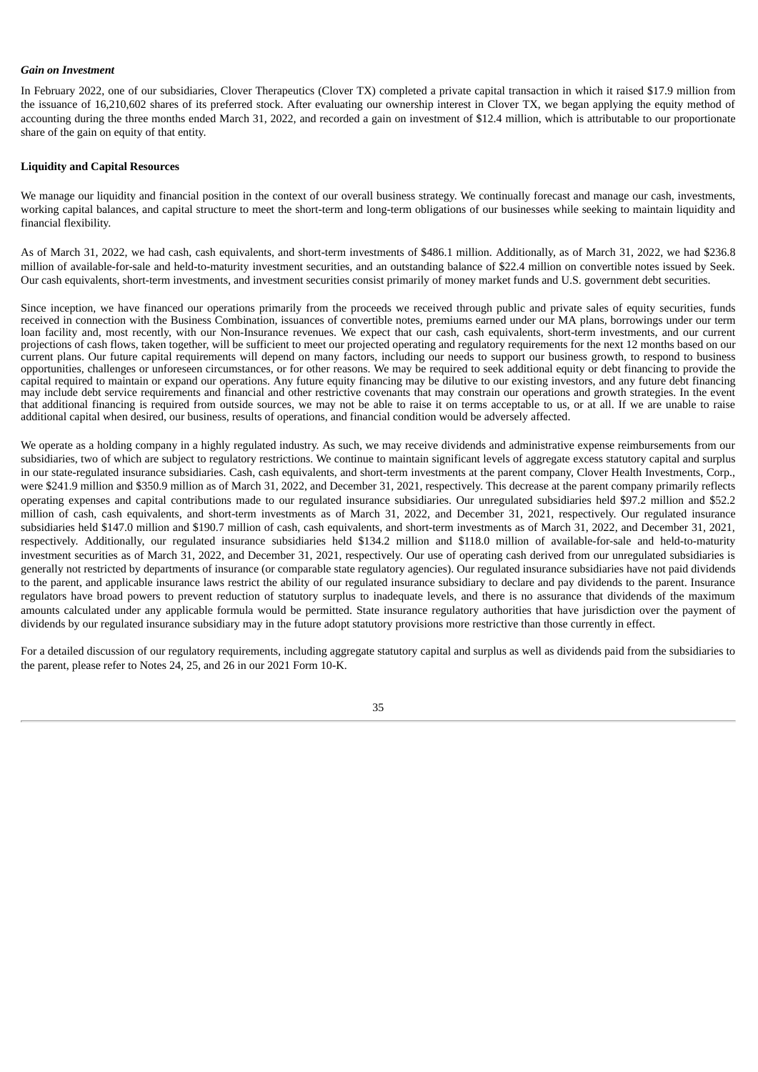## *Gain on Investment*

In February 2022, one of our subsidiaries, Clover Therapeutics (Clover TX) completed a private capital transaction in which it raised \$17.9 million from the issuance of 16,210,602 shares of its preferred stock. After evaluating our ownership interest in Clover TX, we began applying the equity method of accounting during the three months ended March 31, 2022, and recorded a gain on investment of \$12.4 million, which is attributable to our proportionate share of the gain on equity of that entity.

## **Liquidity and Capital Resources**

We manage our liquidity and financial position in the context of our overall business strategy. We continually forecast and manage our cash, investments, working capital balances, and capital structure to meet the short-term and long-term obligations of our businesses while seeking to maintain liquidity and financial flexibility.

As of March 31, 2022, we had cash, cash equivalents, and short-term investments of \$486.1 million. Additionally, as of March 31, 2022, we had \$236.8 million of available-for-sale and held-to-maturity investment securities, and an outstanding balance of \$22.4 million on convertible notes issued by Seek. Our cash equivalents, short-term investments, and investment securities consist primarily of money market funds and U.S. government debt securities.

Since inception, we have financed our operations primarily from the proceeds we received through public and private sales of equity securities, funds received in connection with the Business Combination, issuances of convertible notes, premiums earned under our MA plans, borrowings under our term loan facility and, most recently, with our Non-Insurance revenues. We expect that our cash, cash equivalents, short-term investments, and our current projections of cash flows, taken together, will be sufficient to meet our projected operating and regulatory requirements for the next 12 months based on our current plans. Our future capital requirements will depend on many factors, including our needs to support our business growth, to respond to business opportunities, challenges or unforeseen circumstances, or for other reasons. We may be required to seek additional equity or debt financing to provide the capital required to maintain or expand our operations. Any future equity financing may be dilutive to our existing investors, and any future debt financing may include debt service requirements and financial and other restrictive covenants that may constrain our operations and growth strategies. In the event that additional financing is required from outside sources, we may not be able to raise it on terms acceptable to us, or at all. If we are unable to raise additional capital when desired, our business, results of operations, and financial condition would be adversely affected.

We operate as a holding company in a highly regulated industry. As such, we may receive dividends and administrative expense reimbursements from our subsidiaries, two of which are subject to regulatory restrictions. We continue to maintain significant levels of aggregate excess statutory capital and surplus in our state-regulated insurance subsidiaries. Cash, cash equivalents, and short-term investments at the parent company, Clover Health Investments, Corp., were \$241.9 million and \$350.9 million as of March 31, 2022, and December 31, 2021, respectively. This decrease at the parent company primarily reflects operating expenses and capital contributions made to our regulated insurance subsidiaries. Our unregulated subsidiaries held \$97.2 million and \$52.2 million of cash, cash equivalents, and short-term investments as of March 31, 2022, and December 31, 2021, respectively. Our regulated insurance subsidiaries held \$147.0 million and \$190.7 million of cash, cash equivalents, and short-term investments as of March 31, 2022, and December 31, 2021, respectively. Additionally, our regulated insurance subsidiaries held \$134.2 million and \$118.0 million of available-for-sale and held-to-maturity investment securities as of March 31, 2022, and December 31, 2021, respectively. Our use of operating cash derived from our unregulated subsidiaries is generally not restricted by departments of insurance (or comparable state regulatory agencies). Our regulated insurance subsidiaries have not paid dividends to the parent, and applicable insurance laws restrict the ability of our regulated insurance subsidiary to declare and pay dividends to the parent. Insurance regulators have broad powers to prevent reduction of statutory surplus to inadequate levels, and there is no assurance that dividends of the maximum amounts calculated under any applicable formula would be permitted. State insurance regulatory authorities that have jurisdiction over the payment of dividends by our regulated insurance subsidiary may in the future adopt statutory provisions more restrictive than those currently in effect.

For a detailed discussion of our regulatory requirements, including aggregate statutory capital and surplus as well as dividends paid from the subsidiaries to the parent, please refer to Notes 24, 25, and 26 in our 2021 Form 10-K.

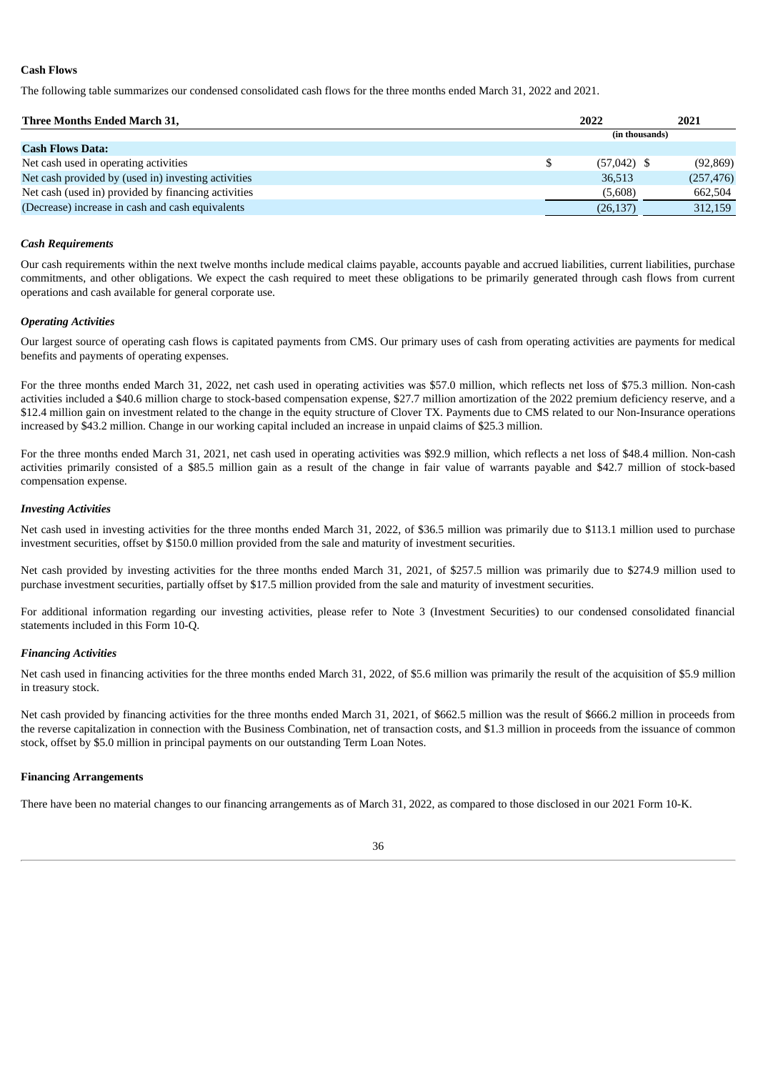## **Cash Flows**

The following table summarizes our condensed consolidated cash flows for the three months ended March 31, 2022 and 2021.

| Three Months Ended March 31,                        | 2022          | 2021           |
|-----------------------------------------------------|---------------|----------------|
|                                                     |               | (in thousands) |
| <b>Cash Flows Data:</b>                             |               |                |
| Net cash used in operating activities               | $(57,042)$ \$ | (92, 869)      |
| Net cash provided by (used in) investing activities | 36,513        | (257, 476)     |
| Net cash (used in) provided by financing activities | (5,608)       | 662,504        |
| (Decrease) increase in cash and cash equivalents    | (26, 137)     | 312,159        |

## *Cash Requirements*

Our cash requirements within the next twelve months include medical claims payable, accounts payable and accrued liabilities, current liabilities, purchase commitments, and other obligations. We expect the cash required to meet these obligations to be primarily generated through cash flows from current operations and cash available for general corporate use.

## *Operating Activities*

Our largest source of operating cash flows is capitated payments from CMS. Our primary uses of cash from operating activities are payments for medical benefits and payments of operating expenses.

For the three months ended March 31, 2022, net cash used in operating activities was \$57.0 million, which reflects net loss of \$75.3 million. Non-cash activities included a \$40.6 million charge to stock-based compensation expense, \$27.7 million amortization of the 2022 premium deficiency reserve, and a \$12.4 million gain on investment related to the change in the equity structure of Clover TX. Payments due to CMS related to our Non-Insurance operations increased by \$43.2 million. Change in our working capital included an increase in unpaid claims of \$25.3 million.

For the three months ended March 31, 2021, net cash used in operating activities was \$92.9 million, which reflects a net loss of \$48.4 million. Non-cash activities primarily consisted of a \$85.5 million gain as a result of the change in fair value of warrants payable and \$42.7 million of stock-based compensation expense.

## *Investing Activities*

Net cash used in investing activities for the three months ended March 31, 2022, of \$36.5 million was primarily due to \$113.1 million used to purchase investment securities, offset by \$150.0 million provided from the sale and maturity of investment securities.

Net cash provided by investing activities for the three months ended March 31, 2021, of \$257.5 million was primarily due to \$274.9 million used to purchase investment securities, partially offset by \$17.5 million provided from the sale and maturity of investment securities.

For additional information regarding our investing activities, please refer to Note 3 (Investment Securities) to our condensed consolidated financial statements included in this Form 10-Q.

## *Financing Activities*

Net cash used in financing activities for the three months ended March 31, 2022, of \$5.6 million was primarily the result of the acquisition of \$5.9 million in treasury stock.

Net cash provided by financing activities for the three months ended March 31, 2021, of \$662.5 million was the result of \$666.2 million in proceeds from the reverse capitalization in connection with the Business Combination, net of transaction costs, and \$1.3 million in proceeds from the issuance of common stock, offset by \$5.0 million in principal payments on our outstanding Term Loan Notes.

## **Financing Arrangements**

There have been no material changes to our financing arrangements as of March 31, 2022, as compared to those disclosed in our 2021 Form 10-K.

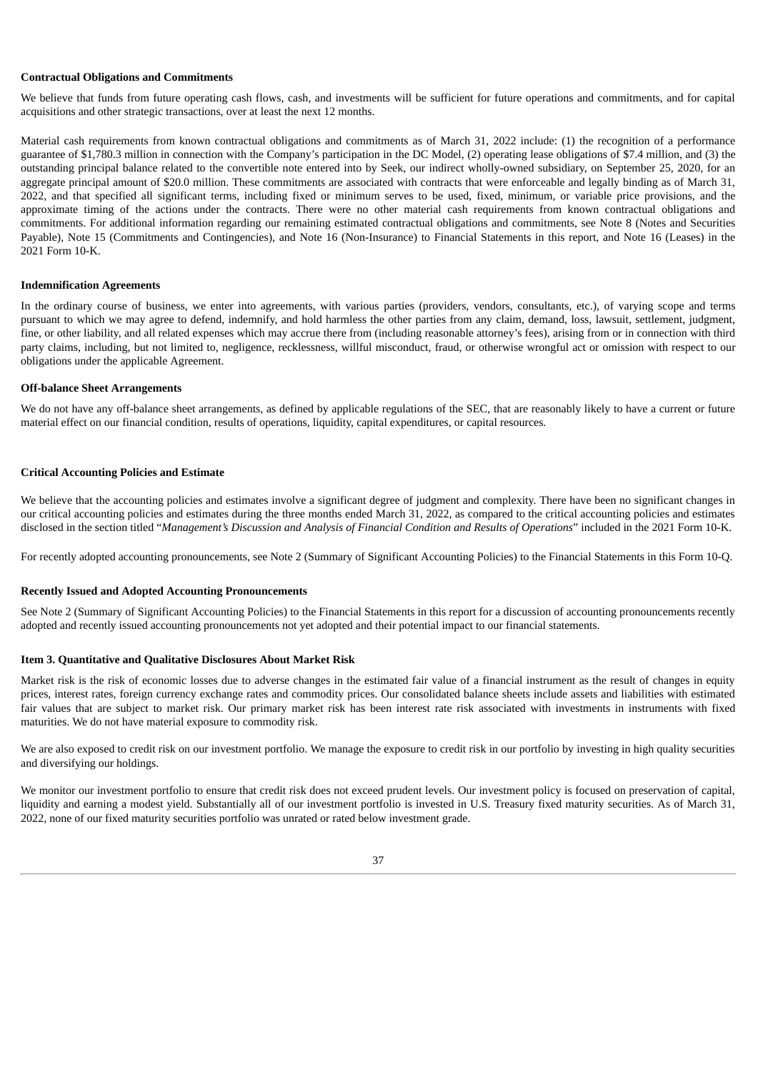#### **Contractual Obligations and Commitments**

We believe that funds from future operating cash flows, cash, and investments will be sufficient for future operations and commitments, and for capital acquisitions and other strategic transactions, over at least the next 12 months.

Material cash requirements from known contractual obligations and commitments as of March 31, 2022 include: (1) the recognition of a performance guarantee of \$1,780.3 million in connection with the Company's participation in the DC Model, (2) operating lease obligations of \$7.4 million, and (3) the outstanding principal balance related to the convertible note entered into by Seek, our indirect wholly-owned subsidiary, on September 25, 2020, for an aggregate principal amount of \$20.0 million. These commitments are associated with contracts that were enforceable and legally binding as of March 31, 2022, and that specified all significant terms, including fixed or minimum serves to be used, fixed, minimum, or variable price provisions, and the approximate timing of the actions under the contracts. There were no other material cash requirements from known contractual obligations and commitments. For additional information regarding our remaining estimated contractual obligations and commitments, see Note 8 (Notes and Securities Payable), Note 15 (Commitments and Contingencies), and Note 16 (Non-Insurance) to Financial Statements in this report, and Note 16 (Leases) in the 2021 Form 10-K.

#### **Indemnification Agreements**

In the ordinary course of business, we enter into agreements, with various parties (providers, vendors, consultants, etc.), of varying scope and terms pursuant to which we may agree to defend, indemnify, and hold harmless the other parties from any claim, demand, loss, lawsuit, settlement, judgment, fine, or other liability, and all related expenses which may accrue there from (including reasonable attorney's fees), arising from or in connection with third party claims, including, but not limited to, negligence, recklessness, willful misconduct, fraud, or otherwise wrongful act or omission with respect to our obligations under the applicable Agreement.

#### **Off-balance Sheet Arrangements**

We do not have any off-balance sheet arrangements, as defined by applicable regulations of the SEC, that are reasonably likely to have a current or future material effect on our financial condition, results of operations, liquidity, capital expenditures, or capital resources.

## **Critical Accounting Policies and Estimate**

We believe that the accounting policies and estimates involve a significant degree of judgment and complexity. There have been no significant changes in our critical accounting policies and estimates during the three months ended March 31, 2022, as compared to the critical accounting policies and estimates disclosed in the section titled "Management's Discussion and Analysis of Financial Condition and Results of Operations" included in the 2021 Form 10-K.

For recently adopted accounting pronouncements, see Note 2 (Summary of Significant Accounting Policies) to the Financial Statements in this Form 10-Q.

#### **Recently Issued and Adopted Accounting Pronouncements**

See Note 2 (Summary of Significant Accounting Policies) to the Financial Statements in this report for a discussion of accounting pronouncements recently adopted and recently issued accounting pronouncements not yet adopted and their potential impact to our financial statements.

#### **Item 3. Quantitative and Qualitative Disclosures About Market Risk**

Market risk is the risk of economic losses due to adverse changes in the estimated fair value of a financial instrument as the result of changes in equity prices, interest rates, foreign currency exchange rates and commodity prices. Our consolidated balance sheets include assets and liabilities with estimated fair values that are subject to market risk. Our primary market risk has been interest rate risk associated with investments in instruments with fixed maturities. We do not have material exposure to commodity risk.

We are also exposed to credit risk on our investment portfolio. We manage the exposure to credit risk in our portfolio by investing in high quality securities and diversifying our holdings.

We monitor our investment portfolio to ensure that credit risk does not exceed prudent levels. Our investment policy is focused on preservation of capital, liquidity and earning a modest yield. Substantially all of our investment portfolio is invested in U.S. Treasury fixed maturity securities. As of March 31, 2022, none of our fixed maturity securities portfolio was unrated or rated below investment grade.

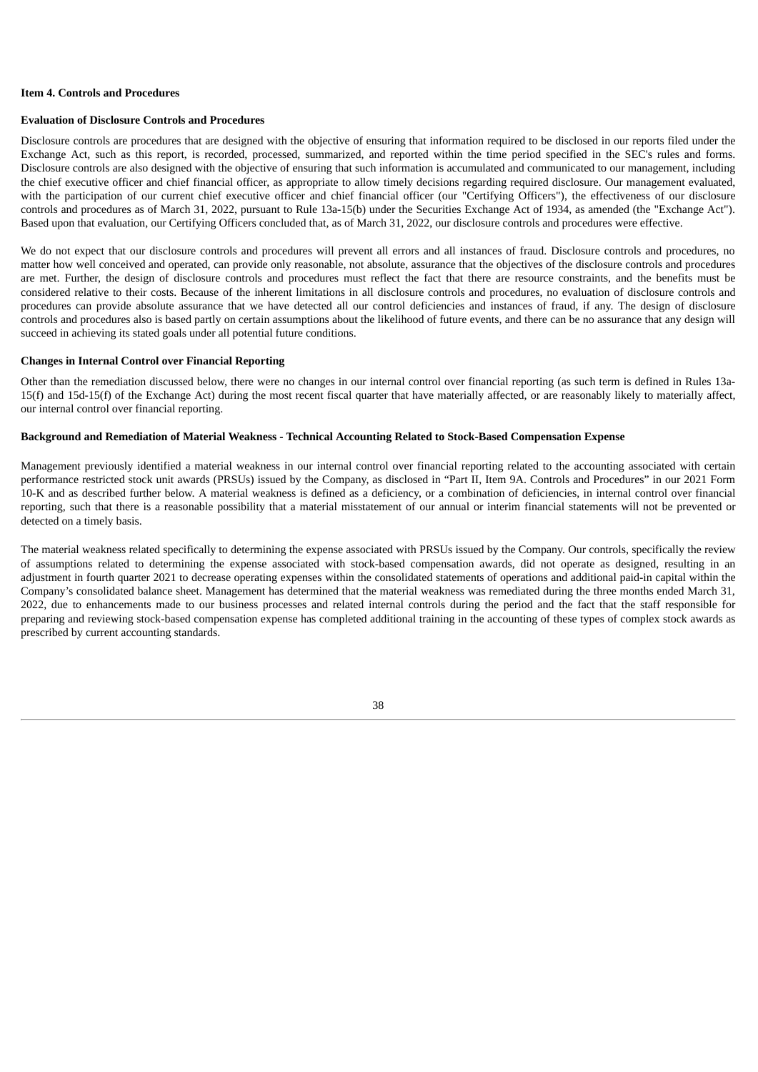## **Item 4. Controls and Procedures**

#### **Evaluation of Disclosure Controls and Procedures**

Disclosure controls are procedures that are designed with the objective of ensuring that information required to be disclosed in our reports filed under the Exchange Act, such as this report, is recorded, processed, summarized, and reported within the time period specified in the SEC's rules and forms. Disclosure controls are also designed with the objective of ensuring that such information is accumulated and communicated to our management, including the chief executive officer and chief financial officer, as appropriate to allow timely decisions regarding required disclosure. Our management evaluated, with the participation of our current chief executive officer and chief financial officer (our "Certifying Officers"), the effectiveness of our disclosure controls and procedures as of March 31, 2022, pursuant to Rule 13a-15(b) under the Securities Exchange Act of 1934, as amended (the "Exchange Act"). Based upon that evaluation, our Certifying Officers concluded that, as of March 31, 2022, our disclosure controls and procedures were effective.

We do not expect that our disclosure controls and procedures will prevent all errors and all instances of fraud. Disclosure controls and procedures, no matter how well conceived and operated, can provide only reasonable, not absolute, assurance that the objectives of the disclosure controls and procedures are met. Further, the design of disclosure controls and procedures must reflect the fact that there are resource constraints, and the benefits must be considered relative to their costs. Because of the inherent limitations in all disclosure controls and procedures, no evaluation of disclosure controls and procedures can provide absolute assurance that we have detected all our control deficiencies and instances of fraud, if any. The design of disclosure controls and procedures also is based partly on certain assumptions about the likelihood of future events, and there can be no assurance that any design will succeed in achieving its stated goals under all potential future conditions.

#### **Changes in Internal Control over Financial Reporting**

Other than the remediation discussed below, there were no changes in our internal control over financial reporting (as such term is defined in Rules 13a-15(f) and 15d-15(f) of the Exchange Act) during the most recent fiscal quarter that have materially affected, or are reasonably likely to materially affect, our internal control over financial reporting.

#### **Background and Remediation of Material Weakness - Technical Accounting Related to Stock-Based Compensation Expense**

Management previously identified a material weakness in our internal control over financial reporting related to the accounting associated with certain performance restricted stock unit awards (PRSUs) issued by the Company, as disclosed in "Part II, Item 9A. Controls and Procedures" in our 2021 Form 10-K and as described further below. A material weakness is defined as a deficiency, or a combination of deficiencies, in internal control over financial reporting, such that there is a reasonable possibility that a material misstatement of our annual or interim financial statements will not be prevented or detected on a timely basis.

The material weakness related specifically to determining the expense associated with PRSUs issued by the Company. Our controls, specifically the review of assumptions related to determining the expense associated with stock-based compensation awards, did not operate as designed, resulting in an adjustment in fourth quarter 2021 to decrease operating expenses within the consolidated statements of operations and additional paid-in capital within the Company's consolidated balance sheet. Management has determined that the material weakness was remediated during the three months ended March 31, 2022, due to enhancements made to our business processes and related internal controls during the period and the fact that the staff responsible for preparing and reviewing stock-based compensation expense has completed additional training in the accounting of these types of complex stock awards as prescribed by current accounting standards.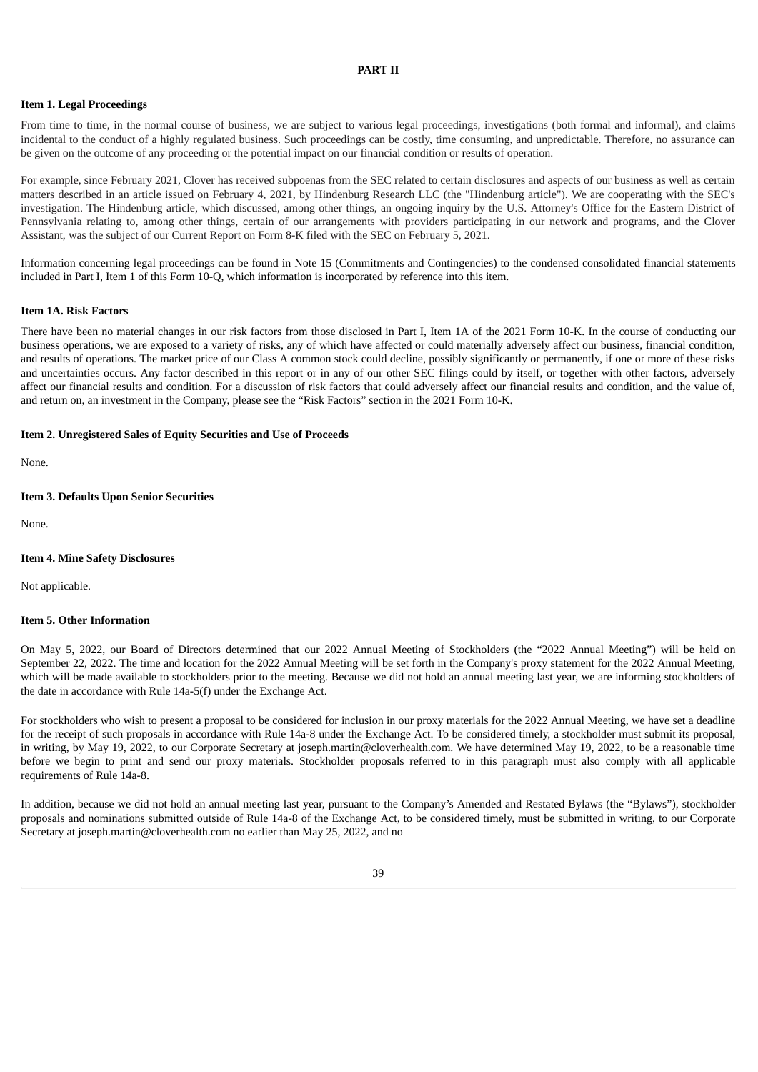#### **PART II**

#### **Item 1. Legal Proceedings**

From time to time, in the normal course of business, we are subject to various legal proceedings, investigations (both formal and informal), and claims incidental to the conduct of a highly regulated business. Such proceedings can be costly, time consuming, and unpredictable. Therefore, no assurance can be given on the outcome of any proceeding or the potential impact on our financial condition or results of operation.

For example, since February 2021, Clover has received subpoenas from the SEC related to certain disclosures and aspects of our business as well as certain matters described in an article issued on February 4, 2021, by Hindenburg Research LLC (the "Hindenburg article"). We are cooperating with the SEC's investigation. The Hindenburg article, which discussed, among other things, an ongoing inquiry by the U.S. Attorney's Office for the Eastern District of Pennsylvania relating to, among other things, certain of our arrangements with providers participating in our network and programs, and the Clover Assistant, was the subject of our Current Report on Form 8-K filed with the SEC on February 5, 2021.

Information concerning legal proceedings can be found in Note 15 (Commitments and Contingencies) to the condensed consolidated financial statements included in Part I, Item 1 of this Form 10-Q, which information is incorporated by reference into this item.

## **Item 1A. Risk Factors**

There have been no material changes in our risk factors from those disclosed in Part I, Item 1A of the 2021 Form 10-K. In the course of conducting our business operations, we are exposed to a variety of risks, any of which have affected or could materially adversely affect our business, financial condition, and results of operations. The market price of our Class A common stock could decline, possibly significantly or permanently, if one or more of these risks and uncertainties occurs. Any factor described in this report or in any of our other SEC filings could by itself, or together with other factors, adversely affect our financial results and condition. For a discussion of risk factors that could adversely affect our financial results and condition, and the value of, and return on, an investment in the Company, please see the "Risk Factors" section in the 2021 Form 10-K.

#### **Item 2. Unregistered Sales of Equity Securities and Use of Proceeds**

None.

## **Item 3. Defaults Upon Senior Securities**

None.

#### **Item 4. Mine Safety Disclosures**

Not applicable.

#### **Item 5. Other Information**

On May 5, 2022, our Board of Directors determined that our 2022 Annual Meeting of Stockholders (the "2022 Annual Meeting") will be held on September 22, 2022. The time and location for the 2022 Annual Meeting will be set forth in the Company's proxy statement for the 2022 Annual Meeting, which will be made available to stockholders prior to the meeting. Because we did not hold an annual meeting last year, we are informing stockholders of the date in accordance with Rule 14a-5(f) under the Exchange Act.

For stockholders who wish to present a proposal to be considered for inclusion in our proxy materials for the 2022 Annual Meeting, we have set a deadline for the receipt of such proposals in accordance with Rule 14a-8 under the Exchange Act. To be considered timely, a stockholder must submit its proposal, in writing, by May 19, 2022, to our Corporate Secretary at joseph.martin@cloverhealth.com. We have determined May 19, 2022, to be a reasonable time before we begin to print and send our proxy materials. Stockholder proposals referred to in this paragraph must also comply with all applicable requirements of Rule 14a-8.

In addition, because we did not hold an annual meeting last year, pursuant to the Company's Amended and Restated Bylaws (the "Bylaws"), stockholder proposals and nominations submitted outside of Rule 14a-8 of the Exchange Act, to be considered timely, must be submitted in writing, to our Corporate Secretary at joseph.martin@cloverhealth.com no earlier than May 25, 2022, and no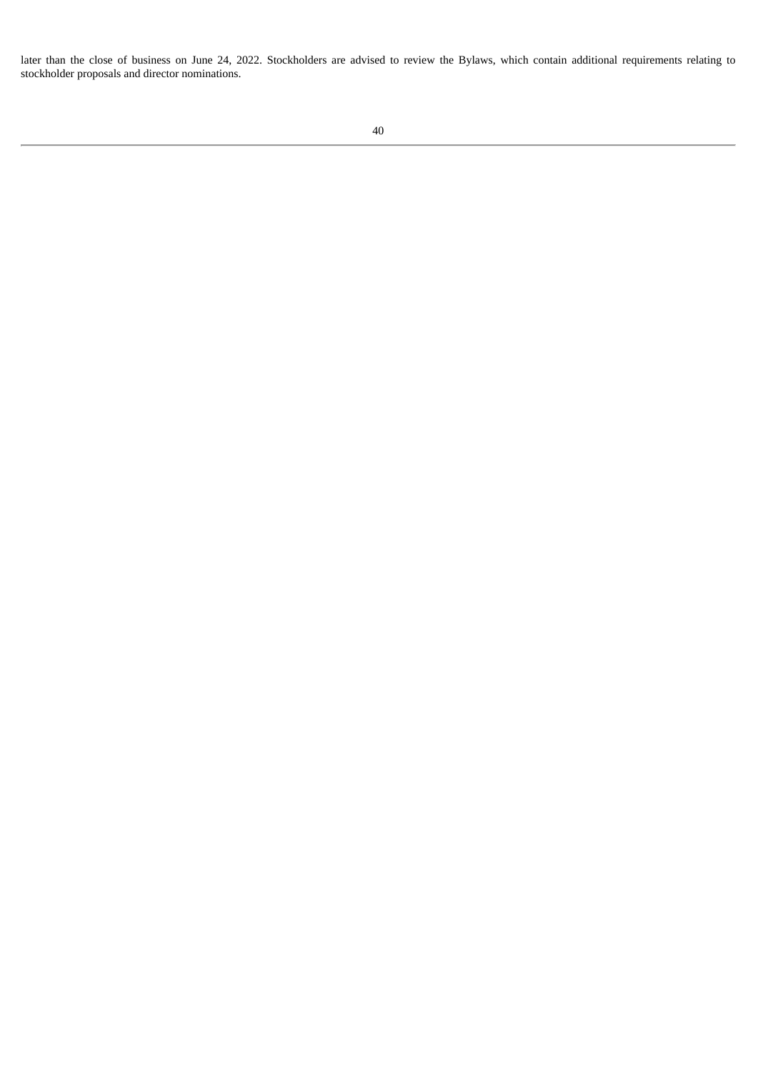later than the close of business on June 24, 2022. Stockholders are advised to review the Bylaws, which contain additional requirements relating to stockholder proposals and director nominations.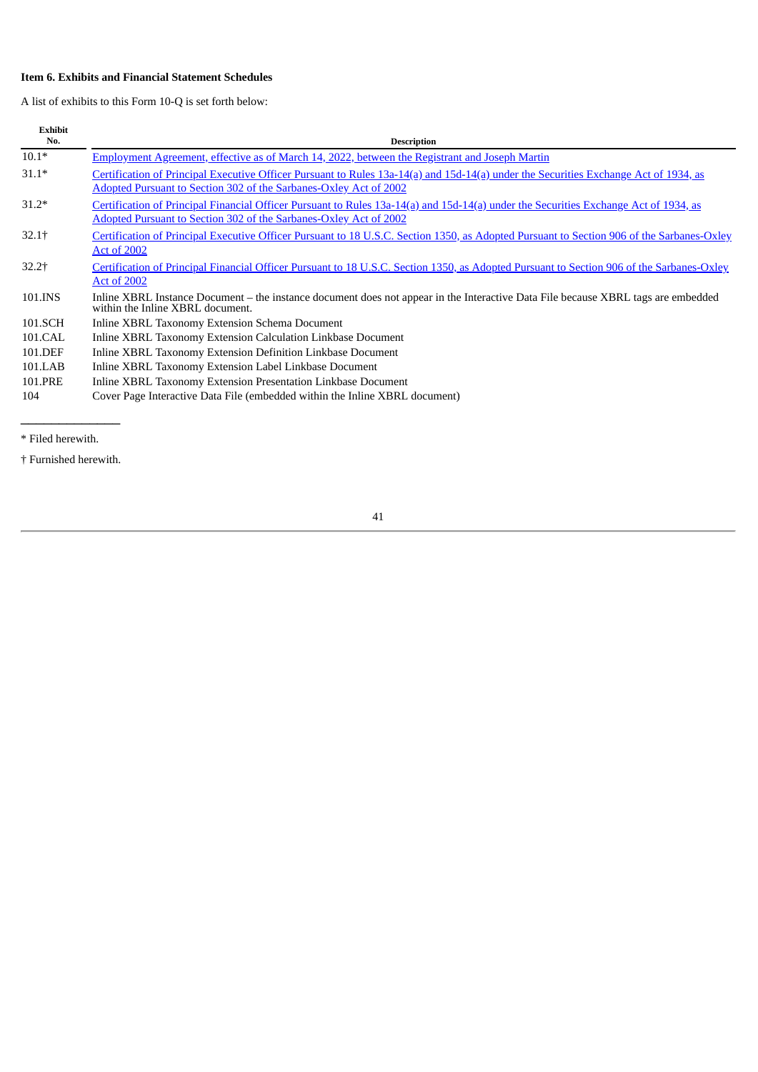## **Item 6. Exhibits and Financial Statement Schedules**

A list of exhibits to this Form 10-Q is set forth below:

| <b>Exhibit</b><br>No. | <b>Description</b>                                                                                                                                                                                        |
|-----------------------|-----------------------------------------------------------------------------------------------------------------------------------------------------------------------------------------------------------|
| $10.1*$               | Employment Agreement, effective as of March 14, 2022, between the Registrant and Joseph Martin                                                                                                            |
| $31.1*$               | Certification of Principal Executive Officer Pursuant to Rules 13a-14(a) and 15d-14(a) under the Securities Exchange Act of 1934, as<br>Adopted Pursuant to Section 302 of the Sarbanes-Oxley Act of 2002 |
| $31.2*$               | Certification of Principal Financial Officer Pursuant to Rules 13a-14(a) and 15d-14(a) under the Securities Exchange Act of 1934, as<br>Adopted Pursuant to Section 302 of the Sarbanes-Oxley Act of 2002 |
| $32.1+$               | Certification of Principal Executive Officer Pursuant to 18 U.S.C. Section 1350, as Adopted Pursuant to Section 906 of the Sarbanes-Oxley<br><b>Act of 2002</b>                                           |
| $32.2+$               | Certification of Principal Financial Officer Pursuant to 18 U.S.C. Section 1350, as Adopted Pursuant to Section 906 of the Sarbanes-Oxley<br><b>Act of 2002</b>                                           |
| 101.INS               | Inline XBRL Instance Document – the instance document does not appear in the Interactive Data File because XBRL tags are embedded<br>within the Inline XBRL document.                                     |
| 101.SCH               | Inline XBRL Taxonomy Extension Schema Document                                                                                                                                                            |
| 101.CAL               | Inline XBRL Taxonomy Extension Calculation Linkbase Document                                                                                                                                              |
| 101.DEF               | Inline XBRL Taxonomy Extension Definition Linkbase Document                                                                                                                                               |
| 101.LAB               | Inline XBRL Taxonomy Extension Label Linkbase Document                                                                                                                                                    |
| 101.PRE               | Inline XBRL Taxonomy Extension Presentation Linkbase Document                                                                                                                                             |
| 104                   | Cover Page Interactive Data File (embedded within the Inline XBRL document)                                                                                                                               |

\* Filed herewith.

† Furnished herewith.

 $\frac{1}{2}$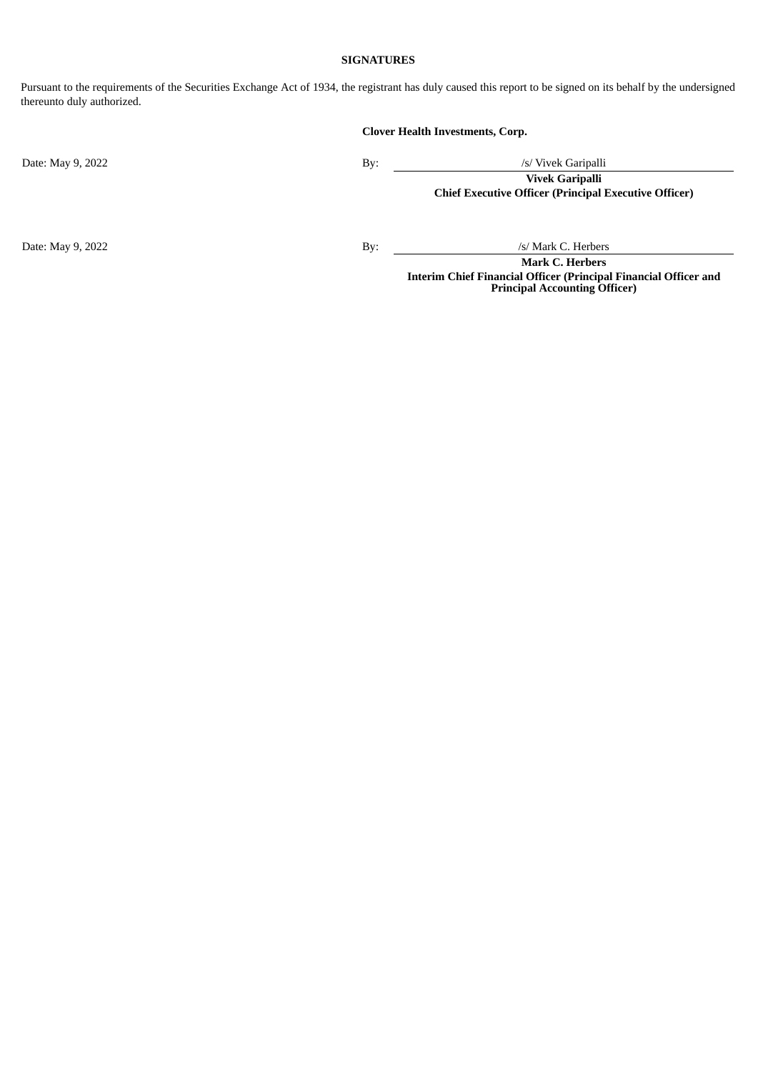## **SIGNATURES**

Pursuant to the requirements of the Securities Exchange Act of 1934, the registrant has duly caused this report to be signed on its behalf by the undersigned thereunto duly authorized.

## **Clover Health Investments, Corp.**

Date: May 9, 2022 By: *bl* By: */s/ Vivek Garipalli* 

**Vivek Garipalli Chief Executive Officer (Principal Executive Officer)**

Date: May 9, 2022 By: /s/ Mark C. Herbers

**Mark C. Herbers Interim Chief Financial Officer (Principal Financial Officer and Principal Accounting Officer)**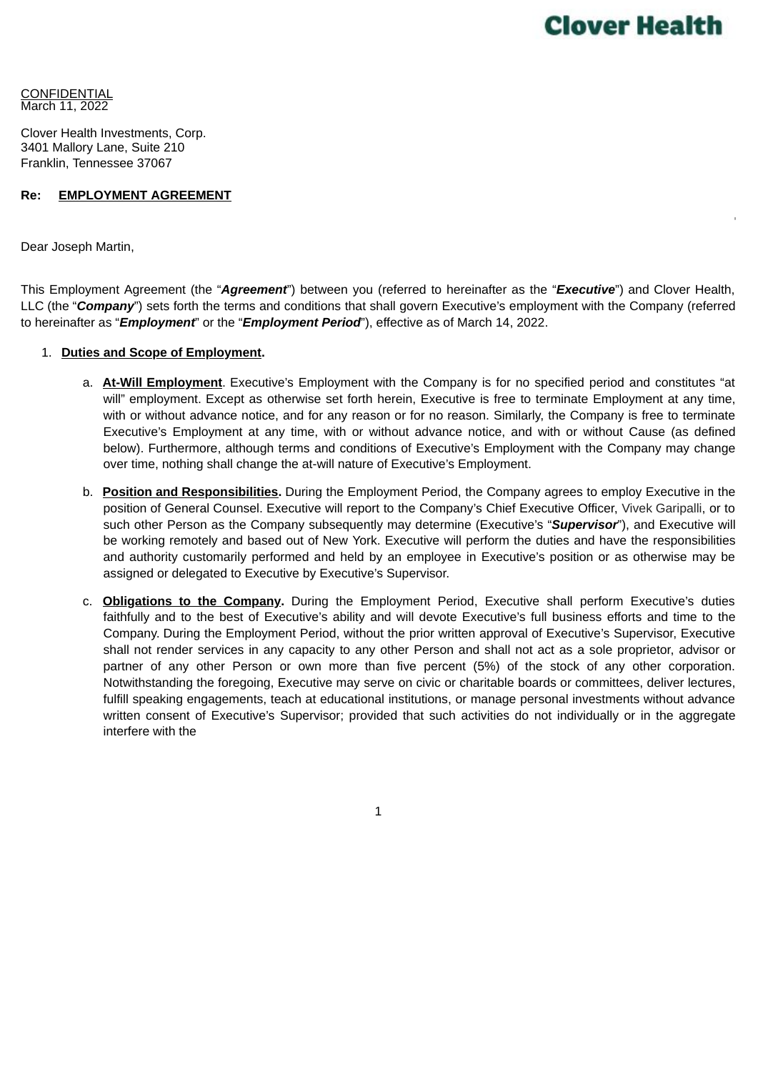# **Clover Health**

<span id="page-42-0"></span>**CONFIDENTIAL** March 11, 2022

Clover Health Investments, Corp. 3401 Mallory Lane, Suite 210 Franklin, Tennessee 37067

## **Re: EMPLOYMENT AGREEMENT**

Dear Joseph Martin,

This Employment Agreement (the "*Agreement*") between you (referred to hereinafter as the "*Executive*") and Clover Health, LLC (the "*Company*") sets forth the terms and conditions that shall govern Executive's employment with the Company (referred to hereinafter as "*Employment*" or the "*Employment Period*"), effective as of March 14, 2022.

## 1. **Duties and Scope of Employment.**

- a. **At-Will Employment**. Executive's Employment with the Company is for no specified period and constitutes "at will" employment. Except as otherwise set forth herein, Executive is free to terminate Employment at any time, with or without advance notice, and for any reason or for no reason. Similarly, the Company is free to terminate Executive's Employment at any time, with or without advance notice, and with or without Cause (as defined below). Furthermore, although terms and conditions of Executive's Employment with the Company may change over time, nothing shall change the at-will nature of Executive's Employment.
- b. **Position and Responsibilities.** During the Employment Period, the Company agrees to employ Executive in the position of General Counsel. Executive will report to the Company's Chief Executive Officer, Vivek Garipalli, or to such other Person as the Company subsequently may determine (Executive's "*Supervisor*"), and Executive will be working remotely and based out of New York. Executive will perform the duties and have the responsibilities and authority customarily performed and held by an employee in Executive's position or as otherwise may be assigned or delegated to Executive by Executive's Supervisor.
- c. **Obligations to the Company.** During the Employment Period, Executive shall perform Executive's duties faithfully and to the best of Executive's ability and will devote Executive's full business efforts and time to the Company. During the Employment Period, without the prior written approval of Executive's Supervisor, Executive shall not render services in any capacity to any other Person and shall not act as a sole proprietor, advisor or partner of any other Person or own more than five percent (5%) of the stock of any other corporation. Notwithstanding the foregoing, Executive may serve on civic or charitable boards or committees, deliver lectures, fulfill speaking engagements, teach at educational institutions, or manage personal investments without advance written consent of Executive's Supervisor; provided that such activities do not individually or in the aggregate interfere with the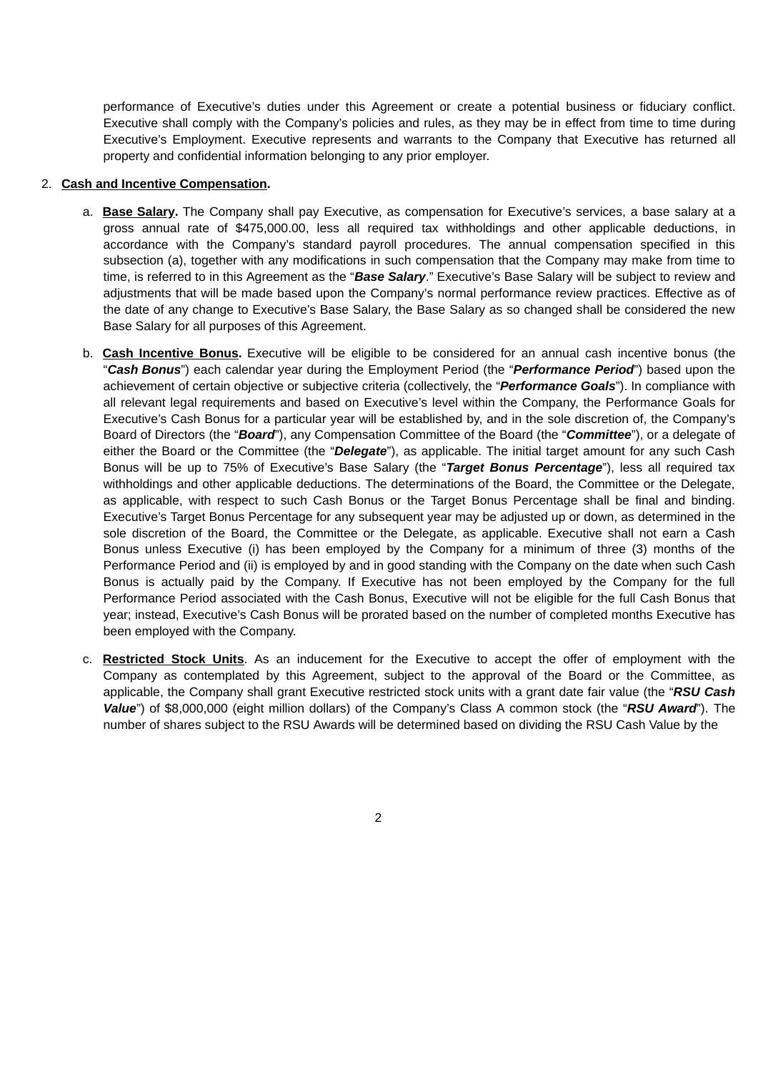performance of Executive's duties under this Agreement or create a potential business or fiduciary conflict. Executive shall comply with the Company's policies and rules, as they may be in effect from time to time during Executive's Employment. Executive represents and warrants to the Company that Executive has returned all property and confidential information belonging to any prior employer.

## 2. **Cash and Incentive Compensation.**

- a. **Base Salary.** The Company shall pay Executive, as compensation for Executive's services, a base salary at a gross annual rate of \$475,000.00, less all required tax withholdings and other applicable deductions, in accordance with the Company's standard payroll procedures. The annual compensation specified in this subsection (a), together with any modifications in such compensation that the Company may make from time to time, is referred to in this Agreement as the "*Base Salary*." Executive's Base Salary will be subject to review and adjustments that will be made based upon the Company's normal performance review practices. Effective as of the date of any change to Executive's Base Salary, the Base Salary as so changed shall be considered the new Base Salary for all purposes of this Agreement.
- b. **Cash Incentive Bonus.** Executive will be eligible to be considered for an annual cash incentive bonus (the "*Cash Bonus*") each calendar year during the Employment Period (the "*Performance Period*") based upon the achievement of certain objective or subjective criteria (collectively, the "*Performance Goals*"). In compliance with all relevant legal requirements and based on Executive's level within the Company, the Performance Goals for Executive's Cash Bonus for a particular year will be established by, and in the sole discretion of, the Company's Board of Directors (the "*Board*"), any Compensation Committee of the Board (the "*Committee*"), or a delegate of either the Board or the Committee (the "*Delegate*"), as applicable. The initial target amount for any such Cash Bonus will be up to 75% of Executive's Base Salary (the "*Target Bonus Percentage*"), less all required tax withholdings and other applicable deductions. The determinations of the Board, the Committee or the Delegate, as applicable, with respect to such Cash Bonus or the Target Bonus Percentage shall be final and binding. Executive's Target Bonus Percentage for any subsequent year may be adjusted up or down, as determined in the sole discretion of the Board, the Committee or the Delegate, as applicable. Executive shall not earn a Cash Bonus unless Executive (i) has been employed by the Company for a minimum of three (3) months of the Performance Period and (ii) is employed by and in good standing with the Company on the date when such Cash Bonus is actually paid by the Company. If Executive has not been employed by the Company for the full Performance Period associated with the Cash Bonus, Executive will not be eligible for the full Cash Bonus that year; instead, Executive's Cash Bonus will be prorated based on the number of completed months Executive has been employed with the Company.
- c. **Restricted Stock Units**. As an inducement for the Executive to accept the offer of employment with the Company as contemplated by this Agreement, subject to the approval of the Board or the Committee, as applicable, the Company shall grant Executive restricted stock units with a grant date fair value (the "*RSU Cash Value*") of \$8,000,000 (eight million dollars) of the Company's Class A common stock (the "*RSU Award*"). The number of shares subject to the RSU Awards will be determined based on dividing the RSU Cash Value by the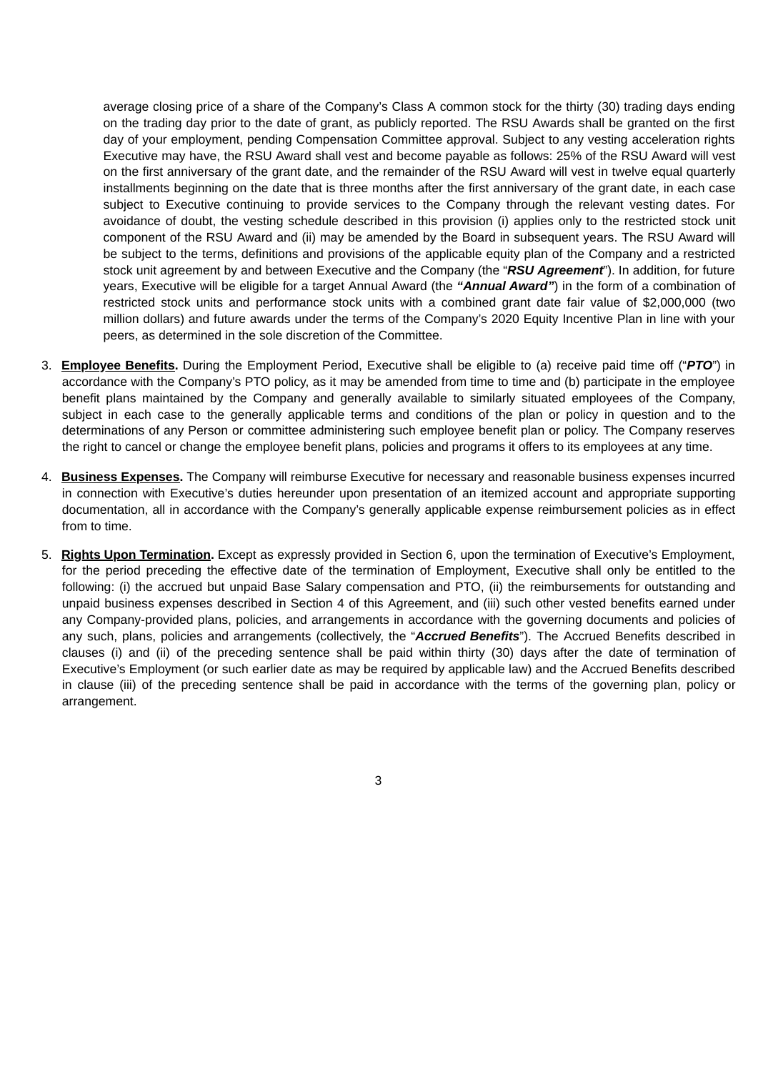average closing price of a share of the Company's Class A common stock for the thirty (30) trading days ending on the trading day prior to the date of grant, as publicly reported. The RSU Awards shall be granted on the first day of your employment, pending Compensation Committee approval. Subject to any vesting acceleration rights Executive may have, the RSU Award shall vest and become payable as follows: 25% of the RSU Award will vest on the first anniversary of the grant date, and the remainder of the RSU Award will vest in twelve equal quarterly installments beginning on the date that is three months after the first anniversary of the grant date, in each case subject to Executive continuing to provide services to the Company through the relevant vesting dates. For avoidance of doubt, the vesting schedule described in this provision (i) applies only to the restricted stock unit component of the RSU Award and (ii) may be amended by the Board in subsequent years. The RSU Award will be subject to the terms, definitions and provisions of the applicable equity plan of the Company and a restricted stock unit agreement by and between Executive and the Company (the "*RSU Agreement*"). In addition, for future years, Executive will be eligible for a target Annual Award (the *"Annual Award"*) in the form of a combination of restricted stock units and performance stock units with a combined grant date fair value of \$2,000,000 (two million dollars) and future awards under the terms of the Company's 2020 Equity Incentive Plan in line with your peers, as determined in the sole discretion of the Committee.

- 3. **Employee Benefits.** During the Employment Period, Executive shall be eligible to (a) receive paid time off ("*PTO*") in accordance with the Company's PTO policy, as it may be amended from time to time and (b) participate in the employee benefit plans maintained by the Company and generally available to similarly situated employees of the Company, subject in each case to the generally applicable terms and conditions of the plan or policy in question and to the determinations of any Person or committee administering such employee benefit plan or policy. The Company reserves the right to cancel or change the employee benefit plans, policies and programs it offers to its employees at any time.
- 4. **Business Expenses.** The Company will reimburse Executive for necessary and reasonable business expenses incurred in connection with Executive's duties hereunder upon presentation of an itemized account and appropriate supporting documentation, all in accordance with the Company's generally applicable expense reimbursement policies as in effect from to time.
- 5. **Rights Upon Termination.** Except as expressly provided in Section 6, upon the termination of Executive's Employment, for the period preceding the effective date of the termination of Employment, Executive shall only be entitled to the following: (i) the accrued but unpaid Base Salary compensation and PTO, (ii) the reimbursements for outstanding and unpaid business expenses described in Section 4 of this Agreement, and (iii) such other vested benefits earned under any Company-provided plans, policies, and arrangements in accordance with the governing documents and policies of any such, plans, policies and arrangements (collectively, the "*Accrued Benefits*"). The Accrued Benefits described in clauses (i) and (ii) of the preceding sentence shall be paid within thirty (30) days after the date of termination of Executive's Employment (or such earlier date as may be required by applicable law) and the Accrued Benefits described in clause (iii) of the preceding sentence shall be paid in accordance with the terms of the governing plan, policy or arrangement.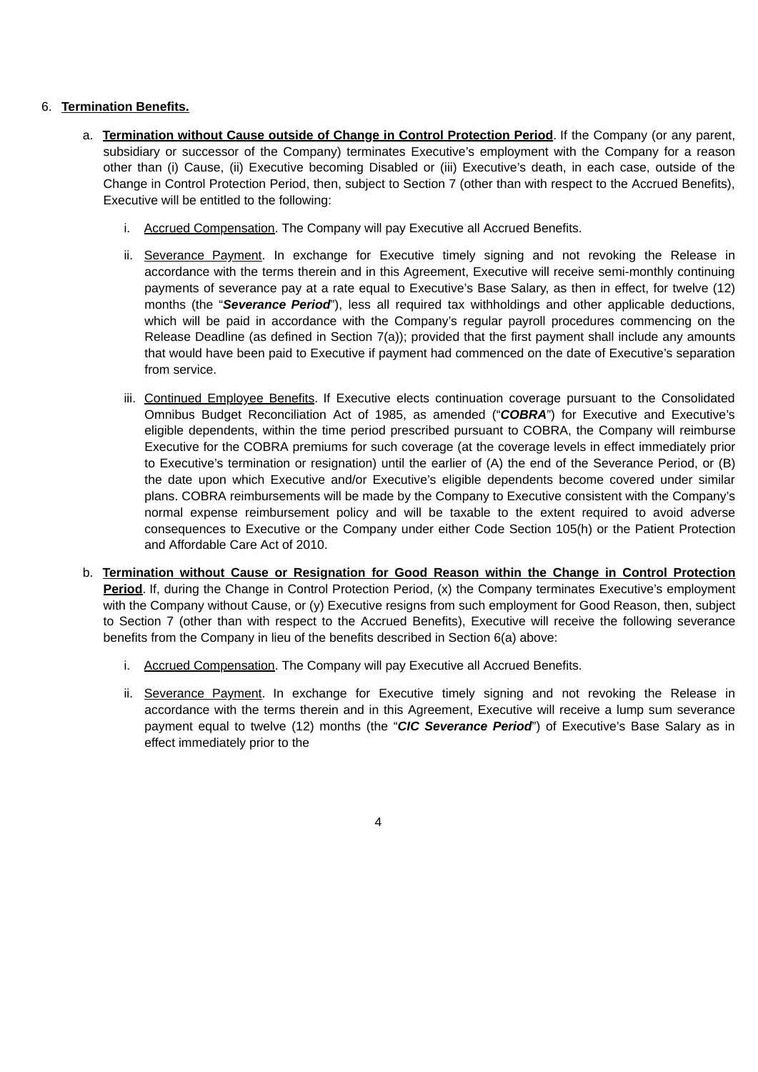# 6. **Termination Benefits.**

- a. **Termination without Cause outside of Change in Control Protection Period**. If the Company (or any parent, subsidiary or successor of the Company) terminates Executive's employment with the Company for a reason other than (i) Cause, (ii) Executive becoming Disabled or (iii) Executive's death, in each case, outside of the Change in Control Protection Period, then, subject to Section 7 (other than with respect to the Accrued Benefits), Executive will be entitled to the following:
	- i. Accrued Compensation. The Company will pay Executive all Accrued Benefits.
	- ii. Severance Payment. In exchange for Executive timely signing and not revoking the Release in accordance with the terms therein and in this Agreement, Executive will receive semi-monthly continuing payments of severance pay at a rate equal to Executive's Base Salary, as then in effect, for twelve (12) months (the "*Severance Period*"), less all required tax withholdings and other applicable deductions, which will be paid in accordance with the Company's regular payroll procedures commencing on the Release Deadline (as defined in Section 7(a)); provided that the first payment shall include any amounts that would have been paid to Executive if payment had commenced on the date of Executive's separation from service.
	- iii. Continued Employee Benefits. If Executive elects continuation coverage pursuant to the Consolidated Omnibus Budget Reconciliation Act of 1985, as amended ("*COBRA*") for Executive and Executive's eligible dependents, within the time period prescribed pursuant to COBRA, the Company will reimburse Executive for the COBRA premiums for such coverage (at the coverage levels in effect immediately prior to Executive's termination or resignation) until the earlier of (A) the end of the Severance Period, or (B) the date upon which Executive and/or Executive's eligible dependents become covered under similar plans. COBRA reimbursements will be made by the Company to Executive consistent with the Company's normal expense reimbursement policy and will be taxable to the extent required to avoid adverse consequences to Executive or the Company under either Code Section 105(h) or the Patient Protection and Affordable Care Act of 2010.
- b. **Termination without Cause or Resignation for Good Reason within the Change in Control Protection Period**. If, during the Change in Control Protection Period, (x) the Company terminates Executive's employment with the Company without Cause, or (y) Executive resigns from such employment for Good Reason, then, subject to Section 7 (other than with respect to the Accrued Benefits), Executive will receive the following severance benefits from the Company in lieu of the benefits described in Section 6(a) above:
	- i. Accrued Compensation. The Company will pay Executive all Accrued Benefits.
	- ii. Severance Payment. In exchange for Executive timely signing and not revoking the Release in accordance with the terms therein and in this Agreement, Executive will receive a lump sum severance payment equal to twelve (12) months (the "*CIC Severance Period*") of Executive's Base Salary as in effect immediately prior to the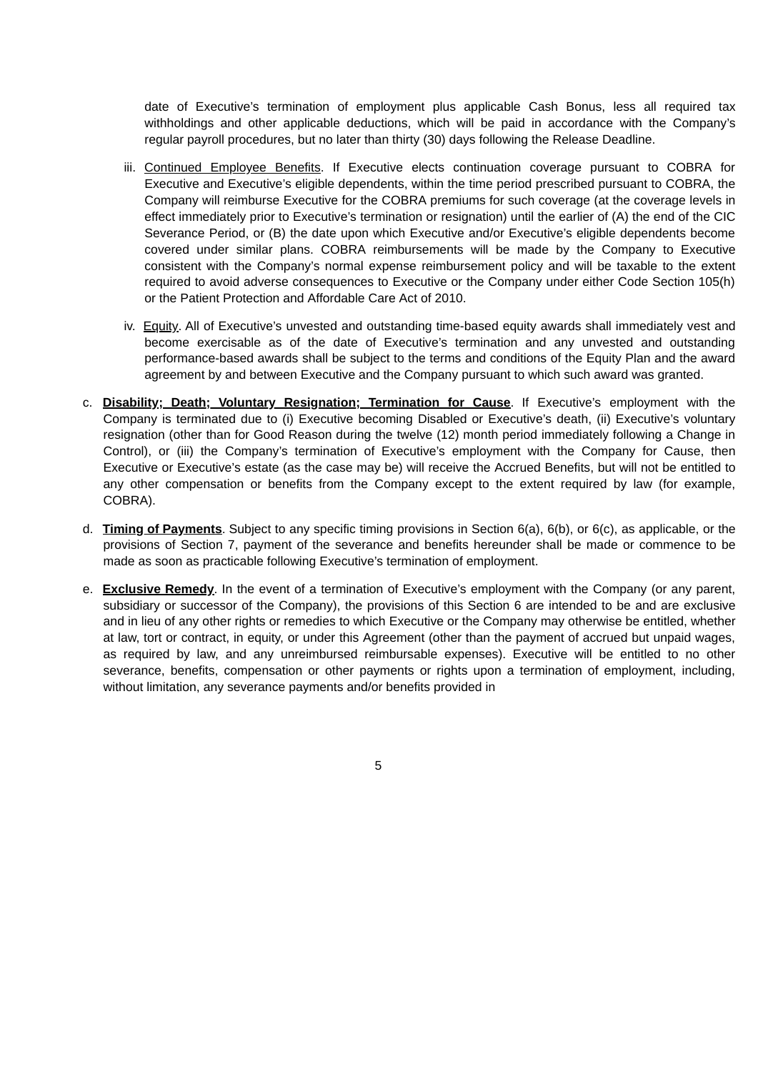date of Executive's termination of employment plus applicable Cash Bonus, less all required tax withholdings and other applicable deductions, which will be paid in accordance with the Company's regular payroll procedures, but no later than thirty (30) days following the Release Deadline.

- iii. Continued Employee Benefits. If Executive elects continuation coverage pursuant to COBRA for Executive and Executive's eligible dependents, within the time period prescribed pursuant to COBRA, the Company will reimburse Executive for the COBRA premiums for such coverage (at the coverage levels in effect immediately prior to Executive's termination or resignation) until the earlier of (A) the end of the CIC Severance Period, or (B) the date upon which Executive and/or Executive's eligible dependents become covered under similar plans. COBRA reimbursements will be made by the Company to Executive consistent with the Company's normal expense reimbursement policy and will be taxable to the extent required to avoid adverse consequences to Executive or the Company under either Code Section 105(h) or the Patient Protection and Affordable Care Act of 2010.
- iv. Equity. All of Executive's unvested and outstanding time-based equity awards shall immediately vest and become exercisable as of the date of Executive's termination and any unvested and outstanding performance-based awards shall be subject to the terms and conditions of the Equity Plan and the award agreement by and between Executive and the Company pursuant to which such award was granted.
- c. **Disability; Death; Voluntary Resignation; Termination for Cause**. If Executive's employment with the Company is terminated due to (i) Executive becoming Disabled or Executive's death, (ii) Executive's voluntary resignation (other than for Good Reason during the twelve (12) month period immediately following a Change in Control), or (iii) the Company's termination of Executive's employment with the Company for Cause, then Executive or Executive's estate (as the case may be) will receive the Accrued Benefits, but will not be entitled to any other compensation or benefits from the Company except to the extent required by law (for example, COBRA).
- d. **Timing of Payments**. Subject to any specific timing provisions in Section 6(a), 6(b), or 6(c), as applicable, or the provisions of Section 7, payment of the severance and benefits hereunder shall be made or commence to be made as soon as practicable following Executive's termination of employment.
- e. **Exclusive Remedy**. In the event of a termination of Executive's employment with the Company (or any parent, subsidiary or successor of the Company), the provisions of this Section 6 are intended to be and are exclusive and in lieu of any other rights or remedies to which Executive or the Company may otherwise be entitled, whether at law, tort or contract, in equity, or under this Agreement (other than the payment of accrued but unpaid wages, as required by law, and any unreimbursed reimbursable expenses). Executive will be entitled to no other severance, benefits, compensation or other payments or rights upon a termination of employment, including, without limitation, any severance payments and/or benefits provided in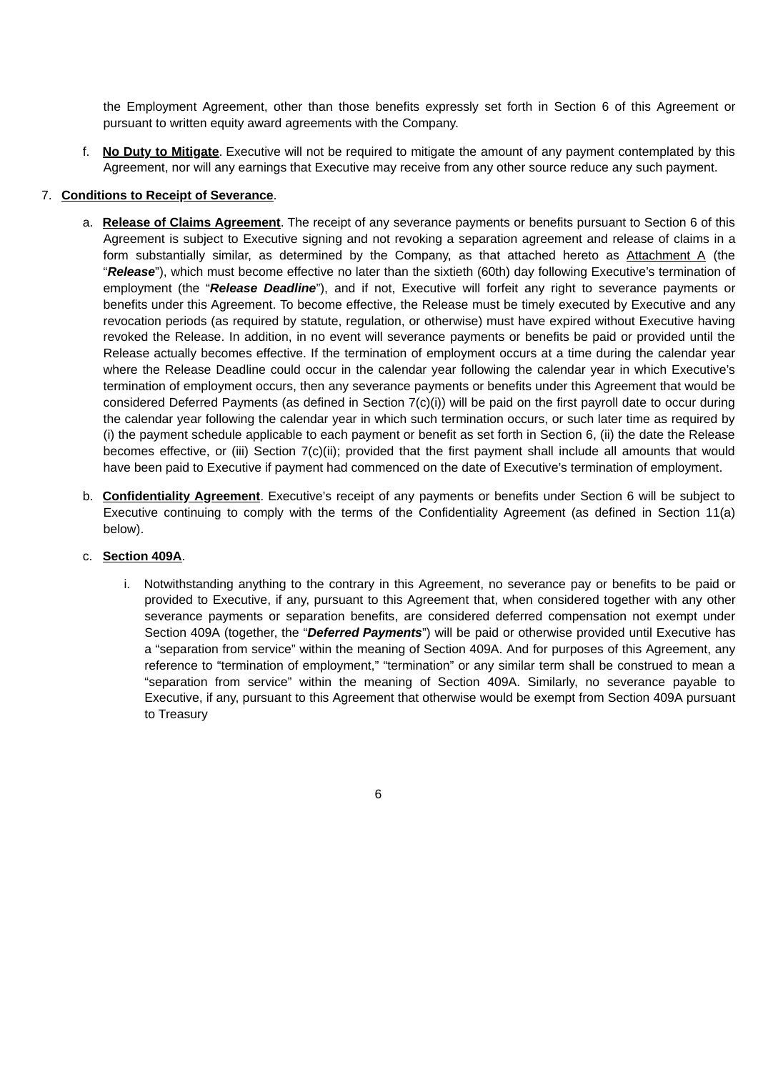the Employment Agreement, other than those benefits expressly set forth in Section 6 of this Agreement or pursuant to written equity award agreements with the Company.

f. **No Duty to Mitigate**. Executive will not be required to mitigate the amount of any payment contemplated by this Agreement, nor will any earnings that Executive may receive from any other source reduce any such payment.

# 7. **Conditions to Receipt of Severance**.

- a. **Release of Claims Agreement**. The receipt of any severance payments or benefits pursuant to Section 6 of this Agreement is subject to Executive signing and not revoking a separation agreement and release of claims in a form substantially similar, as determined by the Company, as that attached hereto as Attachment A (the "*Release*"), which must become effective no later than the sixtieth (60th) day following Executive's termination of employment (the "*Release Deadline*"), and if not, Executive will forfeit any right to severance payments or benefits under this Agreement. To become effective, the Release must be timely executed by Executive and any revocation periods (as required by statute, regulation, or otherwise) must have expired without Executive having revoked the Release. In addition, in no event will severance payments or benefits be paid or provided until the Release actually becomes effective. If the termination of employment occurs at a time during the calendar year where the Release Deadline could occur in the calendar year following the calendar year in which Executive's termination of employment occurs, then any severance payments or benefits under this Agreement that would be considered Deferred Payments (as defined in Section 7(c)(i)) will be paid on the first payroll date to occur during the calendar year following the calendar year in which such termination occurs, or such later time as required by (i) the payment schedule applicable to each payment or benefit as set forth in Section 6, (ii) the date the Release becomes effective, or (iii) Section 7(c)(ii); provided that the first payment shall include all amounts that would have been paid to Executive if payment had commenced on the date of Executive's termination of employment.
- b. **Confidentiality Agreement**. Executive's receipt of any payments or benefits under Section 6 will be subject to Executive continuing to comply with the terms of the Confidentiality Agreement (as defined in Section 11(a) below).

# c. **Section 409A**.

i. Notwithstanding anything to the contrary in this Agreement, no severance pay or benefits to be paid or provided to Executive, if any, pursuant to this Agreement that, when considered together with any other severance payments or separation benefits, are considered deferred compensation not exempt under Section 409A (together, the "*Deferred Payments*") will be paid or otherwise provided until Executive has a "separation from service" within the meaning of Section 409A. And for purposes of this Agreement, any reference to "termination of employment," "termination" or any similar term shall be construed to mean a "separation from service" within the meaning of Section 409A. Similarly, no severance payable to Executive, if any, pursuant to this Agreement that otherwise would be exempt from Section 409A pursuant to Treasury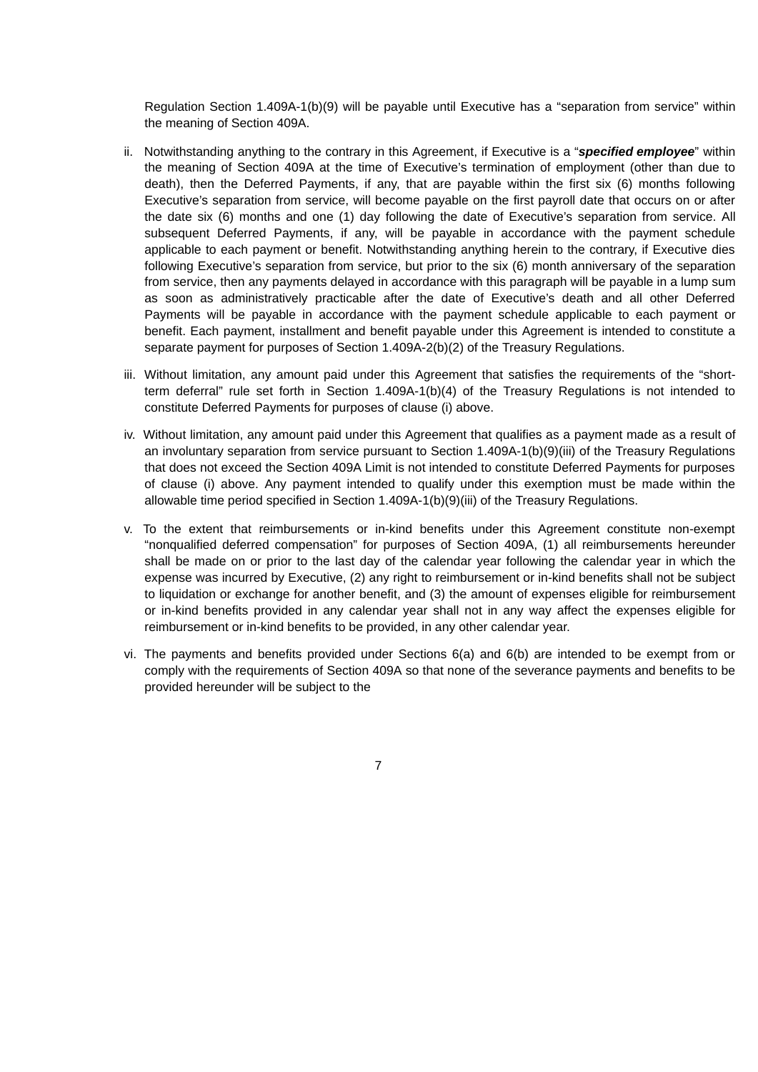Regulation Section 1.409A-1(b)(9) will be payable until Executive has a "separation from service" within the meaning of Section 409A.

- ii. Notwithstanding anything to the contrary in this Agreement, if Executive is a "*specified employee*" within the meaning of Section 409A at the time of Executive's termination of employment (other than due to death), then the Deferred Payments, if any, that are payable within the first six (6) months following Executive's separation from service, will become payable on the first payroll date that occurs on or after the date six (6) months and one (1) day following the date of Executive's separation from service. All subsequent Deferred Payments, if any, will be payable in accordance with the payment schedule applicable to each payment or benefit. Notwithstanding anything herein to the contrary, if Executive dies following Executive's separation from service, but prior to the six (6) month anniversary of the separation from service, then any payments delayed in accordance with this paragraph will be payable in a lump sum as soon as administratively practicable after the date of Executive's death and all other Deferred Payments will be payable in accordance with the payment schedule applicable to each payment or benefit. Each payment, installment and benefit payable under this Agreement is intended to constitute a separate payment for purposes of Section 1.409A-2(b)(2) of the Treasury Regulations.
- iii. Without limitation, any amount paid under this Agreement that satisfies the requirements of the "shortterm deferral" rule set forth in Section 1.409A-1(b)(4) of the Treasury Regulations is not intended to constitute Deferred Payments for purposes of clause (i) above.
- iv. Without limitation, any amount paid under this Agreement that qualifies as a payment made as a result of an involuntary separation from service pursuant to Section 1.409A-1(b)(9)(iii) of the Treasury Regulations that does not exceed the Section 409A Limit is not intended to constitute Deferred Payments for purposes of clause (i) above. Any payment intended to qualify under this exemption must be made within the allowable time period specified in Section 1.409A-1(b)(9)(iii) of the Treasury Regulations.
- v. To the extent that reimbursements or in-kind benefits under this Agreement constitute non-exempt "nonqualified deferred compensation" for purposes of Section 409A, (1) all reimbursements hereunder shall be made on or prior to the last day of the calendar year following the calendar year in which the expense was incurred by Executive, (2) any right to reimbursement or in-kind benefits shall not be subject to liquidation or exchange for another benefit, and (3) the amount of expenses eligible for reimbursement or in-kind benefits provided in any calendar year shall not in any way affect the expenses eligible for reimbursement or in-kind benefits to be provided, in any other calendar year.
- vi. The payments and benefits provided under Sections 6(a) and 6(b) are intended to be exempt from or comply with the requirements of Section 409A so that none of the severance payments and benefits to be provided hereunder will be subject to the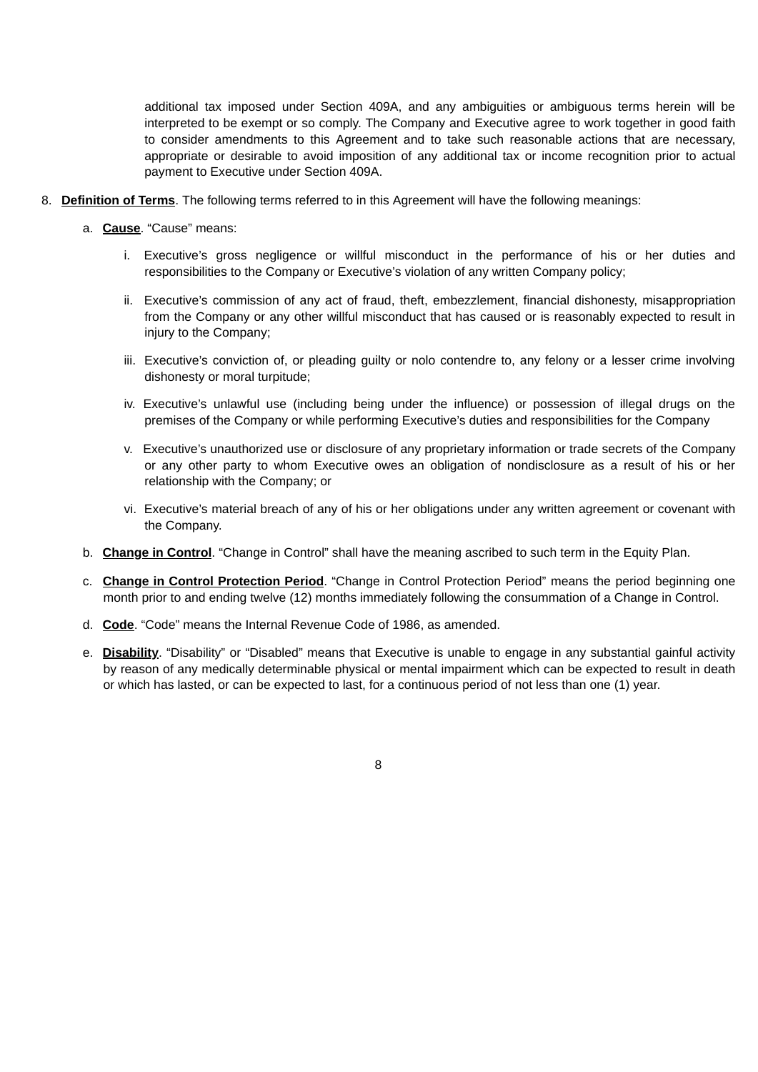additional tax imposed under Section 409A, and any ambiguities or ambiguous terms herein will be interpreted to be exempt or so comply. The Company and Executive agree to work together in good faith to consider amendments to this Agreement and to take such reasonable actions that are necessary, appropriate or desirable to avoid imposition of any additional tax or income recognition prior to actual payment to Executive under Section 409A.

- 8. **Definition of Terms**. The following terms referred to in this Agreement will have the following meanings:
	- a. **Cause**. "Cause" means:
		- i. Executive's gross negligence or willful misconduct in the performance of his or her duties and responsibilities to the Company or Executive's violation of any written Company policy;
		- ii. Executive's commission of any act of fraud, theft, embezzlement, financial dishonesty, misappropriation from the Company or any other willful misconduct that has caused or is reasonably expected to result in injury to the Company:
		- iii. Executive's conviction of, or pleading guilty or nolo contendre to, any felony or a lesser crime involving dishonesty or moral turpitude;
		- iv. Executive's unlawful use (including being under the influence) or possession of illegal drugs on the premises of the Company or while performing Executive's duties and responsibilities for the Company
		- v. Executive's unauthorized use or disclosure of any proprietary information or trade secrets of the Company or any other party to whom Executive owes an obligation of nondisclosure as a result of his or her relationship with the Company; or
		- vi. Executive's material breach of any of his or her obligations under any written agreement or covenant with the Company.
	- b. **Change in Control**. "Change in Control" shall have the meaning ascribed to such term in the Equity Plan.
	- c. **Change in Control Protection Period**. "Change in Control Protection Period" means the period beginning one month prior to and ending twelve (12) months immediately following the consummation of a Change in Control.
	- d. **Code**. "Code" means the Internal Revenue Code of 1986, as amended.
	- e. **Disability**. "Disability" or "Disabled" means that Executive is unable to engage in any substantial gainful activity by reason of any medically determinable physical or mental impairment which can be expected to result in death or which has lasted, or can be expected to last, for a continuous period of not less than one (1) year.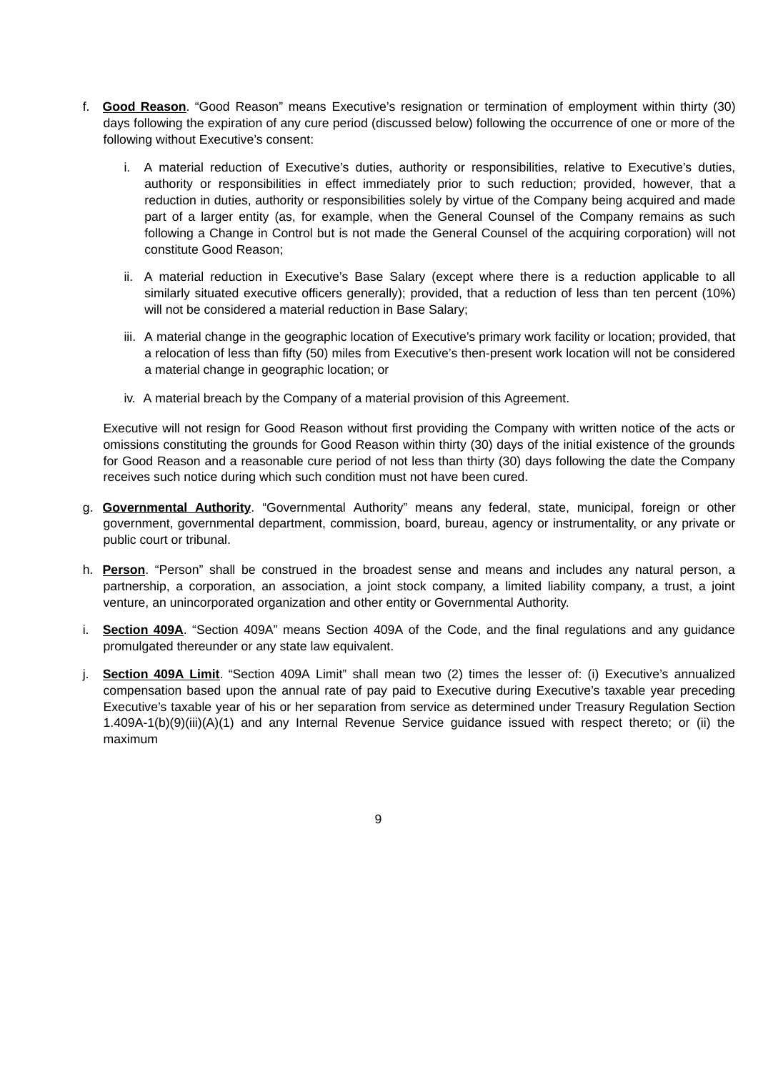- f. **Good Reason**. "Good Reason" means Executive's resignation or termination of employment within thirty (30) days following the expiration of any cure period (discussed below) following the occurrence of one or more of the following without Executive's consent:
	- i. A material reduction of Executive's duties, authority or responsibilities, relative to Executive's duties, authority or responsibilities in effect immediately prior to such reduction; provided, however, that a reduction in duties, authority or responsibilities solely by virtue of the Company being acquired and made part of a larger entity (as, for example, when the General Counsel of the Company remains as such following a Change in Control but is not made the General Counsel of the acquiring corporation) will not constitute Good Reason;
	- ii. A material reduction in Executive's Base Salary (except where there is a reduction applicable to all similarly situated executive officers generally); provided, that a reduction of less than ten percent (10%) will not be considered a material reduction in Base Salary;
	- iii. A material change in the geographic location of Executive's primary work facility or location; provided, that a relocation of less than fifty (50) miles from Executive's then-present work location will not be considered a material change in geographic location; or
	- iv. A material breach by the Company of a material provision of this Agreement.

Executive will not resign for Good Reason without first providing the Company with written notice of the acts or omissions constituting the grounds for Good Reason within thirty (30) days of the initial existence of the grounds for Good Reason and a reasonable cure period of not less than thirty (30) days following the date the Company receives such notice during which such condition must not have been cured.

- g. **Governmental Authority**. "Governmental Authority" means any federal, state, municipal, foreign or other government, governmental department, commission, board, bureau, agency or instrumentality, or any private or public court or tribunal.
- h. **Person**. "Person" shall be construed in the broadest sense and means and includes any natural person, a partnership, a corporation, an association, a joint stock company, a limited liability company, a trust, a joint venture, an unincorporated organization and other entity or Governmental Authority.
- i. **Section 409A**. "Section 409A" means Section 409A of the Code, and the final regulations and any guidance promulgated thereunder or any state law equivalent.
- j. **Section 409A Limit**. "Section 409A Limit" shall mean two (2) times the lesser of: (i) Executive's annualized compensation based upon the annual rate of pay paid to Executive during Executive's taxable year preceding Executive's taxable year of his or her separation from service as determined under Treasury Regulation Section 1.409A-1(b)(9)(iii)(A)(1) and any Internal Revenue Service guidance issued with respect thereto; or (ii) the maximum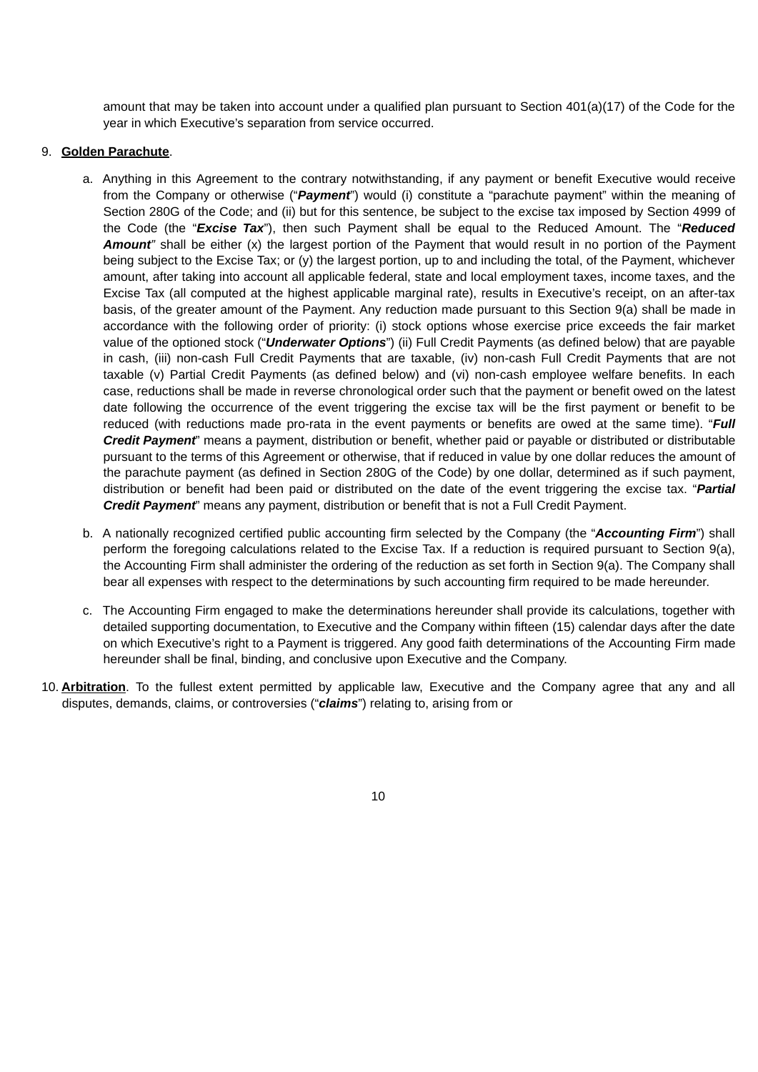amount that may be taken into account under a qualified plan pursuant to Section 401(a)(17) of the Code for the year in which Executive's separation from service occurred.

## 9. **Golden Parachute**.

- a. Anything in this Agreement to the contrary notwithstanding, if any payment or benefit Executive would receive from the Company or otherwise ("*Payment*") would (i) constitute a "parachute payment" within the meaning of Section 280G of the Code; and (ii) but for this sentence, be subject to the excise tax imposed by Section 4999 of the Code (the "*Excise Tax*"), then such Payment shall be equal to the Reduced Amount. The "*Reduced Amount"* shall be either (x) the largest portion of the Payment that would result in no portion of the Payment being subject to the Excise Tax; or (y) the largest portion, up to and including the total, of the Payment, whichever amount, after taking into account all applicable federal, state and local employment taxes, income taxes, and the Excise Tax (all computed at the highest applicable marginal rate), results in Executive's receipt, on an after-tax basis, of the greater amount of the Payment. Any reduction made pursuant to this Section 9(a) shall be made in accordance with the following order of priority: (i) stock options whose exercise price exceeds the fair market value of the optioned stock ("*Underwater Options*") (ii) Full Credit Payments (as defined below) that are payable in cash, (iii) non-cash Full Credit Payments that are taxable, (iv) non-cash Full Credit Payments that are not taxable (v) Partial Credit Payments (as defined below) and (vi) non-cash employee welfare benefits. In each case, reductions shall be made in reverse chronological order such that the payment or benefit owed on the latest date following the occurrence of the event triggering the excise tax will be the first payment or benefit to be reduced (with reductions made pro-rata in the event payments or benefits are owed at the same time). "*Full Credit Payment*" means a payment, distribution or benefit, whether paid or payable or distributed or distributable pursuant to the terms of this Agreement or otherwise, that if reduced in value by one dollar reduces the amount of the parachute payment (as defined in Section 280G of the Code) by one dollar, determined as if such payment, distribution or benefit had been paid or distributed on the date of the event triggering the excise tax. "*Partial Credit Payment*" means any payment, distribution or benefit that is not a Full Credit Payment.
- b. A nationally recognized certified public accounting firm selected by the Company (the "*Accounting Firm*") shall perform the foregoing calculations related to the Excise Tax. If a reduction is required pursuant to Section 9(a), the Accounting Firm shall administer the ordering of the reduction as set forth in Section 9(a). The Company shall bear all expenses with respect to the determinations by such accounting firm required to be made hereunder.
- c. The Accounting Firm engaged to make the determinations hereunder shall provide its calculations, together with detailed supporting documentation, to Executive and the Company within fifteen (15) calendar days after the date on which Executive's right to a Payment is triggered. Any good faith determinations of the Accounting Firm made hereunder shall be final, binding, and conclusive upon Executive and the Company.
- 10. **Arbitration**. To the fullest extent permitted by applicable law, Executive and the Company agree that any and all disputes, demands, claims, or controversies ("*claims*") relating to, arising from or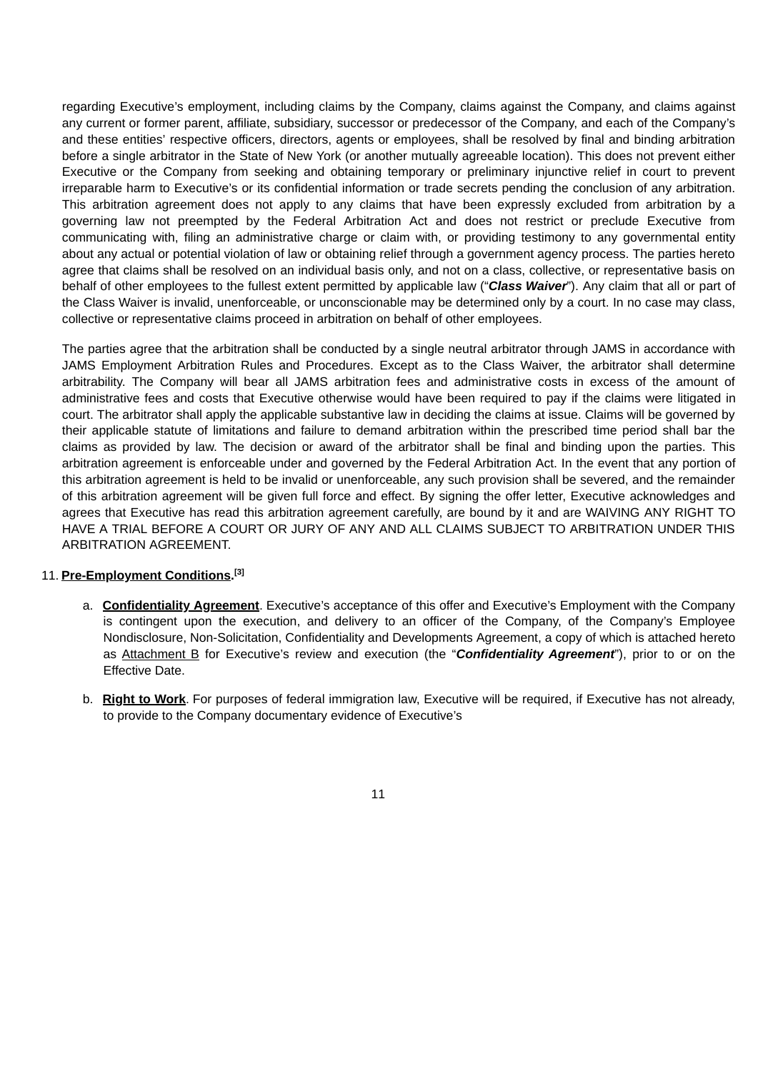regarding Executive's employment, including claims by the Company, claims against the Company, and claims against any current or former parent, affiliate, subsidiary, successor or predecessor of the Company, and each of the Company's and these entities' respective officers, directors, agents or employees, shall be resolved by final and binding arbitration before a single arbitrator in the State of New York (or another mutually agreeable location). This does not prevent either Executive or the Company from seeking and obtaining temporary or preliminary injunctive relief in court to prevent irreparable harm to Executive's or its confidential information or trade secrets pending the conclusion of any arbitration. This arbitration agreement does not apply to any claims that have been expressly excluded from arbitration by a governing law not preempted by the Federal Arbitration Act and does not restrict or preclude Executive from communicating with, filing an administrative charge or claim with, or providing testimony to any governmental entity about any actual or potential violation of law or obtaining relief through a government agency process. The parties hereto agree that claims shall be resolved on an individual basis only, and not on a class, collective, or representative basis on behalf of other employees to the fullest extent permitted by applicable law ("*Class Waiver*"). Any claim that all or part of the Class Waiver is invalid, unenforceable, or unconscionable may be determined only by a court. In no case may class, collective or representative claims proceed in arbitration on behalf of other employees.

The parties agree that the arbitration shall be conducted by a single neutral arbitrator through JAMS in accordance with JAMS Employment Arbitration Rules and Procedures. Except as to the Class Waiver, the arbitrator shall determine arbitrability. The Company will bear all JAMS arbitration fees and administrative costs in excess of the amount of administrative fees and costs that Executive otherwise would have been required to pay if the claims were litigated in court. The arbitrator shall apply the applicable substantive law in deciding the claims at issue. Claims will be governed by their applicable statute of limitations and failure to demand arbitration within the prescribed time period shall bar the claims as provided by law. The decision or award of the arbitrator shall be final and binding upon the parties. This arbitration agreement is enforceable under and governed by the Federal Arbitration Act. In the event that any portion of this arbitration agreement is held to be invalid or unenforceable, any such provision shall be severed, and the remainder of this arbitration agreement will be given full force and effect. By signing the offer letter, Executive acknowledges and agrees that Executive has read this arbitration agreement carefully, are bound by it and are WAIVING ANY RIGHT TO HAVE A TRIAL BEFORE A COURT OR JURY OF ANY AND ALL CLAIMS SUBJECT TO ARBITRATION UNDER THIS ARBITRATION AGREEMENT.

## 11. **Pre-Employment Conditions. [3]**

- a. **Confidentiality Agreement**. Executive's acceptance of this offer and Executive's Employment with the Company is contingent upon the execution, and delivery to an officer of the Company, of the Company's Employee Nondisclosure, Non-Solicitation, Confidentiality and Developments Agreement, a copy of which is attached hereto as Attachment B for Executive's review and execution (the "*Confidentiality Agreement*"), prior to or on the Effective Date.
- b. **Right to Work**. For purposes of federal immigration law, Executive will be required, if Executive has not already, to provide to the Company documentary evidence of Executive's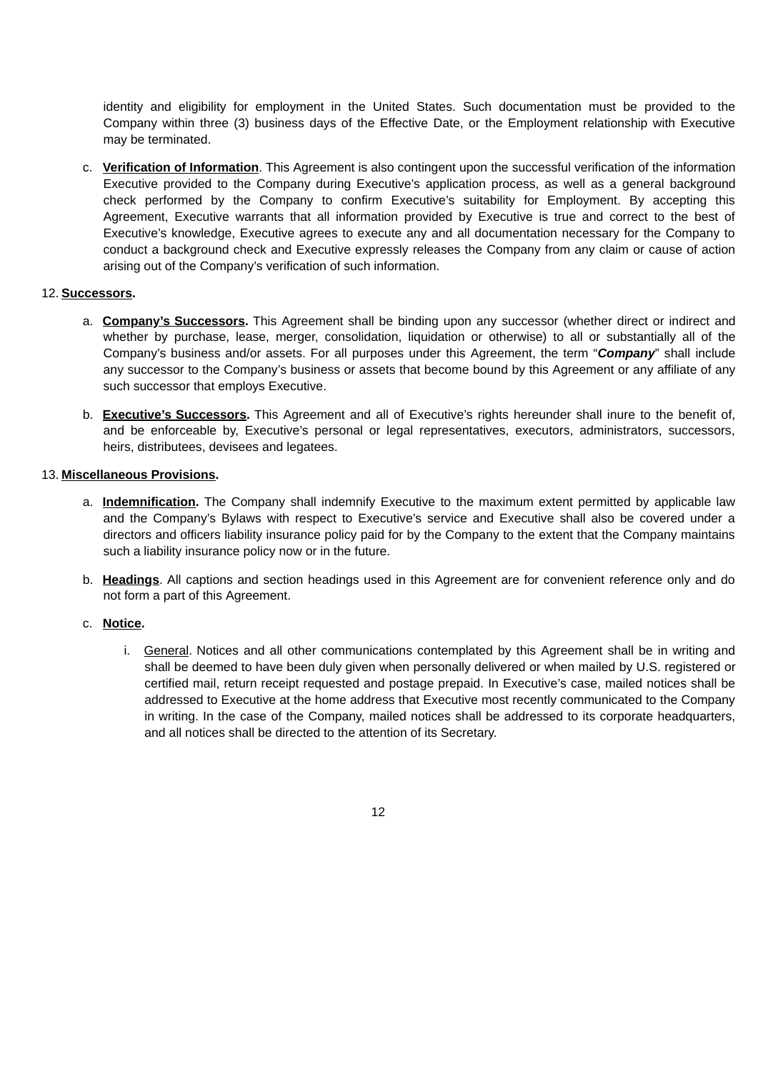identity and eligibility for employment in the United States. Such documentation must be provided to the Company within three (3) business days of the Effective Date, or the Employment relationship with Executive may be terminated.

c. **Verification of Information**. This Agreement is also contingent upon the successful verification of the information Executive provided to the Company during Executive's application process, as well as a general background check performed by the Company to confirm Executive's suitability for Employment. By accepting this Agreement, Executive warrants that all information provided by Executive is true and correct to the best of Executive's knowledge, Executive agrees to execute any and all documentation necessary for the Company to conduct a background check and Executive expressly releases the Company from any claim or cause of action arising out of the Company's verification of such information.

# 12. **Successors.**

- a. **Company's Successors.** This Agreement shall be binding upon any successor (whether direct or indirect and whether by purchase, lease, merger, consolidation, liquidation or otherwise) to all or substantially all of the Company's business and/or assets. For all purposes under this Agreement, the term "*Company*" shall include any successor to the Company's business or assets that become bound by this Agreement or any affiliate of any such successor that employs Executive.
- b. **Executive's Successors.** This Agreement and all of Executive's rights hereunder shall inure to the benefit of, and be enforceable by, Executive's personal or legal representatives, executors, administrators, successors, heirs, distributees, devisees and legatees.

## 13. **Miscellaneous Provisions.**

- a. **Indemnification.** The Company shall indemnify Executive to the maximum extent permitted by applicable law and the Company's Bylaws with respect to Executive's service and Executive shall also be covered under a directors and officers liability insurance policy paid for by the Company to the extent that the Company maintains such a liability insurance policy now or in the future.
- b. **Headings**. All captions and section headings used in this Agreement are for convenient reference only and do not form a part of this Agreement.

## c. **Notice.**

i. General. Notices and all other communications contemplated by this Agreement shall be in writing and shall be deemed to have been duly given when personally delivered or when mailed by U.S. registered or certified mail, return receipt requested and postage prepaid. In Executive's case, mailed notices shall be addressed to Executive at the home address that Executive most recently communicated to the Company in writing. In the case of the Company, mailed notices shall be addressed to its corporate headquarters, and all notices shall be directed to the attention of its Secretary.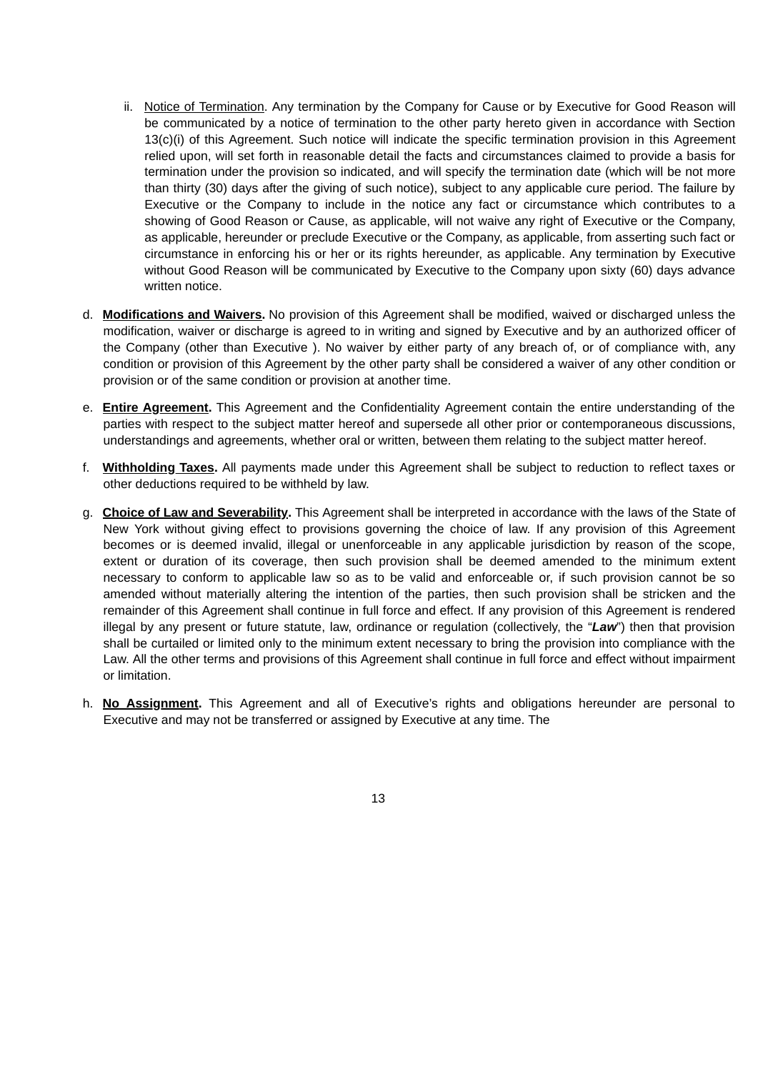- ii. Notice of Termination. Any termination by the Company for Cause or by Executive for Good Reason will be communicated by a notice of termination to the other party hereto given in accordance with Section 13(c)(i) of this Agreement. Such notice will indicate the specific termination provision in this Agreement relied upon, will set forth in reasonable detail the facts and circumstances claimed to provide a basis for termination under the provision so indicated, and will specify the termination date (which will be not more than thirty (30) days after the giving of such notice), subject to any applicable cure period. The failure by Executive or the Company to include in the notice any fact or circumstance which contributes to a showing of Good Reason or Cause, as applicable, will not waive any right of Executive or the Company, as applicable, hereunder or preclude Executive or the Company, as applicable, from asserting such fact or circumstance in enforcing his or her or its rights hereunder, as applicable. Any termination by Executive without Good Reason will be communicated by Executive to the Company upon sixty (60) days advance written notice.
- d. **Modifications and Waivers.** No provision of this Agreement shall be modified, waived or discharged unless the modification, waiver or discharge is agreed to in writing and signed by Executive and by an authorized officer of the Company (other than Executive ). No waiver by either party of any breach of, or of compliance with, any condition or provision of this Agreement by the other party shall be considered a waiver of any other condition or provision or of the same condition or provision at another time.
- e. **Entire Agreement.** This Agreement and the Confidentiality Agreement contain the entire understanding of the parties with respect to the subject matter hereof and supersede all other prior or contemporaneous discussions, understandings and agreements, whether oral or written, between them relating to the subject matter hereof.
- f. **Withholding Taxes.** All payments made under this Agreement shall be subject to reduction to reflect taxes or other deductions required to be withheld by law.
- g. **Choice of Law and Severability.** This Agreement shall be interpreted in accordance with the laws of the State of New York without giving effect to provisions governing the choice of law. If any provision of this Agreement becomes or is deemed invalid, illegal or unenforceable in any applicable jurisdiction by reason of the scope, extent or duration of its coverage, then such provision shall be deemed amended to the minimum extent necessary to conform to applicable law so as to be valid and enforceable or, if such provision cannot be so amended without materially altering the intention of the parties, then such provision shall be stricken and the remainder of this Agreement shall continue in full force and effect. If any provision of this Agreement is rendered illegal by any present or future statute, law, ordinance or regulation (collectively, the "*Law*") then that provision shall be curtailed or limited only to the minimum extent necessary to bring the provision into compliance with the Law. All the other terms and provisions of this Agreement shall continue in full force and effect without impairment or limitation.
- h. **No Assignment.** This Agreement and all of Executive's rights and obligations hereunder are personal to Executive and may not be transferred or assigned by Executive at any time. The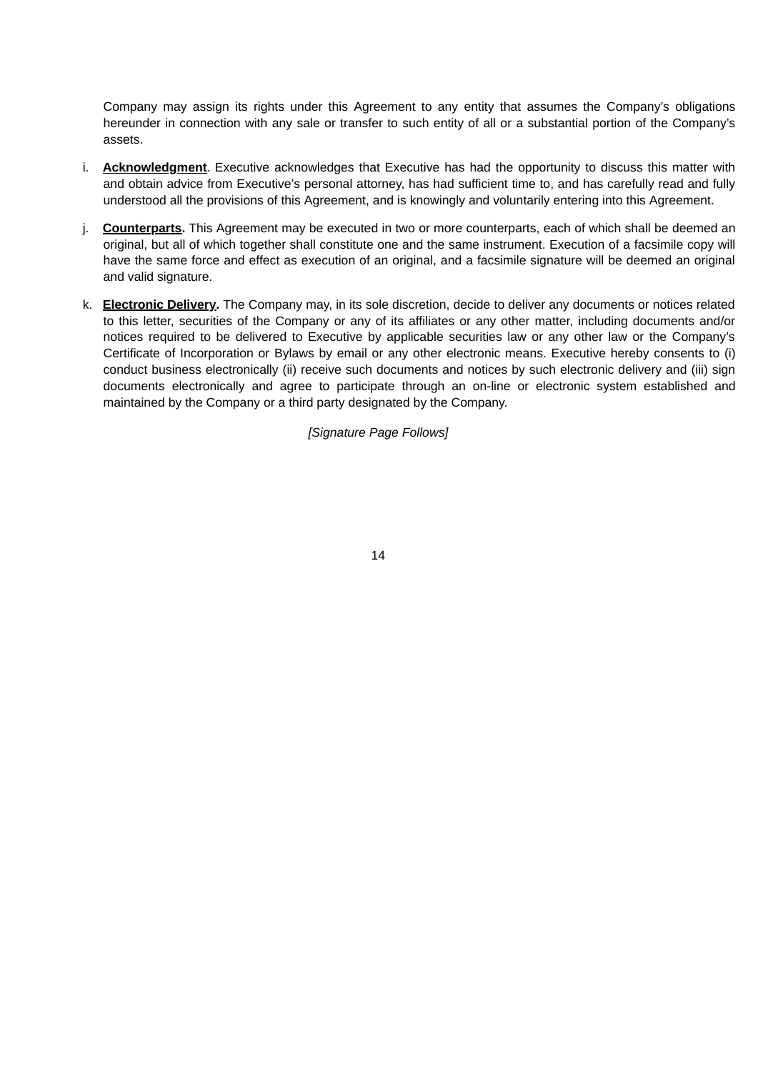Company may assign its rights under this Agreement to any entity that assumes the Company's obligations hereunder in connection with any sale or transfer to such entity of all or a substantial portion of the Company's assets.

- i. **Acknowledgment**. Executive acknowledges that Executive has had the opportunity to discuss this matter with and obtain advice from Executive's personal attorney, has had sufficient time to, and has carefully read and fully understood all the provisions of this Agreement, and is knowingly and voluntarily entering into this Agreement.
- j. **Counterparts.** This Agreement may be executed in two or more counterparts, each of which shall be deemed an original, but all of which together shall constitute one and the same instrument. Execution of a facsimile copy will have the same force and effect as execution of an original, and a facsimile signature will be deemed an original and valid signature.
- k. **Electronic Delivery.** The Company may, in its sole discretion, decide to deliver any documents or notices related to this letter, securities of the Company or any of its affiliates or any other matter, including documents and/or notices required to be delivered to Executive by applicable securities law or any other law or the Company's Certificate of Incorporation or Bylaws by email or any other electronic means. Executive hereby consents to (i) conduct business electronically (ii) receive such documents and notices by such electronic delivery and (iii) sign documents electronically and agree to participate through an on-line or electronic system established and maintained by the Company or a third party designated by the Company.

*[Signature Page Follows]*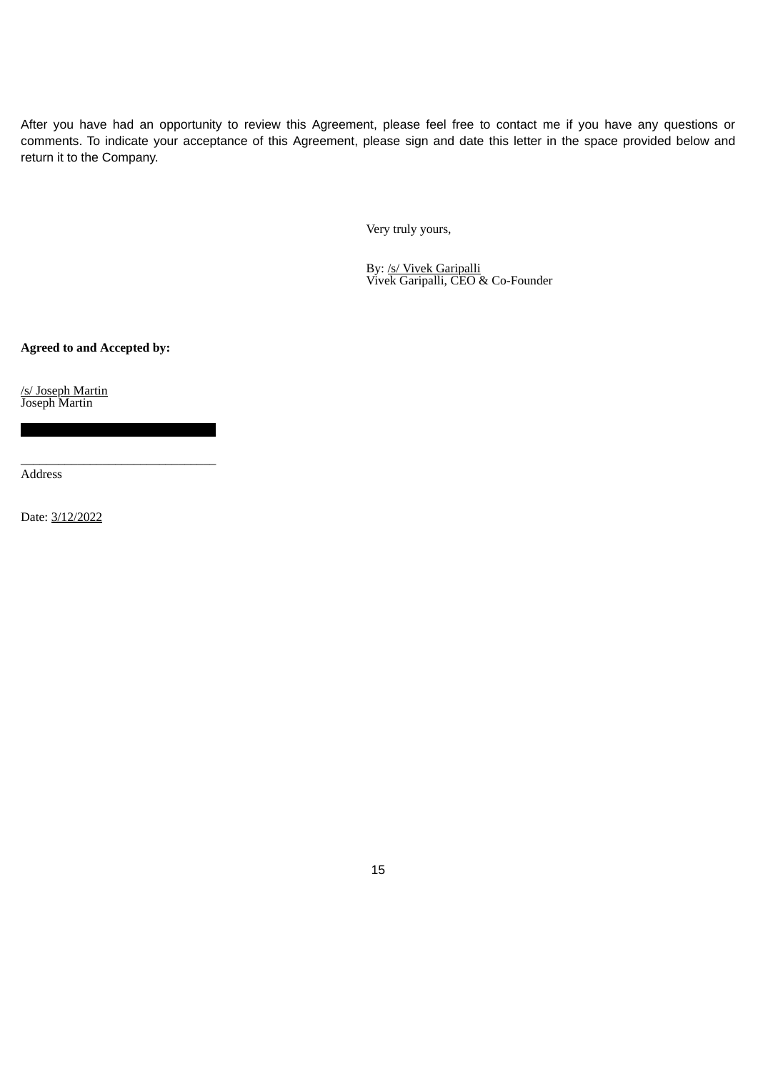After you have had an opportunity to review this Agreement, please feel free to contact me if you have any questions or comments. To indicate your acceptance of this Agreement, please sign and date this letter in the space provided below and return it to the Company.

Very truly yours,

By: /s/ Vivek Garipalli Vivek Garipalli, CEO & Co-Founder

**Agreed to and Accepted by:**

 $\mathcal{L}=\mathcal{L}=\mathcal{L}=\mathcal{L}=\mathcal{L}=\mathcal{L}=\mathcal{L}=\mathcal{L}=\mathcal{L}=\mathcal{L}=\mathcal{L}=\mathcal{L}=\mathcal{L}=\mathcal{L}=\mathcal{L}=\mathcal{L}=\mathcal{L}=\mathcal{L}=\mathcal{L}=\mathcal{L}=\mathcal{L}=\mathcal{L}=\mathcal{L}=\mathcal{L}=\mathcal{L}=\mathcal{L}=\mathcal{L}=\mathcal{L}=\mathcal{L}=\mathcal{L}=\mathcal{L}=\mathcal{L}=\mathcal{L}=\mathcal{L}=\mathcal{L}=\mathcal{L}=\mathcal{$ 

\_\_\_\_\_\_\_\_\_\_\_\_\_\_\_\_\_\_\_\_\_\_\_\_\_\_\_\_\_\_\_

/s/ Joseph Martin Joseph Martin

**Address** 

Date: 3/12/2022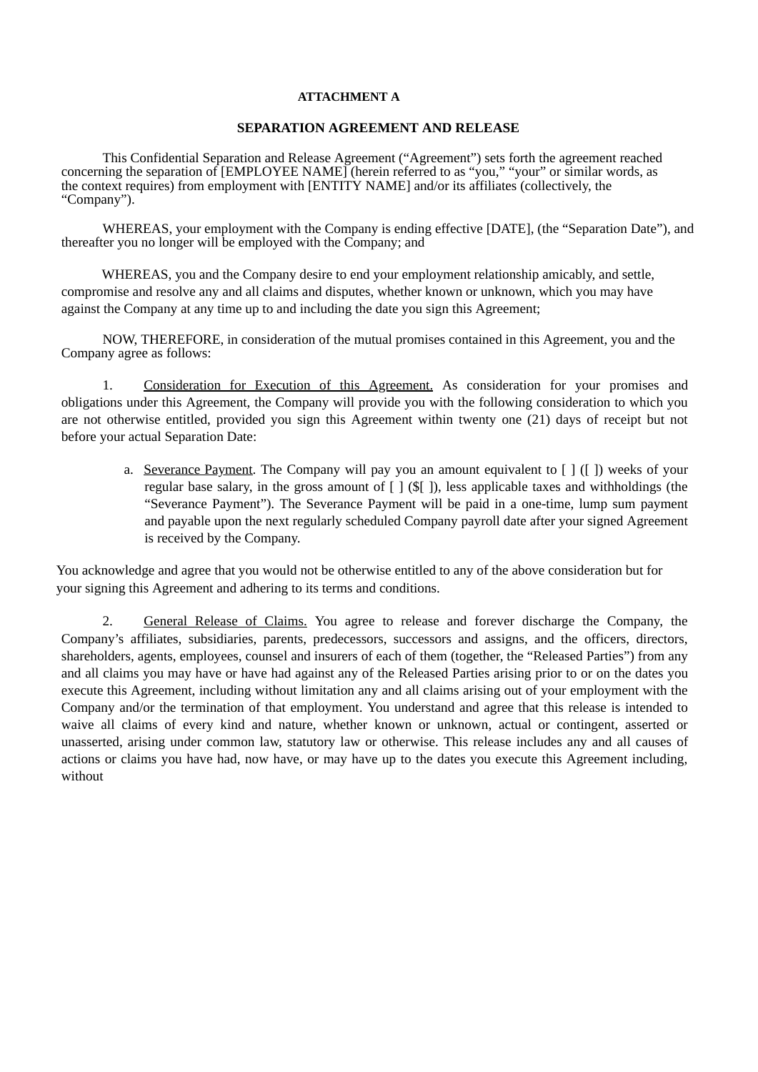## **ATTACHMENT A**

## **SEPARATION AGREEMENT AND RELEASE**

This Confidential Separation and Release Agreement ("Agreement") sets forth the agreement reached concerning the separation of [EMPLOYEE NAME] (herein referred to as "you," "your" or similar words, as the context requires) from employment with [ENTITY NAME] and/or its affiliates (collectively, the "Company").

WHEREAS, your employment with the Company is ending effective [DATE], (the "Separation Date"), and thereafter you no longer will be employed with the Company; and

WHEREAS, you and the Company desire to end your employment relationship amicably, and settle, compromise and resolve any and all claims and disputes, whether known or unknown, which you may have against the Company at any time up to and including the date you sign this Agreement;

NOW, THEREFORE, in consideration of the mutual promises contained in this Agreement, you and the Company agree as follows:

1. Consideration for Execution of this Agreement. As consideration for your promises and obligations under this Agreement, the Company will provide you with the following consideration to which you are not otherwise entitled, provided you sign this Agreement within twenty one (21) days of receipt but not before your actual Separation Date:

a. Severance Payment. The Company will pay you an amount equivalent to  $[1]$  ( $[1]$ ) weeks of your regular base salary, in the gross amount of  $\lceil \cdot \rceil$  (\$  $\lceil \cdot \rceil$ ), less applicable taxes and withholdings (the "Severance Payment"). The Severance Payment will be paid in a one-time, lump sum payment and payable upon the next regularly scheduled Company payroll date after your signed Agreement is received by the Company.

You acknowledge and agree that you would not be otherwise entitled to any of the above consideration but for your signing this Agreement and adhering to its terms and conditions.

2. General Release of Claims. You agree to release and forever discharge the Company, the Company's affiliates, subsidiaries, parents, predecessors, successors and assigns, and the officers, directors, shareholders, agents, employees, counsel and insurers of each of them (together, the "Released Parties") from any and all claims you may have or have had against any of the Released Parties arising prior to or on the dates you execute this Agreement, including without limitation any and all claims arising out of your employment with the Company and/or the termination of that employment. You understand and agree that this release is intended to waive all claims of every kind and nature, whether known or unknown, actual or contingent, asserted or unasserted, arising under common law, statutory law or otherwise. This release includes any and all causes of actions or claims you have had, now have, or may have up to the dates you execute this Agreement including, without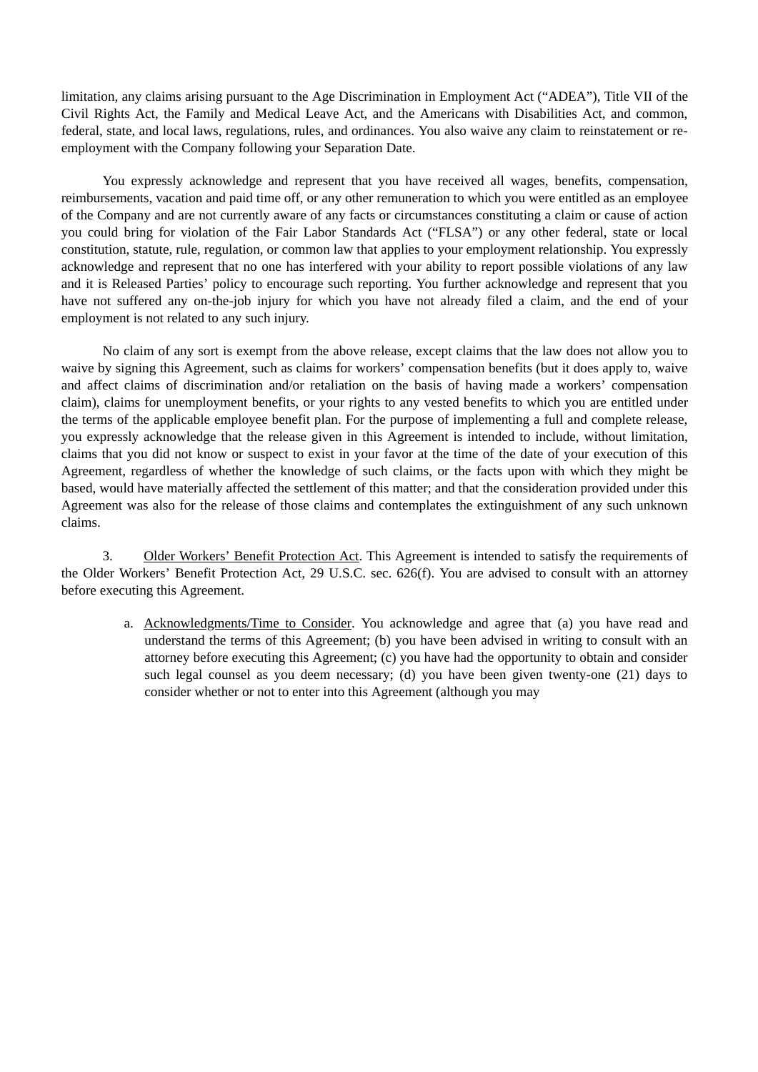limitation, any claims arising pursuant to the Age Discrimination in Employment Act ("ADEA"), Title VII of the Civil Rights Act, the Family and Medical Leave Act, and the Americans with Disabilities Act, and common, federal, state, and local laws, regulations, rules, and ordinances. You also waive any claim to reinstatement or reemployment with the Company following your Separation Date.

You expressly acknowledge and represent that you have received all wages, benefits, compensation, reimbursements, vacation and paid time off, or any other remuneration to which you were entitled as an employee of the Company and are not currently aware of any facts or circumstances constituting a claim or cause of action you could bring for violation of the Fair Labor Standards Act ("FLSA") or any other federal, state or local constitution, statute, rule, regulation, or common law that applies to your employment relationship. You expressly acknowledge and represent that no one has interfered with your ability to report possible violations of any law and it is Released Parties' policy to encourage such reporting. You further acknowledge and represent that you have not suffered any on-the-job injury for which you have not already filed a claim, and the end of your employment is not related to any such injury.

No claim of any sort is exempt from the above release, except claims that the law does not allow you to waive by signing this Agreement, such as claims for workers' compensation benefits (but it does apply to, waive and affect claims of discrimination and/or retaliation on the basis of having made a workers' compensation claim), claims for unemployment benefits, or your rights to any vested benefits to which you are entitled under the terms of the applicable employee benefit plan. For the purpose of implementing a full and complete release, you expressly acknowledge that the release given in this Agreement is intended to include, without limitation, claims that you did not know or suspect to exist in your favor at the time of the date of your execution of this Agreement, regardless of whether the knowledge of such claims, or the facts upon with which they might be based, would have materially affected the settlement of this matter; and that the consideration provided under this Agreement was also for the release of those claims and contemplates the extinguishment of any such unknown claims.

3. Older Workers' Benefit Protection Act. This Agreement is intended to satisfy the requirements of the Older Workers' Benefit Protection Act, 29 U.S.C. sec. 626(f). You are advised to consult with an attorney before executing this Agreement.

a. Acknowledgments/Time to Consider. You acknowledge and agree that (a) you have read and understand the terms of this Agreement; (b) you have been advised in writing to consult with an attorney before executing this Agreement; (c) you have had the opportunity to obtain and consider such legal counsel as you deem necessary; (d) you have been given twenty-one (21) days to consider whether or not to enter into this Agreement (although you may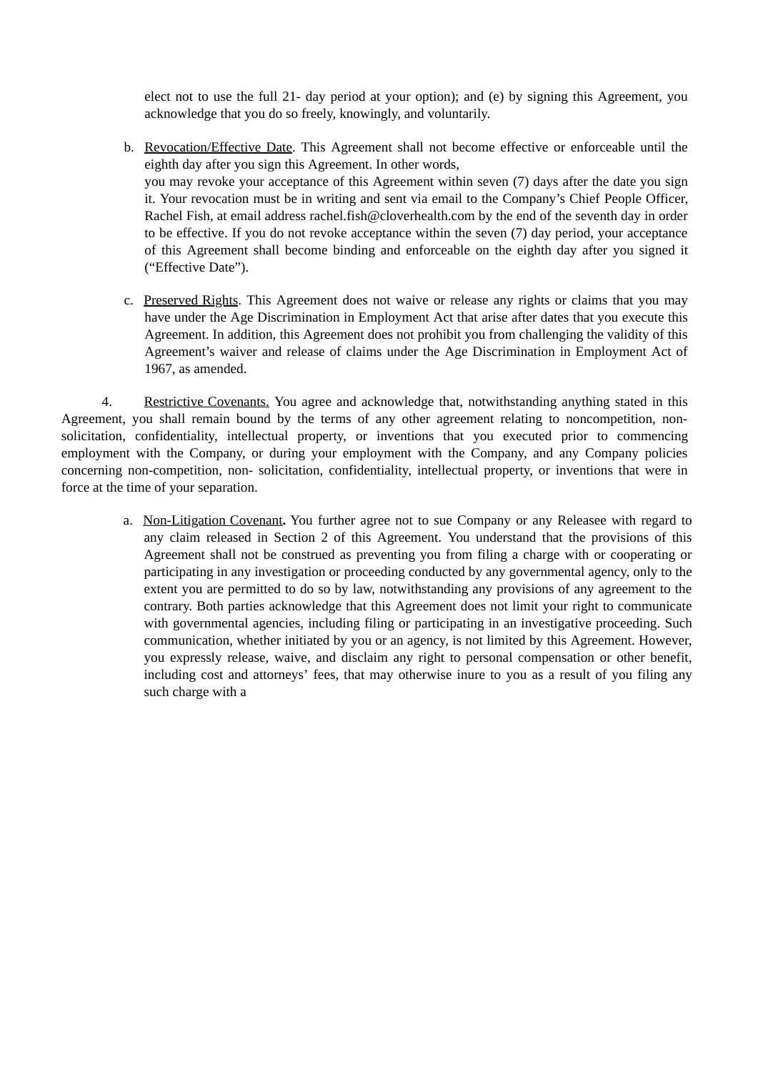elect not to use the full 21- day period at your option); and (e) by signing this Agreement, you acknowledge that you do so freely, knowingly, and voluntarily.

- b. Revocation/Effective Date. This Agreement shall not become effective or enforceable until the eighth day after you sign this Agreement. In other words, you may revoke your acceptance of this Agreement within seven (7) days after the date you sign it. Your revocation must be in writing and sent via email to the Company's Chief People Officer, Rachel Fish, at email address rachel.fish@cloverhealth.com by the end of the seventh day in order to be effective. If you do not revoke acceptance within the seven (7) day period, your acceptance of this Agreement shall become binding and enforceable on the eighth day after you signed it ("Effective Date").
- c. Preserved Rights. This Agreement does not waive or release any rights or claims that you may have under the Age Discrimination in Employment Act that arise after dates that you execute this Agreement. In addition, this Agreement does not prohibit you from challenging the validity of this Agreement's waiver and release of claims under the Age Discrimination in Employment Act of 1967, as amended.

4. Restrictive Covenants. You agree and acknowledge that, notwithstanding anything stated in this Agreement, you shall remain bound by the terms of any other agreement relating to noncompetition, nonsolicitation, confidentiality, intellectual property, or inventions that you executed prior to commencing employment with the Company, or during your employment with the Company, and any Company policies concerning non-competition, non- solicitation, confidentiality, intellectual property, or inventions that were in force at the time of your separation.

a. Non-Litigation Covenant**.** You further agree not to sue Company or any Releasee with regard to any claim released in Section 2 of this Agreement. You understand that the provisions of this Agreement shall not be construed as preventing you from filing a charge with or cooperating or participating in any investigation or proceeding conducted by any governmental agency, only to the extent you are permitted to do so by law, notwithstanding any provisions of any agreement to the contrary. Both parties acknowledge that this Agreement does not limit your right to communicate with governmental agencies, including filing or participating in an investigative proceeding. Such communication, whether initiated by you or an agency, is not limited by this Agreement. However, you expressly release, waive, and disclaim any right to personal compensation or other benefit, including cost and attorneys' fees, that may otherwise inure to you as a result of you filing any such charge with a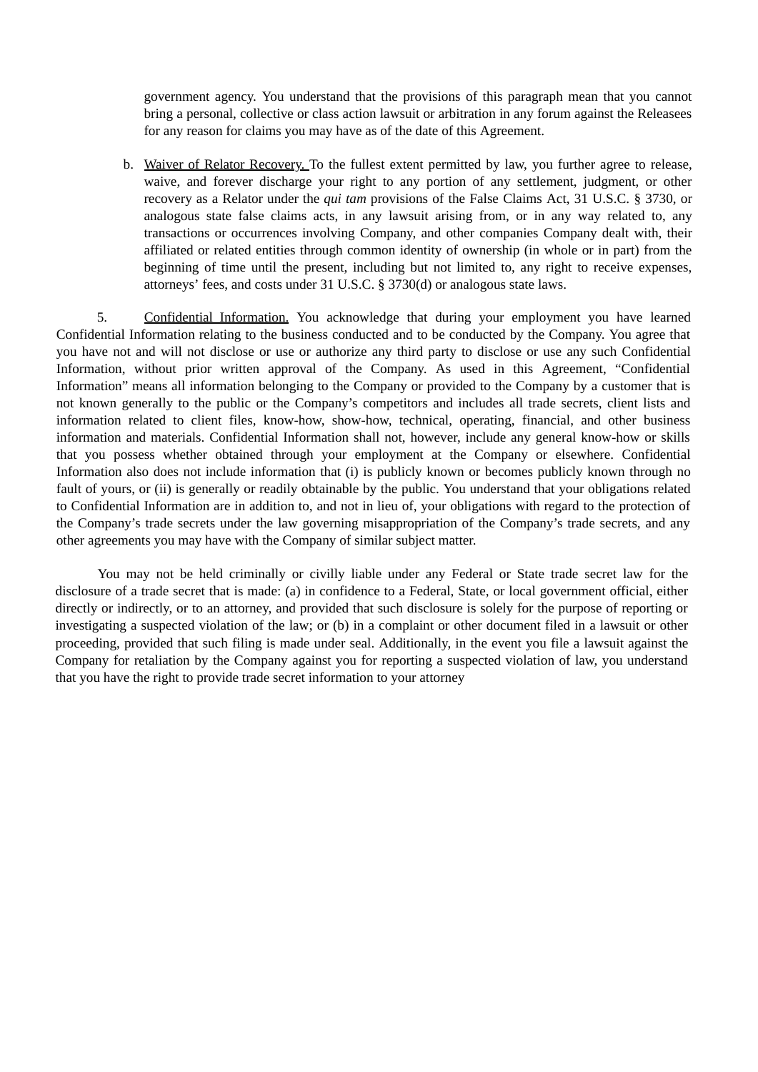government agency. You understand that the provisions of this paragraph mean that you cannot bring a personal, collective or class action lawsuit or arbitration in any forum against the Releasees for any reason for claims you may have as of the date of this Agreement.

b. Waiver of Relator Recovery. To the fullest extent permitted by law, you further agree to release, waive, and forever discharge your right to any portion of any settlement, judgment, or other recovery as a Relator under the *qui tam* provisions of the False Claims Act, 31 U.S.C. § 3730, or analogous state false claims acts, in any lawsuit arising from, or in any way related to, any transactions or occurrences involving Company, and other companies Company dealt with, their affiliated or related entities through common identity of ownership (in whole or in part) from the beginning of time until the present, including but not limited to, any right to receive expenses, attorneys' fees, and costs under 31 U.S.C. § 3730(d) or analogous state laws.

5. Confidential Information. You acknowledge that during your employment you have learned Confidential Information relating to the business conducted and to be conducted by the Company. You agree that you have not and will not disclose or use or authorize any third party to disclose or use any such Confidential Information, without prior written approval of the Company. As used in this Agreement, "Confidential Information" means all information belonging to the Company or provided to the Company by a customer that is not known generally to the public or the Company's competitors and includes all trade secrets, client lists and information related to client files, know-how, show-how, technical, operating, financial, and other business information and materials. Confidential Information shall not, however, include any general know-how or skills that you possess whether obtained through your employment at the Company or elsewhere. Confidential Information also does not include information that (i) is publicly known or becomes publicly known through no fault of yours, or (ii) is generally or readily obtainable by the public. You understand that your obligations related to Confidential Information are in addition to, and not in lieu of, your obligations with regard to the protection of the Company's trade secrets under the law governing misappropriation of the Company's trade secrets, and any other agreements you may have with the Company of similar subject matter.

You may not be held criminally or civilly liable under any Federal or State trade secret law for the disclosure of a trade secret that is made: (a) in confidence to a Federal, State, or local government official, either directly or indirectly, or to an attorney, and provided that such disclosure is solely for the purpose of reporting or investigating a suspected violation of the law; or (b) in a complaint or other document filed in a lawsuit or other proceeding, provided that such filing is made under seal. Additionally, in the event you file a lawsuit against the Company for retaliation by the Company against you for reporting a suspected violation of law, you understand that you have the right to provide trade secret information to your attorney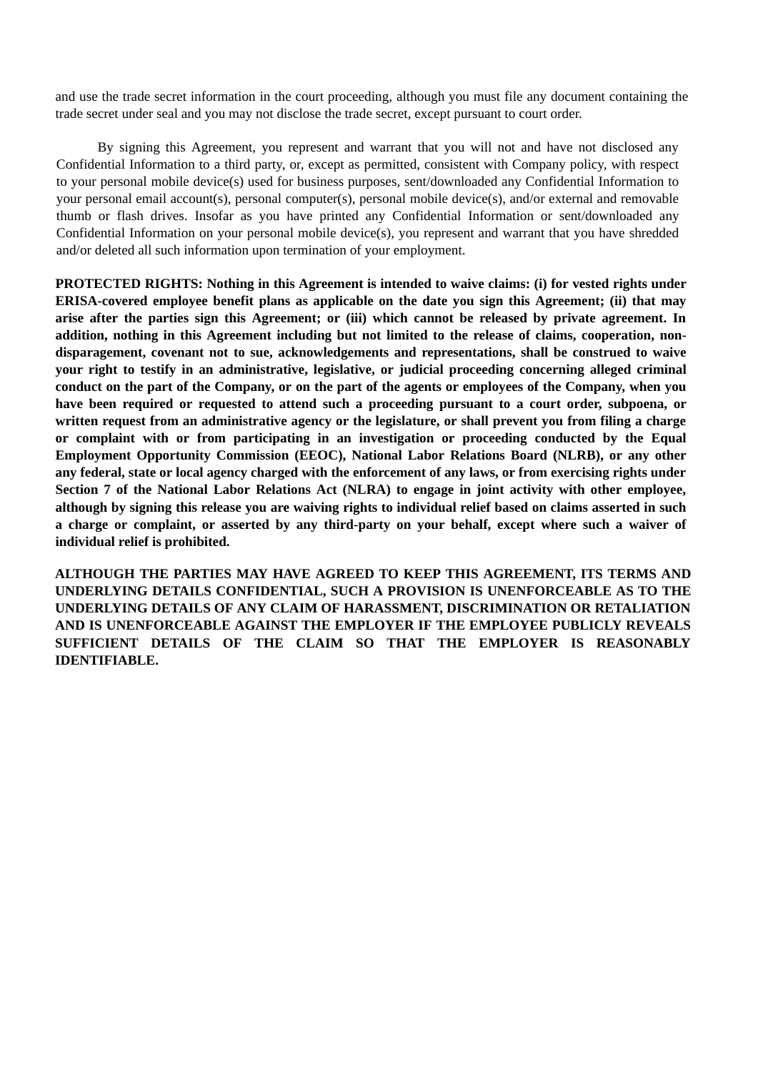and use the trade secret information in the court proceeding, although you must file any document containing the trade secret under seal and you may not disclose the trade secret, except pursuant to court order.

By signing this Agreement, you represent and warrant that you will not and have not disclosed any Confidential Information to a third party, or, except as permitted, consistent with Company policy, with respect to your personal mobile device(s) used for business purposes, sent/downloaded any Confidential Information to your personal email account(s), personal computer(s), personal mobile device(s), and/or external and removable thumb or flash drives. Insofar as you have printed any Confidential Information or sent/downloaded any Confidential Information on your personal mobile device(s), you represent and warrant that you have shredded and/or deleted all such information upon termination of your employment.

**PROTECTED RIGHTS: Nothing in this Agreement is intended to waive claims: (i) for vested rights under ERISA-covered employee benefit plans as applicable on the date you sign this Agreement; (ii) that may arise after the parties sign this Agreement; or (iii) which cannot be released by private agreement. In addition, nothing in this Agreement including but not limited to the release of claims, cooperation, nondisparagement, covenant not to sue, acknowledgements and representations, shall be construed to waive your right to testify in an administrative, legislative, or judicial proceeding concerning alleged criminal conduct on the part of the Company, or on the part of the agents or employees of the Company, when you have been required or requested to attend such a proceeding pursuant to a court order, subpoena, or written request from an administrative agency or the legislature, or shall prevent you from filing a charge or complaint with or from participating in an investigation or proceeding conducted by the Equal Employment Opportunity Commission (EEOC), National Labor Relations Board (NLRB), or any other any federal, state or local agency charged with the enforcement of any laws, or from exercising rights under Section 7 of the National Labor Relations Act (NLRA) to engage in joint activity with other employee, although by signing this release you are waiving rights to individual relief based on claims asserted in such a charge or complaint, or asserted by any third-party on your behalf, except where such a waiver of individual relief is prohibited.**

**ALTHOUGH THE PARTIES MAY HAVE AGREED TO KEEP THIS AGREEMENT, ITS TERMS AND UNDERLYING DETAILS CONFIDENTIAL, SUCH A PROVISION IS UNENFORCEABLE AS TO THE UNDERLYING DETAILS OF ANY CLAIM OF HARASSMENT, DISCRIMINATION OR RETALIATION AND IS UNENFORCEABLE AGAINST THE EMPLOYER IF THE EMPLOYEE PUBLICLY REVEALS SUFFICIENT DETAILS OF THE CLAIM SO THAT THE EMPLOYER IS REASONABLY IDENTIFIABLE.**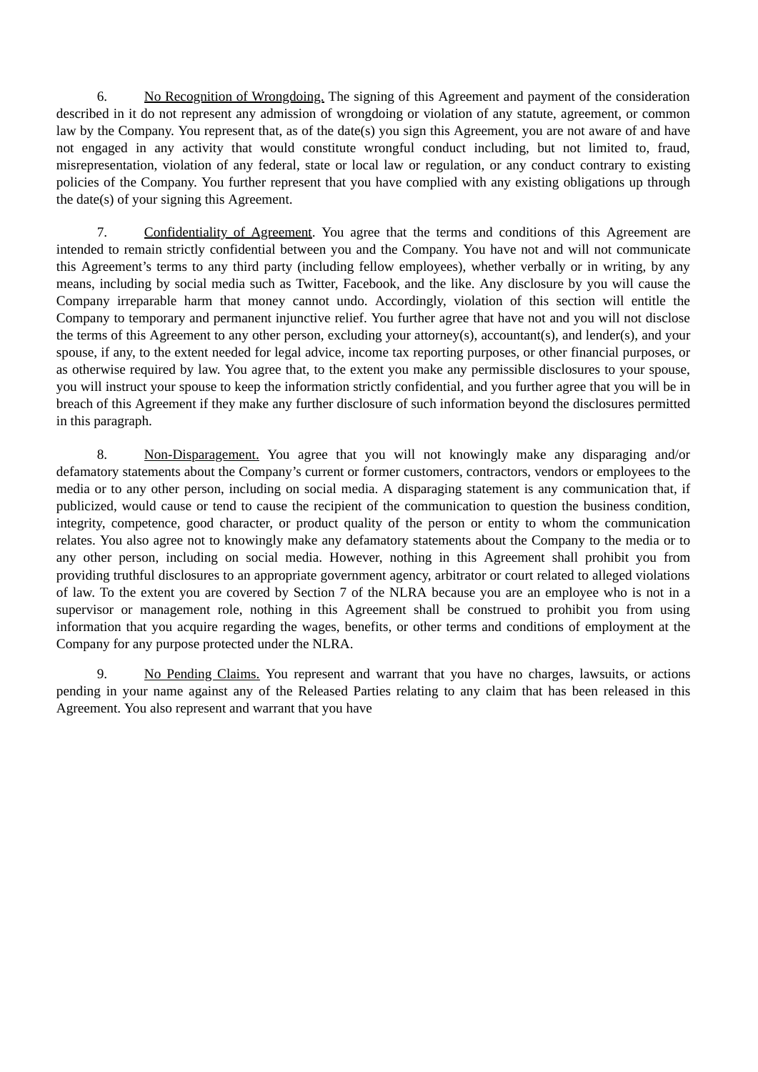6. No Recognition of Wrongdoing. The signing of this Agreement and payment of the consideration described in it do not represent any admission of wrongdoing or violation of any statute, agreement, or common law by the Company. You represent that, as of the date(s) you sign this Agreement, you are not aware of and have not engaged in any activity that would constitute wrongful conduct including, but not limited to, fraud, misrepresentation, violation of any federal, state or local law or regulation, or any conduct contrary to existing policies of the Company. You further represent that you have complied with any existing obligations up through the date(s) of your signing this Agreement.

7. Confidentiality of Agreement. You agree that the terms and conditions of this Agreement are intended to remain strictly confidential between you and the Company. You have not and will not communicate this Agreement's terms to any third party (including fellow employees), whether verbally or in writing, by any means, including by social media such as Twitter, Facebook, and the like. Any disclosure by you will cause the Company irreparable harm that money cannot undo. Accordingly, violation of this section will entitle the Company to temporary and permanent injunctive relief. You further agree that have not and you will not disclose the terms of this Agreement to any other person, excluding your attorney(s), accountant(s), and lender(s), and your spouse, if any, to the extent needed for legal advice, income tax reporting purposes, or other financial purposes, or as otherwise required by law. You agree that, to the extent you make any permissible disclosures to your spouse, you will instruct your spouse to keep the information strictly confidential, and you further agree that you will be in breach of this Agreement if they make any further disclosure of such information beyond the disclosures permitted in this paragraph.

8. Non-Disparagement. You agree that you will not knowingly make any disparaging and/or defamatory statements about the Company's current or former customers, contractors, vendors or employees to the media or to any other person, including on social media. A disparaging statement is any communication that, if publicized, would cause or tend to cause the recipient of the communication to question the business condition, integrity, competence, good character, or product quality of the person or entity to whom the communication relates. You also agree not to knowingly make any defamatory statements about the Company to the media or to any other person, including on social media. However, nothing in this Agreement shall prohibit you from providing truthful disclosures to an appropriate government agency, arbitrator or court related to alleged violations of law. To the extent you are covered by Section 7 of the NLRA because you are an employee who is not in a supervisor or management role, nothing in this Agreement shall be construed to prohibit you from using information that you acquire regarding the wages, benefits, or other terms and conditions of employment at the Company for any purpose protected under the NLRA.

9. No Pending Claims. You represent and warrant that you have no charges, lawsuits, or actions pending in your name against any of the Released Parties relating to any claim that has been released in this Agreement. You also represent and warrant that you have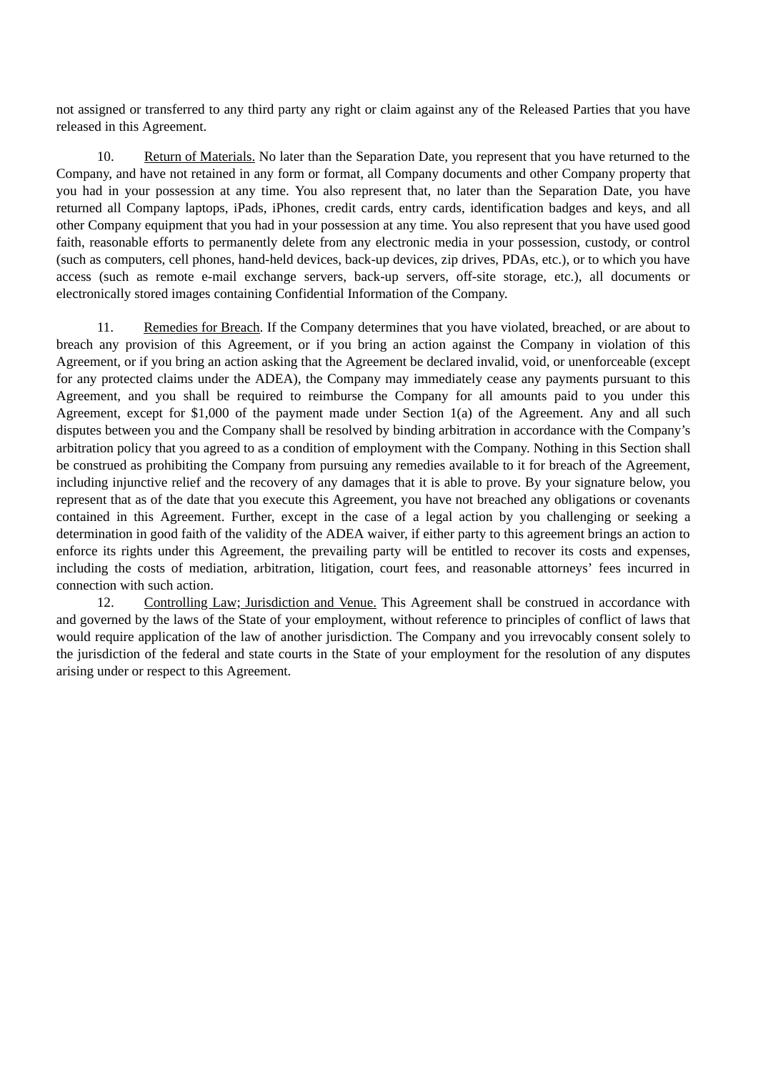not assigned or transferred to any third party any right or claim against any of the Released Parties that you have released in this Agreement.

10. Return of Materials. No later than the Separation Date, you represent that you have returned to the Company, and have not retained in any form or format, all Company documents and other Company property that you had in your possession at any time. You also represent that, no later than the Separation Date, you have returned all Company laptops, iPads, iPhones, credit cards, entry cards, identification badges and keys, and all other Company equipment that you had in your possession at any time. You also represent that you have used good faith, reasonable efforts to permanently delete from any electronic media in your possession, custody, or control (such as computers, cell phones, hand-held devices, back-up devices, zip drives, PDAs, etc.), or to which you have access (such as remote e-mail exchange servers, back-up servers, off-site storage, etc.), all documents or electronically stored images containing Confidential Information of the Company.

11. Remedies for Breach. If the Company determines that you have violated, breached, or are about to breach any provision of this Agreement, or if you bring an action against the Company in violation of this Agreement, or if you bring an action asking that the Agreement be declared invalid, void, or unenforceable (except for any protected claims under the ADEA), the Company may immediately cease any payments pursuant to this Agreement, and you shall be required to reimburse the Company for all amounts paid to you under this Agreement, except for \$1,000 of the payment made under Section 1(a) of the Agreement. Any and all such disputes between you and the Company shall be resolved by binding arbitration in accordance with the Company's arbitration policy that you agreed to as a condition of employment with the Company. Nothing in this Section shall be construed as prohibiting the Company from pursuing any remedies available to it for breach of the Agreement, including injunctive relief and the recovery of any damages that it is able to prove. By your signature below, you represent that as of the date that you execute this Agreement, you have not breached any obligations or covenants contained in this Agreement. Further, except in the case of a legal action by you challenging or seeking a determination in good faith of the validity of the ADEA waiver, if either party to this agreement brings an action to enforce its rights under this Agreement, the prevailing party will be entitled to recover its costs and expenses, including the costs of mediation, arbitration, litigation, court fees, and reasonable attorneys' fees incurred in connection with such action.

12. Controlling Law; Jurisdiction and Venue. This Agreement shall be construed in accordance with and governed by the laws of the State of your employment, without reference to principles of conflict of laws that would require application of the law of another jurisdiction. The Company and you irrevocably consent solely to the jurisdiction of the federal and state courts in the State of your employment for the resolution of any disputes arising under or respect to this Agreement.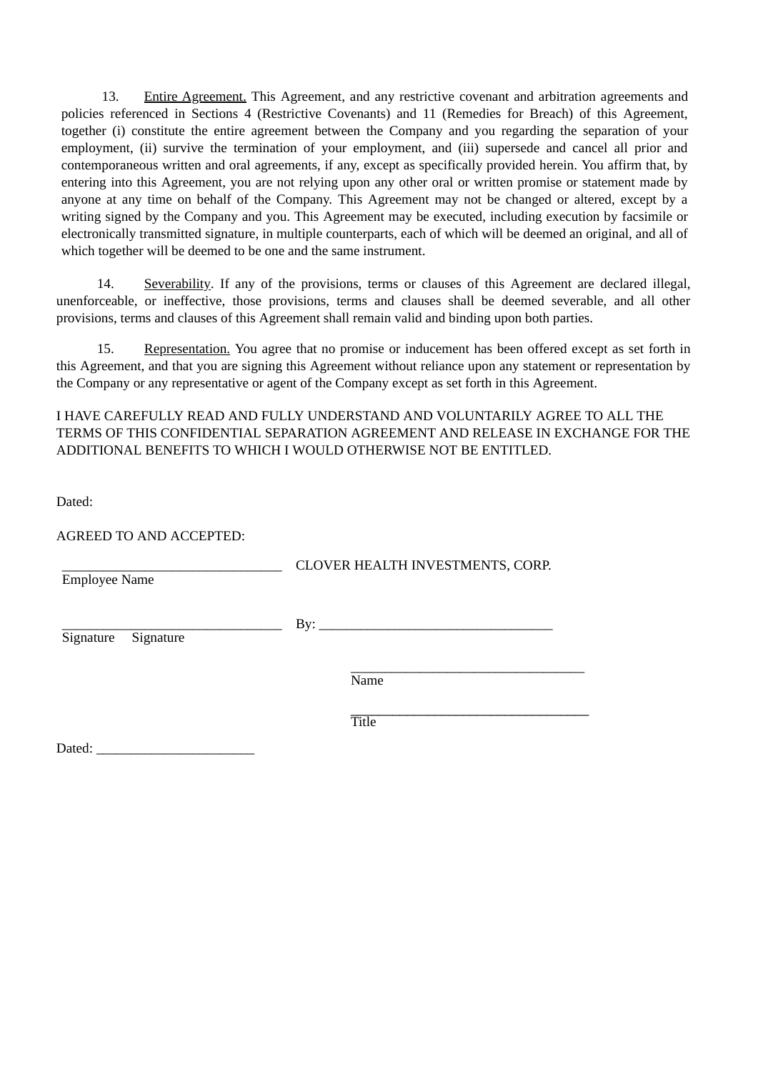13. Entire Agreement. This Agreement, and any restrictive covenant and arbitration agreements and policies referenced in Sections 4 (Restrictive Covenants) and 11 (Remedies for Breach) of this Agreement, together (i) constitute the entire agreement between the Company and you regarding the separation of your employment, (ii) survive the termination of your employment, and (iii) supersede and cancel all prior and contemporaneous written and oral agreements, if any, except as specifically provided herein. You affirm that, by entering into this Agreement, you are not relying upon any other oral or written promise or statement made by anyone at any time on behalf of the Company. This Agreement may not be changed or altered, except by a writing signed by the Company and you. This Agreement may be executed, including execution by facsimile or electronically transmitted signature, in multiple counterparts, each of which will be deemed an original, and all of which together will be deemed to be one and the same instrument.

14. Severability. If any of the provisions, terms or clauses of this Agreement are declared illegal, unenforceable, or ineffective, those provisions, terms and clauses shall be deemed severable, and all other provisions, terms and clauses of this Agreement shall remain valid and binding upon both parties.

15. Representation. You agree that no promise or inducement has been offered except as set forth in this Agreement, and that you are signing this Agreement without reliance upon any statement or representation by the Company or any representative or agent of the Company except as set forth in this Agreement.

I HAVE CAREFULLY READ AND FULLY UNDERSTAND AND VOLUNTARILY AGREE TO ALL THE TERMS OF THIS CONFIDENTIAL SEPARATION AGREEMENT AND RELEASE IN EXCHANGE FOR THE ADDITIONAL BENEFITS TO WHICH I WOULD OTHERWISE NOT BE ENTITLED.

Dated:

AGREED TO AND ACCEPTED:

Employee Name

\_\_\_\_\_\_\_\_\_\_\_\_\_\_\_\_\_\_\_\_\_\_\_\_\_\_\_\_\_\_\_\_ CLOVER HEALTH INVESTMENTS, CORP.

\_\_\_\_\_\_\_\_\_\_\_\_\_\_\_\_\_\_\_\_\_\_\_\_\_\_\_\_\_\_\_\_ By: \_\_\_\_\_\_\_\_\_\_\_\_\_\_\_\_\_\_\_\_\_\_\_\_\_\_\_\_\_\_\_\_\_\_ Signature Signature

> $\frac{1}{2}$  ,  $\frac{1}{2}$  ,  $\frac{1}{2}$  ,  $\frac{1}{2}$  ,  $\frac{1}{2}$  ,  $\frac{1}{2}$  ,  $\frac{1}{2}$  ,  $\frac{1}{2}$  ,  $\frac{1}{2}$  ,  $\frac{1}{2}$  ,  $\frac{1}{2}$  ,  $\frac{1}{2}$  ,  $\frac{1}{2}$  ,  $\frac{1}{2}$  ,  $\frac{1}{2}$  ,  $\frac{1}{2}$  ,  $\frac{1}{2}$  ,  $\frac{1}{2}$  ,  $\frac{1$ Name

**Title** 

Dated: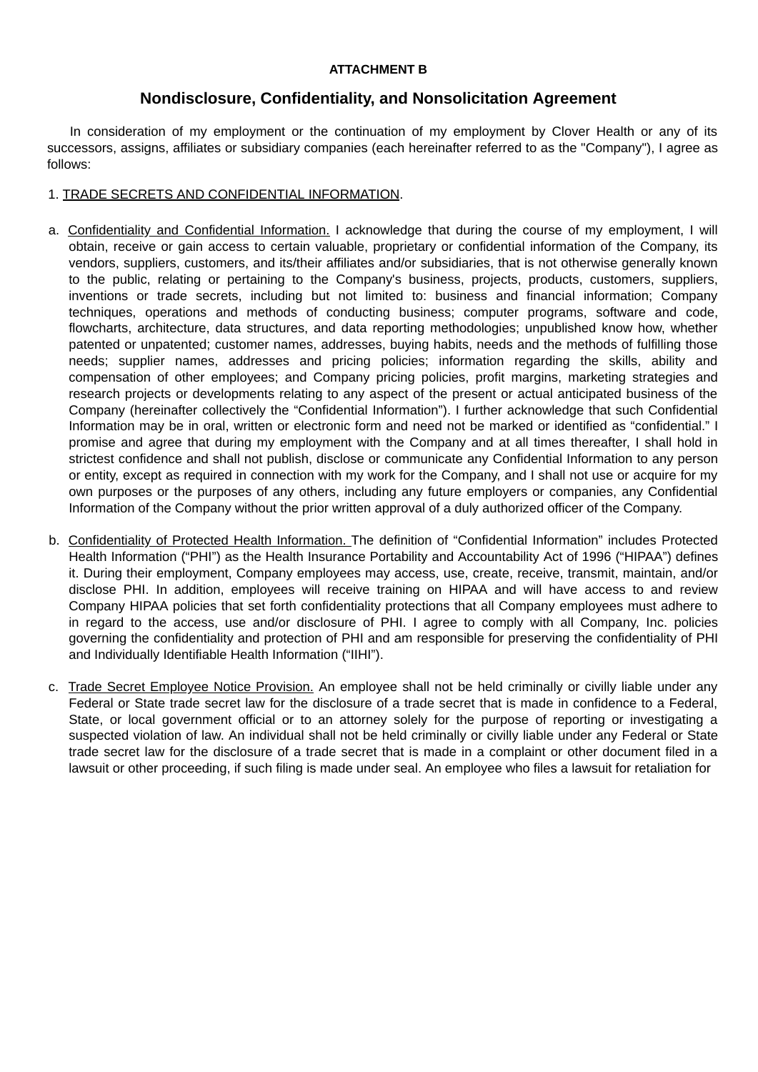## **ATTACHMENT B**

# **Nondisclosure, Confidentiality, and Nonsolicitation Agreement**

In consideration of my employment or the continuation of my employment by Clover Health or any of its successors, assigns, affiliates or subsidiary companies (each hereinafter referred to as the "Company"), I agree as follows:

# 1. TRADE SECRETS AND CONFIDENTIAL INFORMATION.

- a. Confidentiality and Confidential Information. I acknowledge that during the course of my employment, I will obtain, receive or gain access to certain valuable, proprietary or confidential information of the Company, its vendors, suppliers, customers, and its/their affiliates and/or subsidiaries, that is not otherwise generally known to the public, relating or pertaining to the Company's business, projects, products, customers, suppliers, inventions or trade secrets, including but not limited to: business and financial information; Company techniques, operations and methods of conducting business; computer programs, software and code, flowcharts, architecture, data structures, and data reporting methodologies; unpublished know how, whether patented or unpatented; customer names, addresses, buying habits, needs and the methods of fulfilling those needs; supplier names, addresses and pricing policies; information regarding the skills, ability and compensation of other employees; and Company pricing policies, profit margins, marketing strategies and research projects or developments relating to any aspect of the present or actual anticipated business of the Company (hereinafter collectively the "Confidential Information"). I further acknowledge that such Confidential Information may be in oral, written or electronic form and need not be marked or identified as "confidential." I promise and agree that during my employment with the Company and at all times thereafter, I shall hold in strictest confidence and shall not publish, disclose or communicate any Confidential Information to any person or entity, except as required in connection with my work for the Company, and I shall not use or acquire for my own purposes or the purposes of any others, including any future employers or companies, any Confidential Information of the Company without the prior written approval of a duly authorized officer of the Company.
- b. Confidentiality of Protected Health Information. The definition of "Confidential Information" includes Protected Health Information ("PHI") as the Health Insurance Portability and Accountability Act of 1996 ("HIPAA") defines it. During their employment, Company employees may access, use, create, receive, transmit, maintain, and/or disclose PHI. In addition, employees will receive training on HIPAA and will have access to and review Company HIPAA policies that set forth confidentiality protections that all Company employees must adhere to in regard to the access, use and/or disclosure of PHI. I agree to comply with all Company, Inc. policies governing the confidentiality and protection of PHI and am responsible for preserving the confidentiality of PHI and Individually Identifiable Health Information ("IIHI").
- c. Trade Secret Employee Notice Provision. An employee shall not be held criminally or civilly liable under any Federal or State trade secret law for the disclosure of a trade secret that is made in confidence to a Federal, State, or local government official or to an attorney solely for the purpose of reporting or investigating a suspected violation of law. An individual shall not be held criminally or civilly liable under any Federal or State trade secret law for the disclosure of a trade secret that is made in a complaint or other document filed in a lawsuit or other proceeding, if such filing is made under seal. An employee who files a lawsuit for retaliation for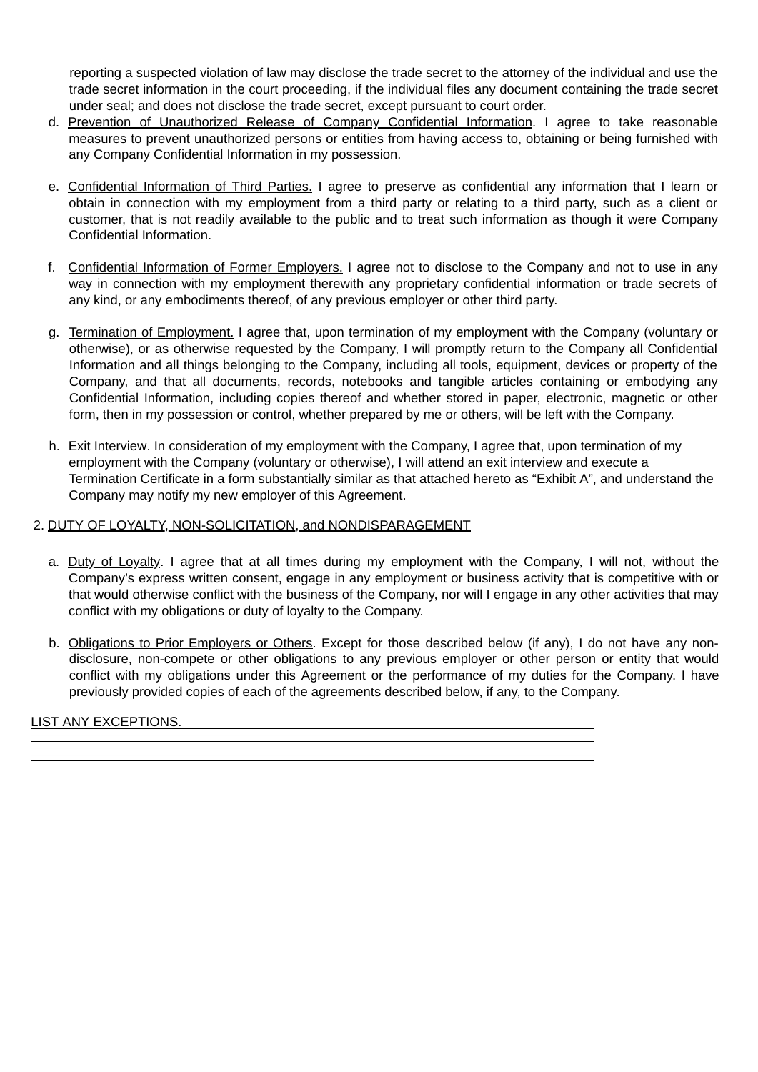reporting a suspected violation of law may disclose the trade secret to the attorney of the individual and use the trade secret information in the court proceeding, if the individual files any document containing the trade secret under seal; and does not disclose the trade secret, except pursuant to court order.

- d. Prevention of Unauthorized Release of Company Confidential Information. I agree to take reasonable measures to prevent unauthorized persons or entities from having access to, obtaining or being furnished with any Company Confidential Information in my possession.
- e. Confidential Information of Third Parties. I agree to preserve as confidential any information that I learn or obtain in connection with my employment from a third party or relating to a third party, such as a client or customer, that is not readily available to the public and to treat such information as though it were Company Confidential Information.
- f. Confidential Information of Former Employers. I agree not to disclose to the Company and not to use in any way in connection with my employment therewith any proprietary confidential information or trade secrets of any kind, or any embodiments thereof, of any previous employer or other third party.
- g. Termination of Employment. I agree that, upon termination of my employment with the Company (voluntary or otherwise), or as otherwise requested by the Company, I will promptly return to the Company all Confidential Information and all things belonging to the Company, including all tools, equipment, devices or property of the Company, and that all documents, records, notebooks and tangible articles containing or embodying any Confidential Information, including copies thereof and whether stored in paper, electronic, magnetic or other form, then in my possession or control, whether prepared by me or others, will be left with the Company.
- h. Exit Interview. In consideration of my employment with the Company, I agree that, upon termination of my employment with the Company (voluntary or otherwise), I will attend an exit interview and execute a Termination Certificate in a form substantially similar as that attached hereto as "Exhibit A", and understand the Company may notify my new employer of this Agreement.

# 2. DUTY OF LOYALTY, NON-SOLICITATION, and NONDISPARAGEMENT

- a. Duty of Loyalty. I agree that at all times during my employment with the Company, I will not, without the Company's express written consent, engage in any employment or business activity that is competitive with or that would otherwise conflict with the business of the Company, nor will I engage in any other activities that may conflict with my obligations or duty of loyalty to the Company.
- b. Obligations to Prior Employers or Others. Except for those described below (if any), I do not have any nondisclosure, non-compete or other obligations to any previous employer or other person or entity that would conflict with my obligations under this Agreement or the performance of my duties for the Company. I have previously provided copies of each of the agreements described below, if any, to the Company.

# LIST ANY EXCEPTIONS.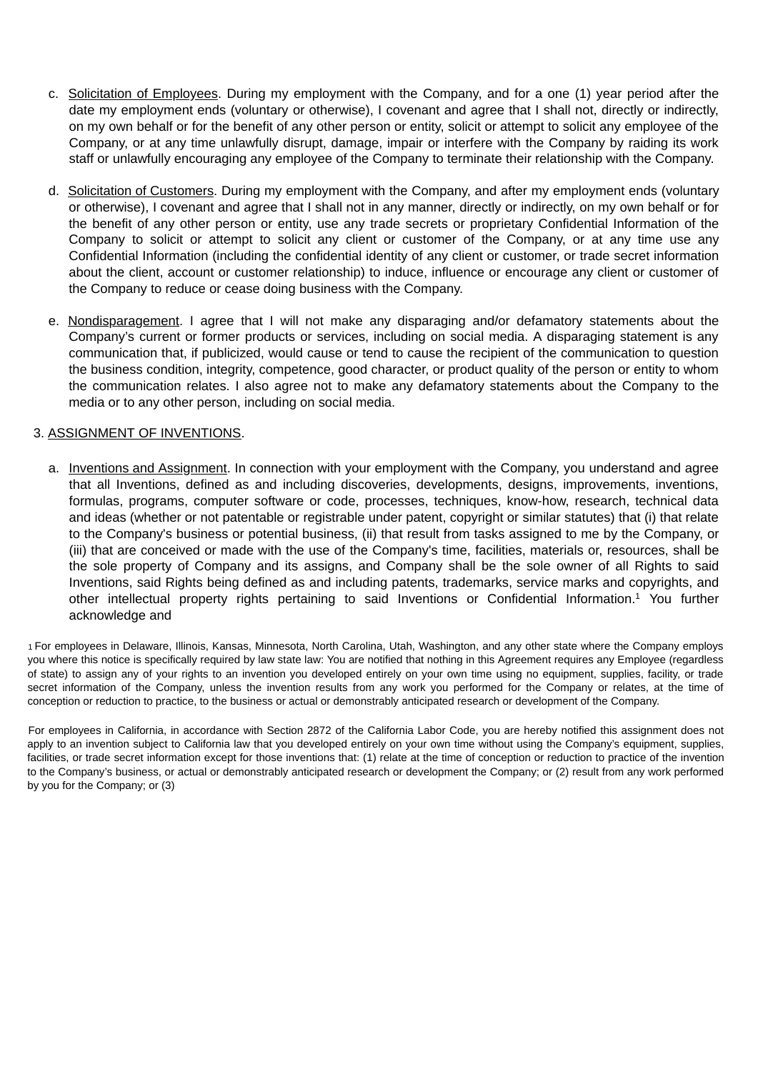- c. Solicitation of Employees. During my employment with the Company, and for a one (1) year period after the date my employment ends (voluntary or otherwise), I covenant and agree that I shall not, directly or indirectly, on my own behalf or for the benefit of any other person or entity, solicit or attempt to solicit any employee of the Company, or at any time unlawfully disrupt, damage, impair or interfere with the Company by raiding its work staff or unlawfully encouraging any employee of the Company to terminate their relationship with the Company.
- d. Solicitation of Customers. During my employment with the Company, and after my employment ends (voluntary or otherwise), I covenant and agree that I shall not in any manner, directly or indirectly, on my own behalf or for the benefit of any other person or entity, use any trade secrets or proprietary Confidential Information of the Company to solicit or attempt to solicit any client or customer of the Company, or at any time use any Confidential Information (including the confidential identity of any client or customer, or trade secret information about the client, account or customer relationship) to induce, influence or encourage any client or customer of the Company to reduce or cease doing business with the Company.
- e. Nondisparagement. I agree that I will not make any disparaging and/or defamatory statements about the Company's current or former products or services, including on social media. A disparaging statement is any communication that, if publicized, would cause or tend to cause the recipient of the communication to question the business condition, integrity, competence, good character, or product quality of the person or entity to whom the communication relates. I also agree not to make any defamatory statements about the Company to the media or to any other person, including on social media.

# 3. ASSIGNMENT OF INVENTIONS.

a. Inventions and Assignment. In connection with your employment with the Company, you understand and agree that all Inventions, defined as and including discoveries, developments, designs, improvements, inventions, formulas, programs, computer software or code, processes, techniques, know-how, research, technical data and ideas (whether or not patentable or registrable under patent, copyright or similar statutes) that (i) that relate to the Company's business or potential business, (ii) that result from tasks assigned to me by the Company, or (iii) that are conceived or made with the use of the Company's time, facilities, materials or, resources, shall be the sole property of Company and its assigns, and Company shall be the sole owner of all Rights to said Inventions, said Rights being defined as and including patents, trademarks, service marks and copyrights, and other intellectual property rights pertaining to said Inventions or Confidential Information.<sup>1</sup> You further acknowledge and

1 For employees in Delaware, Illinois, Kansas, Minnesota, North Carolina, Utah, Washington, and any other state where the Company employs you where this notice is specifically required by law state law: You are notified that nothing in this Agreement requires any Employee (regardless of state) to assign any of your rights to an invention you developed entirely on your own time using no equipment, supplies, facility, or trade secret information of the Company, unless the invention results from any work you performed for the Company or relates, at the time of conception or reduction to practice, to the business or actual or demonstrably anticipated research or development of the Company.

For employees in California, in accordance with Section 2872 of the California Labor Code, you are hereby notified this assignment does not apply to an invention subject to California law that you developed entirely on your own time without using the Company's equipment, supplies, facilities, or trade secret information except for those inventions that: (1) relate at the time of conception or reduction to practice of the invention to the Company's business, or actual or demonstrably anticipated research or development the Company; or (2) result from any work performed by you for the Company; or (3)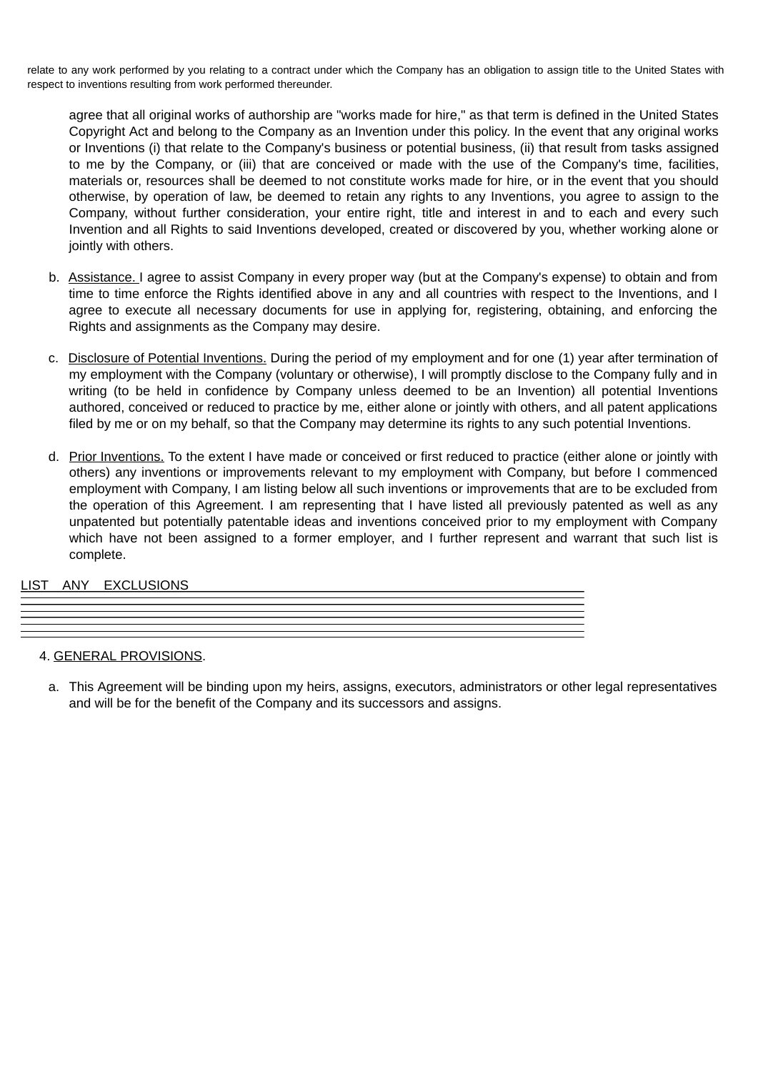relate to any work performed by you relating to a contract under which the Company has an obligation to assign title to the United States with respect to inventions resulting from work performed thereunder.

agree that all original works of authorship are "works made for hire," as that term is defined in the United States Copyright Act and belong to the Company as an Invention under this policy. In the event that any original works or Inventions (i) that relate to the Company's business or potential business, (ii) that result from tasks assigned to me by the Company, or (iii) that are conceived or made with the use of the Company's time, facilities, materials or, resources shall be deemed to not constitute works made for hire, or in the event that you should otherwise, by operation of law, be deemed to retain any rights to any Inventions, you agree to assign to the Company, without further consideration, your entire right, title and interest in and to each and every such Invention and all Rights to said Inventions developed, created or discovered by you, whether working alone or jointly with others.

- b. Assistance. I agree to assist Company in every proper way (but at the Company's expense) to obtain and from time to time enforce the Rights identified above in any and all countries with respect to the Inventions, and I agree to execute all necessary documents for use in applying for, registering, obtaining, and enforcing the Rights and assignments as the Company may desire.
- c. Disclosure of Potential Inventions. During the period of my employment and for one (1) year after termination of my employment with the Company (voluntary or otherwise), I will promptly disclose to the Company fully and in writing (to be held in confidence by Company unless deemed to be an Invention) all potential Inventions authored, conceived or reduced to practice by me, either alone or jointly with others, and all patent applications filed by me or on my behalf, so that the Company may determine its rights to any such potential Inventions.
- d. Prior Inventions. To the extent I have made or conceived or first reduced to practice (either alone or jointly with others) any inventions or improvements relevant to my employment with Company, but before I commenced employment with Company, I am listing below all such inventions or improvements that are to be excluded from the operation of this Agreement. I am representing that I have listed all previously patented as well as any unpatented but potentially patentable ideas and inventions conceived prior to my employment with Company which have not been assigned to a former employer, and I further represent and warrant that such list is complete.

# LIST ANY EXCLUSIONS

## 4. GENERAL PROVISIONS.

a. This Agreement will be binding upon my heirs, assigns, executors, administrators or other legal representatives and will be for the benefit of the Company and its successors and assigns.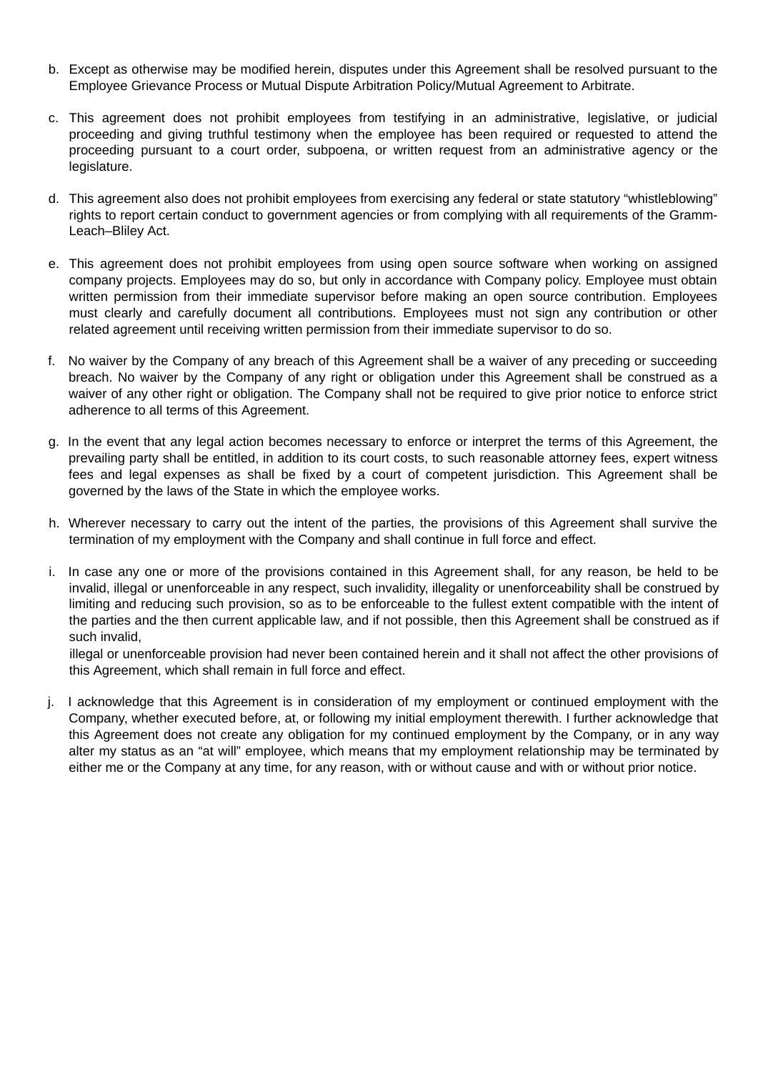- b. Except as otherwise may be modified herein, disputes under this Agreement shall be resolved pursuant to the Employee Grievance Process or Mutual Dispute Arbitration Policy/Mutual Agreement to Arbitrate.
- c. This agreement does not prohibit employees from testifying in an administrative, legislative, or judicial proceeding and giving truthful testimony when the employee has been required or requested to attend the proceeding pursuant to a court order, subpoena, or written request from an administrative agency or the legislature.
- d. This agreement also does not prohibit employees from exercising any federal or state statutory "whistleblowing" rights to report certain conduct to government agencies or from complying with all requirements of the Gramm-Leach–Bliley Act.
- e. This agreement does not prohibit employees from using open source software when working on assigned company projects. Employees may do so, but only in accordance with Company policy. Employee must obtain written permission from their immediate supervisor before making an open source contribution. Employees must clearly and carefully document all contributions. Employees must not sign any contribution or other related agreement until receiving written permission from their immediate supervisor to do so.
- f. No waiver by the Company of any breach of this Agreement shall be a waiver of any preceding or succeeding breach. No waiver by the Company of any right or obligation under this Agreement shall be construed as a waiver of any other right or obligation. The Company shall not be required to give prior notice to enforce strict adherence to all terms of this Agreement.
- g. In the event that any legal action becomes necessary to enforce or interpret the terms of this Agreement, the prevailing party shall be entitled, in addition to its court costs, to such reasonable attorney fees, expert witness fees and legal expenses as shall be fixed by a court of competent jurisdiction. This Agreement shall be governed by the laws of the State in which the employee works.
- h. Wherever necessary to carry out the intent of the parties, the provisions of this Agreement shall survive the termination of my employment with the Company and shall continue in full force and effect.
- i. In case any one or more of the provisions contained in this Agreement shall, for any reason, be held to be invalid, illegal or unenforceable in any respect, such invalidity, illegality or unenforceability shall be construed by limiting and reducing such provision, so as to be enforceable to the fullest extent compatible with the intent of the parties and the then current applicable law, and if not possible, then this Agreement shall be construed as if such invalid,

illegal or unenforceable provision had never been contained herein and it shall not affect the other provisions of this Agreement, which shall remain in full force and effect.

j. I acknowledge that this Agreement is in consideration of my employment or continued employment with the Company, whether executed before, at, or following my initial employment therewith. I further acknowledge that this Agreement does not create any obligation for my continued employment by the Company, or in any way alter my status as an "at will" employee, which means that my employment relationship may be terminated by either me or the Company at any time, for any reason, with or without cause and with or without prior notice.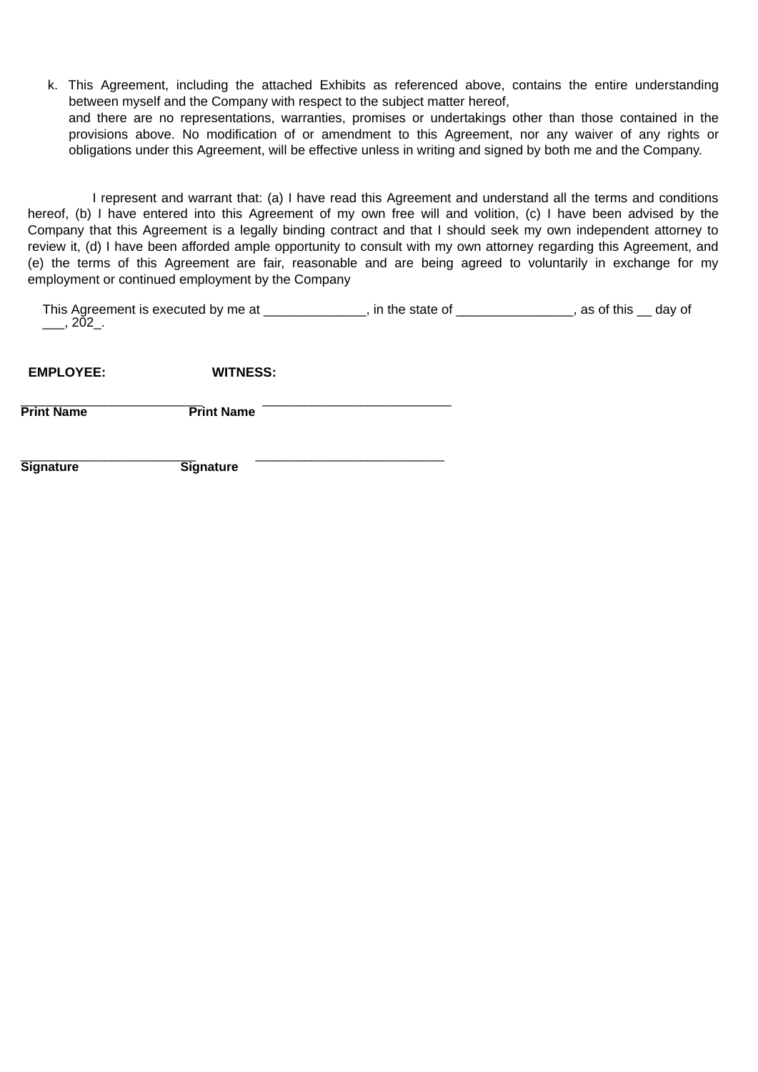k. This Agreement, including the attached Exhibits as referenced above, contains the entire understanding between myself and the Company with respect to the subject matter hereof, and there are no representations, warranties, promises or undertakings other than those contained in the provisions above. No modification of or amendment to this Agreement, nor any waiver of any rights or obligations under this Agreement, will be effective unless in writing and signed by both me and the Company.

I represent and warrant that: (a) I have read this Agreement and understand all the terms and conditions hereof, (b) I have entered into this Agreement of my own free will and volition, (c) I have been advised by the Company that this Agreement is a legally binding contract and that I should seek my own independent attorney to review it, (d) I have been afforded ample opportunity to consult with my own attorney regarding this Agreement, and (e) the terms of this Agreement are fair, reasonable and are being agreed to voluntarily in exchange for my employment or continued employment by the Company

This Agreement is executed by me at  $\qquad \qquad$ , in the state of  $\qquad \qquad$ , as of this day of  $\overline{\phantom{0}}$ , 202 $\overline{\phantom{0}}$ .

**EMPLOYEE: WITNESS: Print Name Print Name** \_\_\_\_\_\_\_\_\_\_\_\_\_\_\_\_\_\_\_\_\_\_\_\_\_ \_\_\_\_\_\_\_\_\_\_\_\_\_\_\_\_\_\_\_\_\_\_\_\_\_\_\_

**Signature Signature**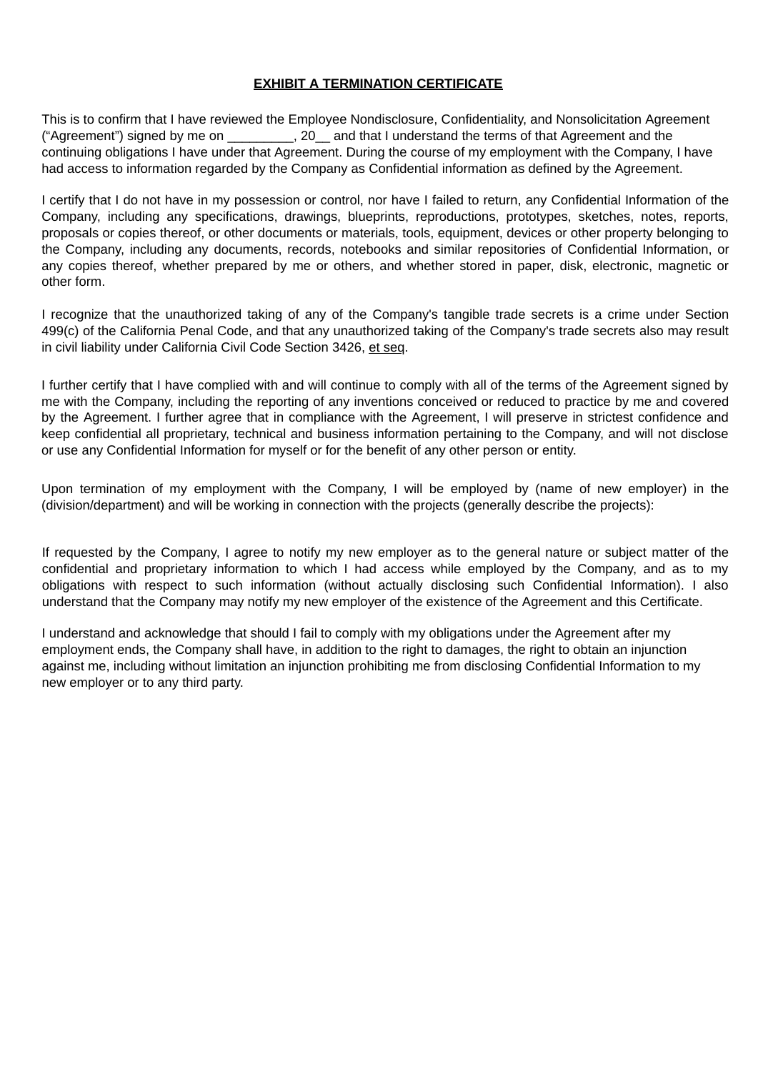# **EXHIBIT A TERMINATION CERTIFICATE**

This is to confirm that I have reviewed the Employee Nondisclosure, Confidentiality, and Nonsolicitation Agreement ("Agreement") signed by me on \_\_\_\_\_\_\_\_\_, 20\_\_ and that I understand the terms of that Agreement and the continuing obligations I have under that Agreement. During the course of my employment with the Company, I have had access to information regarded by the Company as Confidential information as defined by the Agreement.

I certify that I do not have in my possession or control, nor have I failed to return, any Confidential Information of the Company, including any specifications, drawings, blueprints, reproductions, prototypes, sketches, notes, reports, proposals or copies thereof, or other documents or materials, tools, equipment, devices or other property belonging to the Company, including any documents, records, notebooks and similar repositories of Confidential Information, or any copies thereof, whether prepared by me or others, and whether stored in paper, disk, electronic, magnetic or other form.

I recognize that the unauthorized taking of any of the Company's tangible trade secrets is a crime under Section 499(c) of the California Penal Code, and that any unauthorized taking of the Company's trade secrets also may result in civil liability under California Civil Code Section 3426, et seq.

I further certify that I have complied with and will continue to comply with all of the terms of the Agreement signed by me with the Company, including the reporting of any inventions conceived or reduced to practice by me and covered by the Agreement. I further agree that in compliance with the Agreement, I will preserve in strictest confidence and keep confidential all proprietary, technical and business information pertaining to the Company, and will not disclose or use any Confidential Information for myself or for the benefit of any other person or entity.

Upon termination of my employment with the Company, I will be employed by (name of new employer) in the (division/department) and will be working in connection with the projects (generally describe the projects):

If requested by the Company, I agree to notify my new employer as to the general nature or subject matter of the confidential and proprietary information to which I had access while employed by the Company, and as to my obligations with respect to such information (without actually disclosing such Confidential Information). I also understand that the Company may notify my new employer of the existence of the Agreement and this Certificate.

I understand and acknowledge that should I fail to comply with my obligations under the Agreement after my employment ends, the Company shall have, in addition to the right to damages, the right to obtain an injunction against me, including without limitation an injunction prohibiting me from disclosing Confidential Information to my new employer or to any third party.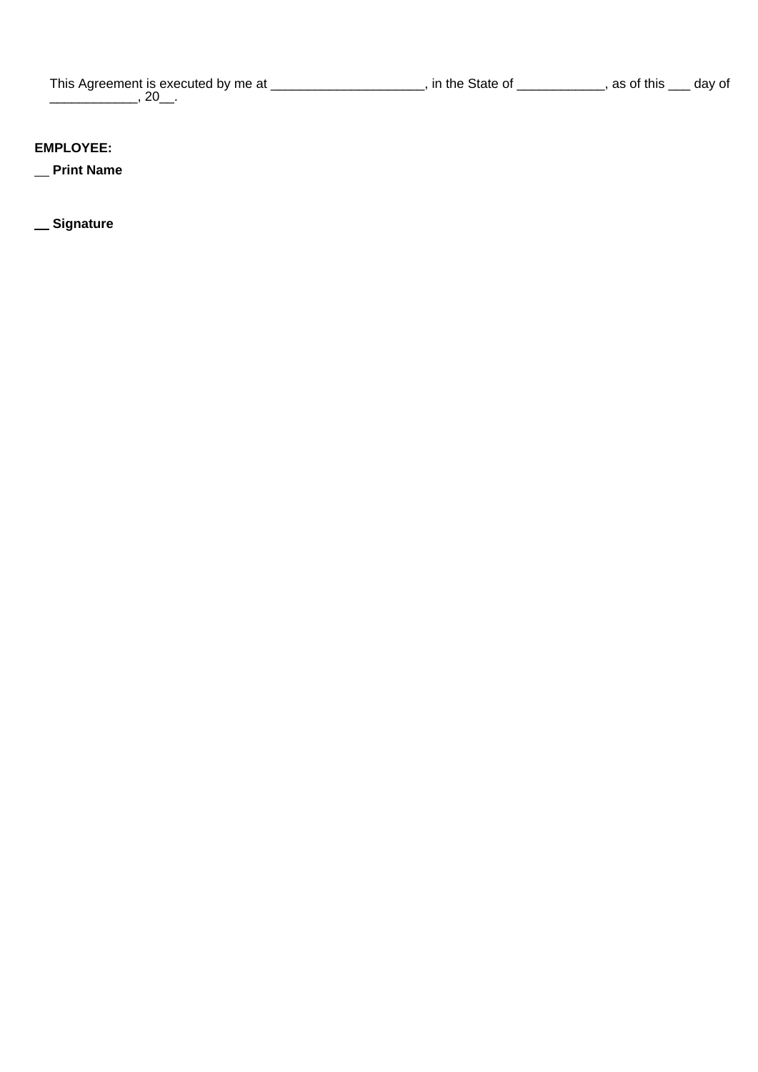# **EMPLOYEE:**

**Print Name**

**Signature**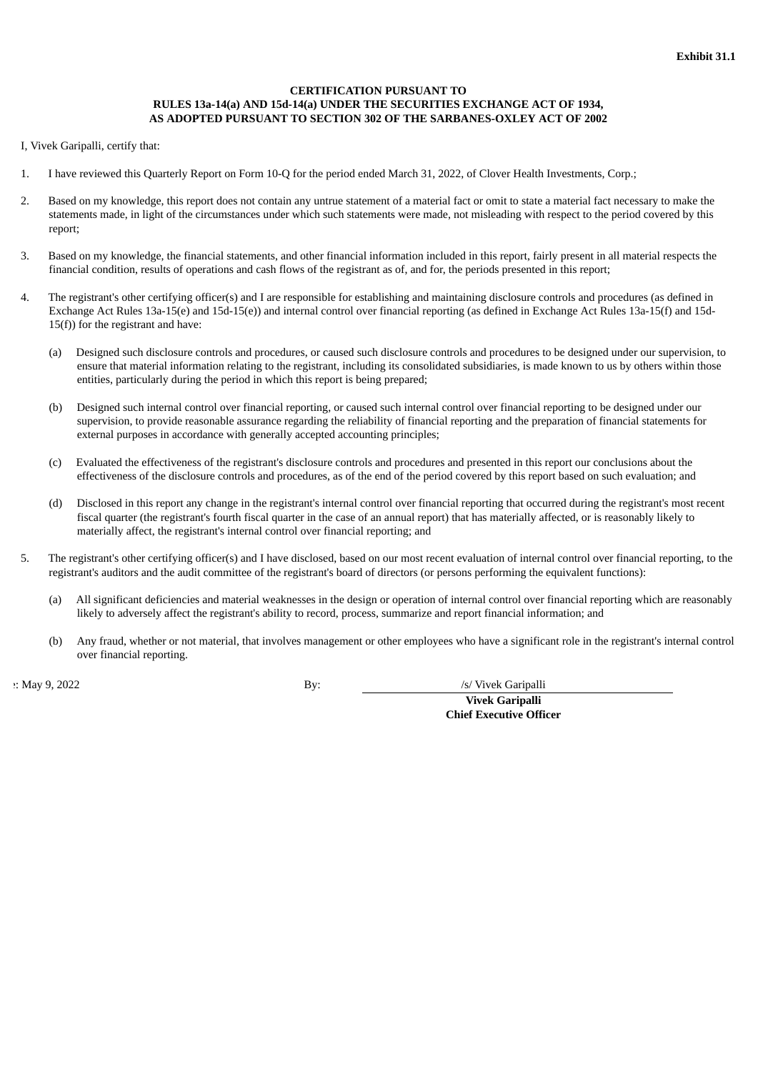## **CERTIFICATION PURSUANT TO RULES 13a-14(a) AND 15d-14(a) UNDER THE SECURITIES EXCHANGE ACT OF 1934, AS ADOPTED PURSUANT TO SECTION 302 OF THE SARBANES-OXLEY ACT OF 2002**

#### I, Vivek Garipalli, certify that:

- 1. I have reviewed this Quarterly Report on Form 10-Q for the period ended March 31, 2022, of Clover Health Investments, Corp.;
- 2. Based on my knowledge, this report does not contain any untrue statement of a material fact or omit to state a material fact necessary to make the statements made, in light of the circumstances under which such statements were made, not misleading with respect to the period covered by this report;
- 3. Based on my knowledge, the financial statements, and other financial information included in this report, fairly present in all material respects the financial condition, results of operations and cash flows of the registrant as of, and for, the periods presented in this report;
- 4. The registrant's other certifying officer(s) and I are responsible for establishing and maintaining disclosure controls and procedures (as defined in Exchange Act Rules 13a-15(e) and 15d-15(e)) and internal control over financial reporting (as defined in Exchange Act Rules 13a-15(f) and 15d- $15(f)$ ) for the registrant and have:
	- (a) Designed such disclosure controls and procedures, or caused such disclosure controls and procedures to be designed under our supervision, to ensure that material information relating to the registrant, including its consolidated subsidiaries, is made known to us by others within those entities, particularly during the period in which this report is being prepared;
	- (b) Designed such internal control over financial reporting, or caused such internal control over financial reporting to be designed under our supervision, to provide reasonable assurance regarding the reliability of financial reporting and the preparation of financial statements for external purposes in accordance with generally accepted accounting principles;
	- (c) Evaluated the effectiveness of the registrant's disclosure controls and procedures and presented in this report our conclusions about the effectiveness of the disclosure controls and procedures, as of the end of the period covered by this report based on such evaluation; and
	- (d) Disclosed in this report any change in the registrant's internal control over financial reporting that occurred during the registrant's most recent fiscal quarter (the registrant's fourth fiscal quarter in the case of an annual report) that has materially affected, or is reasonably likely to materially affect, the registrant's internal control over financial reporting; and
- 5. The registrant's other certifying officer(s) and I have disclosed, based on our most recent evaluation of internal control over financial reporting, to the registrant's auditors and the audit committee of the registrant's board of directors (or persons performing the equivalent functions):
	- (a) All significant deficiencies and material weaknesses in the design or operation of internal control over financial reporting which are reasonably likely to adversely affect the registrant's ability to record, process, summarize and report financial information; and
	- (b) Any fraud, whether or not material, that involves management or other employees who have a significant role in the registrant's internal control over financial reporting.

e: May 9, 2022 **By:** *By:* By: *Islamic By: By: Islamic By: By: Islamic By: By: Islamic By: Islamic By: Islamic By: Islamic By: Islamic By: Islamic By: Islamic By: Islamic By: Islamic By: Isla* **Vivek Garipalli Chief Executive Officer**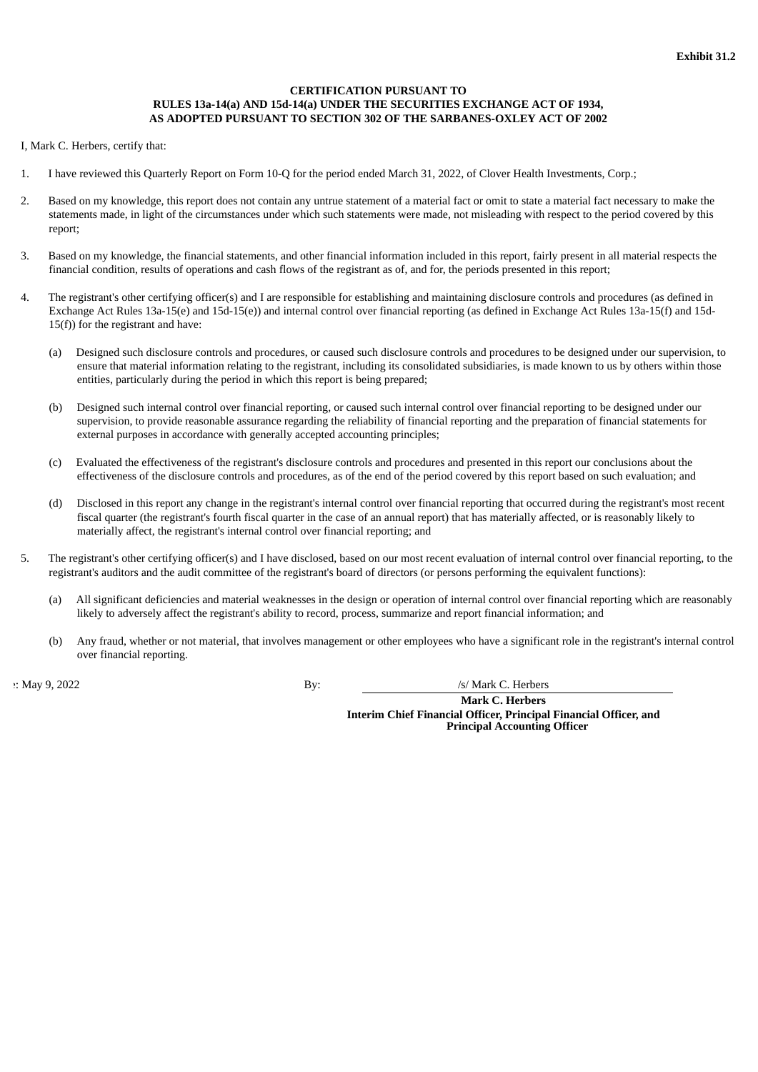### **CERTIFICATION PURSUANT TO RULES 13a-14(a) AND 15d-14(a) UNDER THE SECURITIES EXCHANGE ACT OF 1934, AS ADOPTED PURSUANT TO SECTION 302 OF THE SARBANES-OXLEY ACT OF 2002**

#### I, Mark C. Herbers, certify that:

- 1. I have reviewed this Quarterly Report on Form 10-Q for the period ended March 31, 2022, of Clover Health Investments, Corp.;
- 2. Based on my knowledge, this report does not contain any untrue statement of a material fact or omit to state a material fact necessary to make the statements made, in light of the circumstances under which such statements were made, not misleading with respect to the period covered by this report;
- 3. Based on my knowledge, the financial statements, and other financial information included in this report, fairly present in all material respects the financial condition, results of operations and cash flows of the registrant as of, and for, the periods presented in this report;
- 4. The registrant's other certifying officer(s) and I are responsible for establishing and maintaining disclosure controls and procedures (as defined in Exchange Act Rules 13a-15(e) and 15d-15(e)) and internal control over financial reporting (as defined in Exchange Act Rules 13a-15(f) and 15d- $15(f)$ ) for the registrant and have:
	- (a) Designed such disclosure controls and procedures, or caused such disclosure controls and procedures to be designed under our supervision, to ensure that material information relating to the registrant, including its consolidated subsidiaries, is made known to us by others within those entities, particularly during the period in which this report is being prepared;
	- (b) Designed such internal control over financial reporting, or caused such internal control over financial reporting to be designed under our supervision, to provide reasonable assurance regarding the reliability of financial reporting and the preparation of financial statements for external purposes in accordance with generally accepted accounting principles;
	- (c) Evaluated the effectiveness of the registrant's disclosure controls and procedures and presented in this report our conclusions about the effectiveness of the disclosure controls and procedures, as of the end of the period covered by this report based on such evaluation; and
	- (d) Disclosed in this report any change in the registrant's internal control over financial reporting that occurred during the registrant's most recent fiscal quarter (the registrant's fourth fiscal quarter in the case of an annual report) that has materially affected, or is reasonably likely to materially affect, the registrant's internal control over financial reporting; and
- 5. The registrant's other certifying officer(s) and I have disclosed, based on our most recent evaluation of internal control over financial reporting, to the registrant's auditors and the audit committee of the registrant's board of directors (or persons performing the equivalent functions):
	- (a) All significant deficiencies and material weaknesses in the design or operation of internal control over financial reporting which are reasonably likely to adversely affect the registrant's ability to record, process, summarize and report financial information; and
	- (b) Any fraud, whether or not material, that involves management or other employees who have a significant role in the registrant's internal control over financial reporting.

e: May 9, 2022 By: /s/ Mark C. Herbers **Mark C. Herbers Interim Chief Financial Officer, Principal Financial Officer, and Principal Accounting Officer**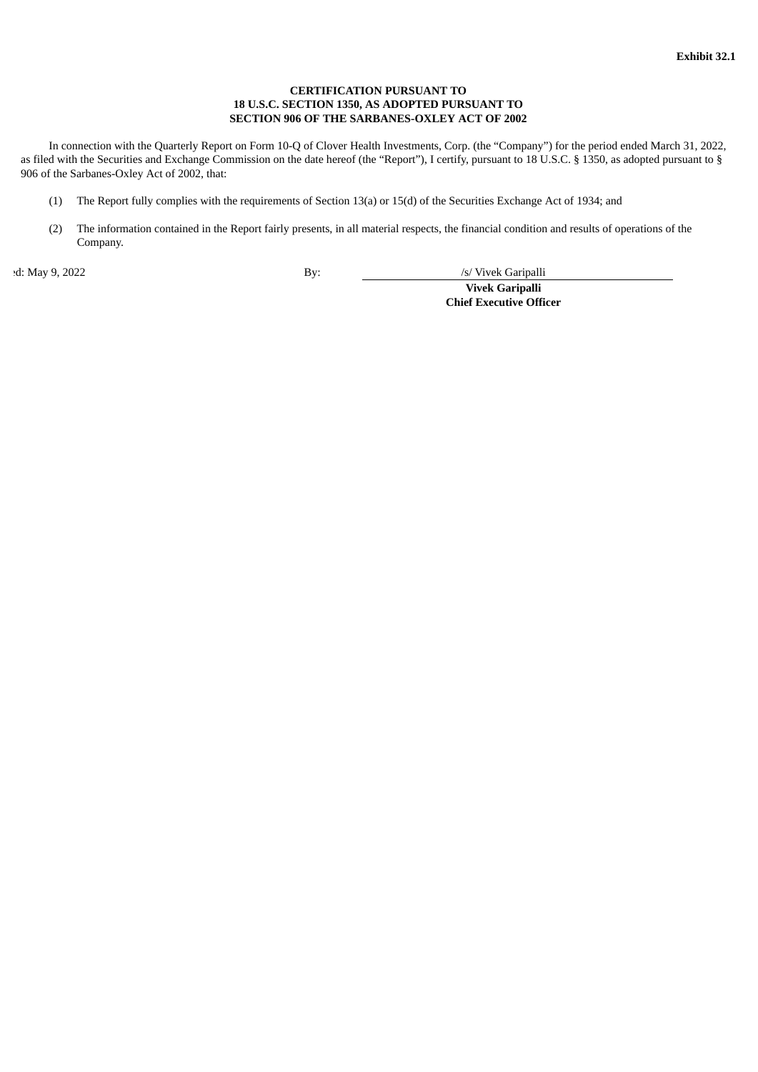## **CERTIFICATION PURSUANT TO 18 U.S.C. SECTION 1350, AS ADOPTED PURSUANT TO SECTION 906 OF THE SARBANES-OXLEY ACT OF 2002**

In connection with the Quarterly Report on Form 10-Q of Clover Health Investments, Corp. (the "Company") for the period ended March 31, 2022, as filed with the Securities and Exchange Commission on the date hereof (the "Report"), I certify, pursuant to 18 U.S.C. § 1350, as adopted pursuant to § 906 of the Sarbanes-Oxley Act of 2002, that:

- (1) The Report fully complies with the requirements of Section 13(a) or 15(d) of the Securities Exchange Act of 1934; and
- (2) The information contained in the Report fairly presents, in all material respects, the financial condition and results of operations of the Company.

ed: May 9, 2022 **By:** /s/ Vivek Garipalli

**Vivek Garipalli Chief Executive Officer**